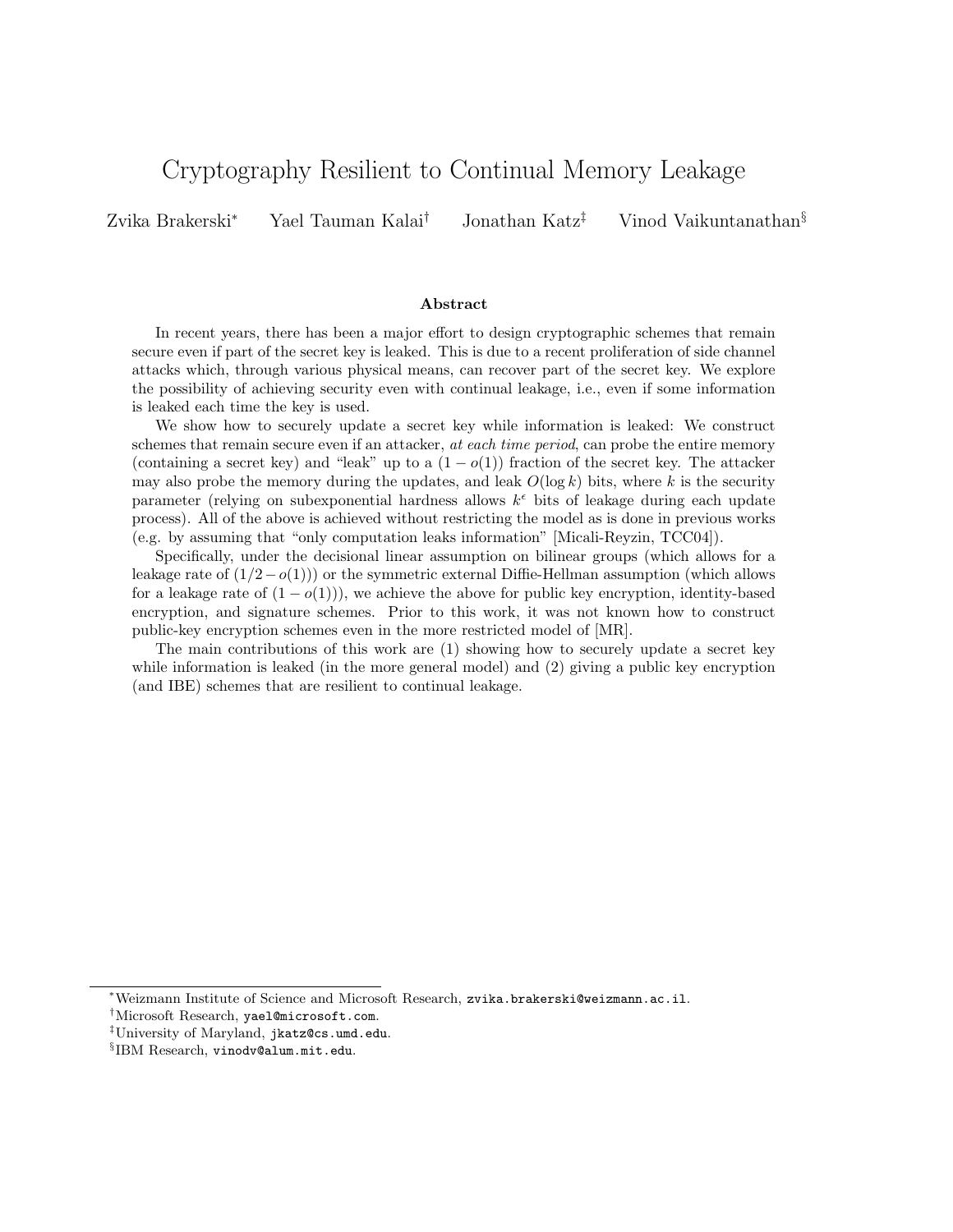# Cryptography Resilient to Continual Memory Leakage

Zvika Brakerski<sup>∗</sup> Yael Tauman Kalai† Jonathan Katz‡ Vinod Vaikuntanathan§

#### Abstract

In recent years, there has been a major effort to design cryptographic schemes that remain secure even if part of the secret key is leaked. This is due to a recent proliferation of side channel attacks which, through various physical means, can recover part of the secret key. We explore the possibility of achieving security even with continual leakage, i.e., even if some information is leaked each time the key is used.

We show how to securely update a secret key while information is leaked: We construct schemes that remain secure even if an attacker, at each time period, can probe the entire memory (containing a secret key) and "leak" up to a  $(1-o(1))$  fraction of the secret key. The attacker may also probe the memory during the updates, and leak  $O(\log k)$  bits, where k is the security parameter (relying on subexponential hardness allows  $k^{\epsilon}$  bits of leakage during each update process). All of the above is achieved without restricting the model as is done in previous works (e.g. by assuming that "only computation leaks information" [Micali-Reyzin, TCC04]).

Specifically, under the decisional linear assumption on bilinear groups (which allows for a leakage rate of  $(1/2-o(1))$  or the symmetric external Diffie-Hellman assumption (which allows for a leakage rate of  $(1 - o(1))$ , we achieve the above for public key encryption, identity-based encryption, and signature schemes. Prior to this work, it was not known how to construct public-key encryption schemes even in the more restricted model of [MR].

The main contributions of this work are (1) showing how to securely update a secret key while information is leaked (in the more general model) and (2) giving a public key encryption (and IBE) schemes that are resilient to continual leakage.

<sup>∗</sup>Weizmann Institute of Science and Microsoft Research, zvika.brakerski@weizmann.ac.il.

<sup>†</sup>Microsoft Research, yael@microsoft.com.

<sup>‡</sup>University of Maryland, jkatz@cs.umd.edu.

<sup>§</sup> IBM Research, vinodv@alum.mit.edu.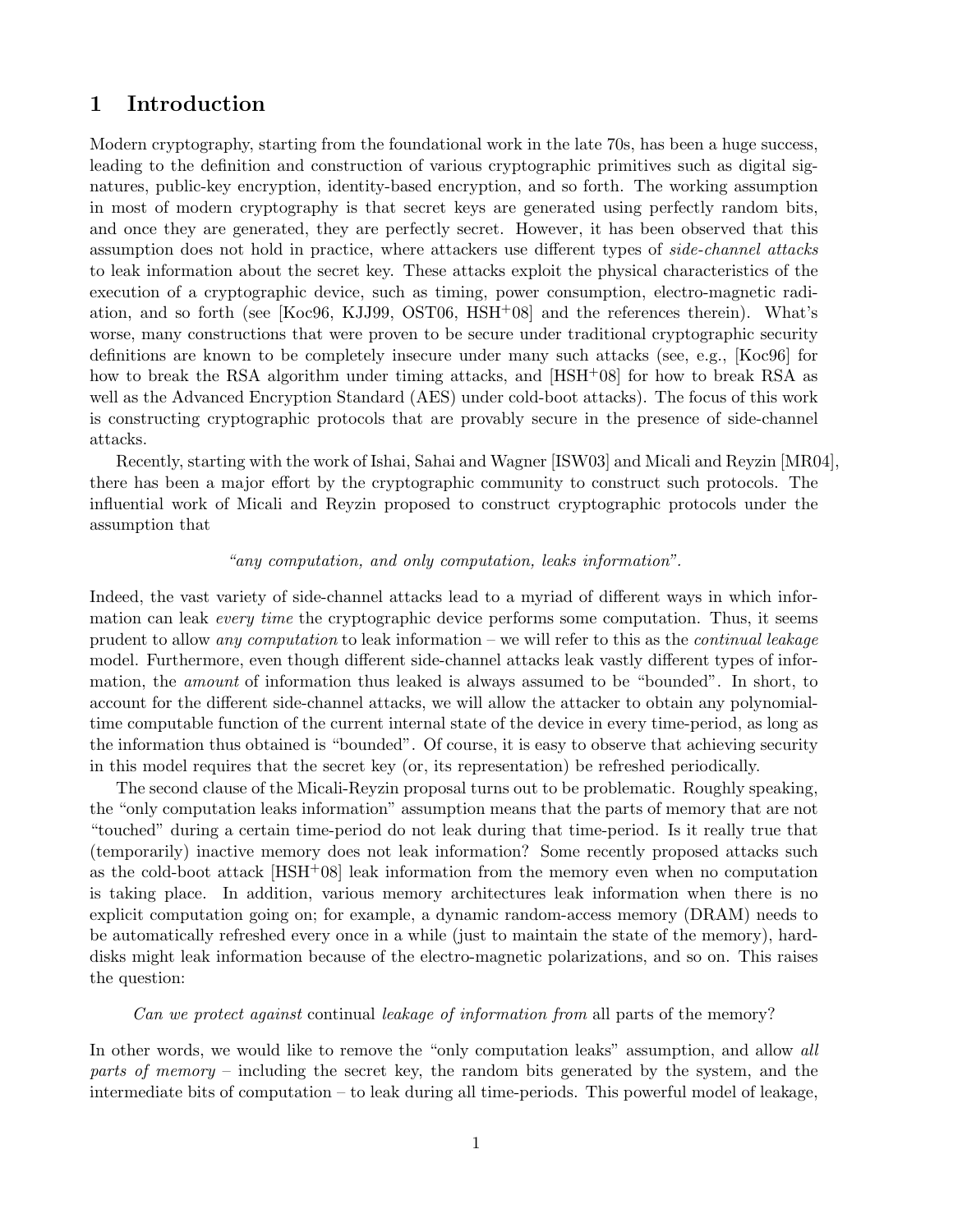# 1 Introduction

Modern cryptography, starting from the foundational work in the late 70s, has been a huge success, leading to the definition and construction of various cryptographic primitives such as digital signatures, public-key encryption, identity-based encryption, and so forth. The working assumption in most of modern cryptography is that secret keys are generated using perfectly random bits, and once they are generated, they are perfectly secret. However, it has been observed that this assumption does not hold in practice, where attackers use different types of side-channel attacks to leak information about the secret key. These attacks exploit the physical characteristics of the execution of a cryptographic device, such as timing, power consumption, electro-magnetic radiation, and so forth (see [Koc96, KJJ99, OST06, HSH+08] and the references therein). What's worse, many constructions that were proven to be secure under traditional cryptographic security definitions are known to be completely insecure under many such attacks (see, e.g., [Koc96] for how to break the RSA algorithm under timing attacks, and [HSH<sup>+</sup>08] for how to break RSA as well as the Advanced Encryption Standard (AES) under cold-boot attacks). The focus of this work is constructing cryptographic protocols that are provably secure in the presence of side-channel attacks.

Recently, starting with the work of Ishai, Sahai and Wagner [ISW03] and Micali and Reyzin [MR04], there has been a major effort by the cryptographic community to construct such protocols. The influential work of Micali and Reyzin proposed to construct cryptographic protocols under the assumption that

#### "any computation, and only computation, leaks information".

Indeed, the vast variety of side-channel attacks lead to a myriad of different ways in which information can leak *every time* the cryptographic device performs some computation. Thus, it seems prudent to allow any computation to leak information – we will refer to this as the continual leakage model. Furthermore, even though different side-channel attacks leak vastly different types of information, the amount of information thus leaked is always assumed to be "bounded". In short, to account for the different side-channel attacks, we will allow the attacker to obtain any polynomialtime computable function of the current internal state of the device in every time-period, as long as the information thus obtained is "bounded". Of course, it is easy to observe that achieving security in this model requires that the secret key (or, its representation) be refreshed periodically.

The second clause of the Micali-Reyzin proposal turns out to be problematic. Roughly speaking, the "only computation leaks information" assumption means that the parts of memory that are not "touched" during a certain time-period do not leak during that time-period. Is it really true that (temporarily) inactive memory does not leak information? Some recently proposed attacks such as the cold-boot attack  $[HSH<sup>+</sup>08]$  leak information from the memory even when no computation is taking place. In addition, various memory architectures leak information when there is no explicit computation going on; for example, a dynamic random-access memory (DRAM) needs to be automatically refreshed every once in a while (just to maintain the state of the memory), harddisks might leak information because of the electro-magnetic polarizations, and so on. This raises the question:

#### Can we protect against continual leakage of information from all parts of the memory?

In other words, we would like to remove the "only computation leaks" assumption, and allow all parts of memory – including the secret key, the random bits generated by the system, and the intermediate bits of computation – to leak during all time-periods. This powerful model of leakage,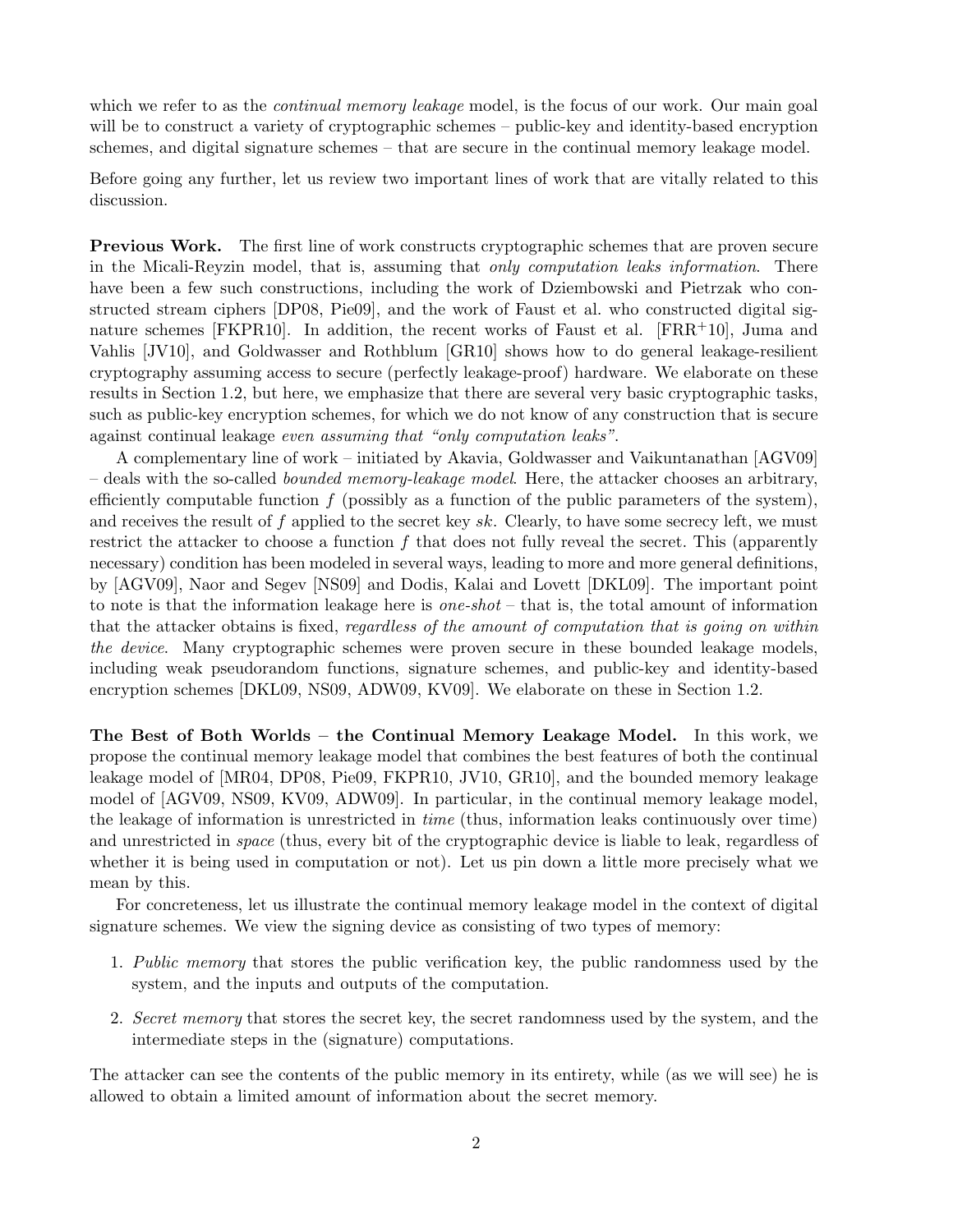which we refer to as the *continual memory leakage* model, is the focus of our work. Our main goal will be to construct a variety of cryptographic schemes – public-key and identity-based encryption schemes, and digital signature schemes – that are secure in the continual memory leakage model.

Before going any further, let us review two important lines of work that are vitally related to this discussion.

Previous Work. The first line of work constructs cryptographic schemes that are proven secure in the Micali-Reyzin model, that is, assuming that only computation leaks information. There have been a few such constructions, including the work of Dziembowski and Pietrzak who constructed stream ciphers [DP08, Pie09], and the work of Faust et al. who constructed digital signature schemes [FKPR10]. In addition, the recent works of Faust et al.  $[FRR+10]$ , Juma and Vahlis [JV10], and Goldwasser and Rothblum [GR10] shows how to do general leakage-resilient cryptography assuming access to secure (perfectly leakage-proof) hardware. We elaborate on these results in Section 1.2, but here, we emphasize that there are several very basic cryptographic tasks, such as public-key encryption schemes, for which we do not know of any construction that is secure against continual leakage even assuming that "only computation leaks".

A complementary line of work – initiated by Akavia, Goldwasser and Vaikuntanathan [AGV09]  $-$  deals with the so-called *bounded memory-leakage model*. Here, the attacker chooses an arbitrary, efficiently computable function  $f$  (possibly as a function of the public parameters of the system), and receives the result of f applied to the secret key  $sk$ . Clearly, to have some secrecy left, we must restrict the attacker to choose a function f that does not fully reveal the secret. This (apparently necessary) condition has been modeled in several ways, leading to more and more general definitions, by [AGV09], Naor and Segev [NS09] and Dodis, Kalai and Lovett [DKL09]. The important point to note is that the information leakage here is *one-shot* – that is, the total amount of information that the attacker obtains is fixed, regardless of the amount of computation that is going on within the device. Many cryptographic schemes were proven secure in these bounded leakage models, including weak pseudorandom functions, signature schemes, and public-key and identity-based encryption schemes [DKL09, NS09, ADW09, KV09]. We elaborate on these in Section 1.2.

The Best of Both Worlds – the Continual Memory Leakage Model. In this work, we propose the continual memory leakage model that combines the best features of both the continual leakage model of [MR04, DP08, Pie09, FKPR10, JV10, GR10], and the bounded memory leakage model of [AGV09, NS09, KV09, ADW09]. In particular, in the continual memory leakage model, the leakage of information is unrestricted in time (thus, information leaks continuously over time) and unrestricted in space (thus, every bit of the cryptographic device is liable to leak, regardless of whether it is being used in computation or not). Let us pin down a little more precisely what we mean by this.

For concreteness, let us illustrate the continual memory leakage model in the context of digital signature schemes. We view the signing device as consisting of two types of memory:

- 1. Public memory that stores the public verification key, the public randomness used by the system, and the inputs and outputs of the computation.
- 2. Secret memory that stores the secret key, the secret randomness used by the system, and the intermediate steps in the (signature) computations.

The attacker can see the contents of the public memory in its entirety, while (as we will see) he is allowed to obtain a limited amount of information about the secret memory.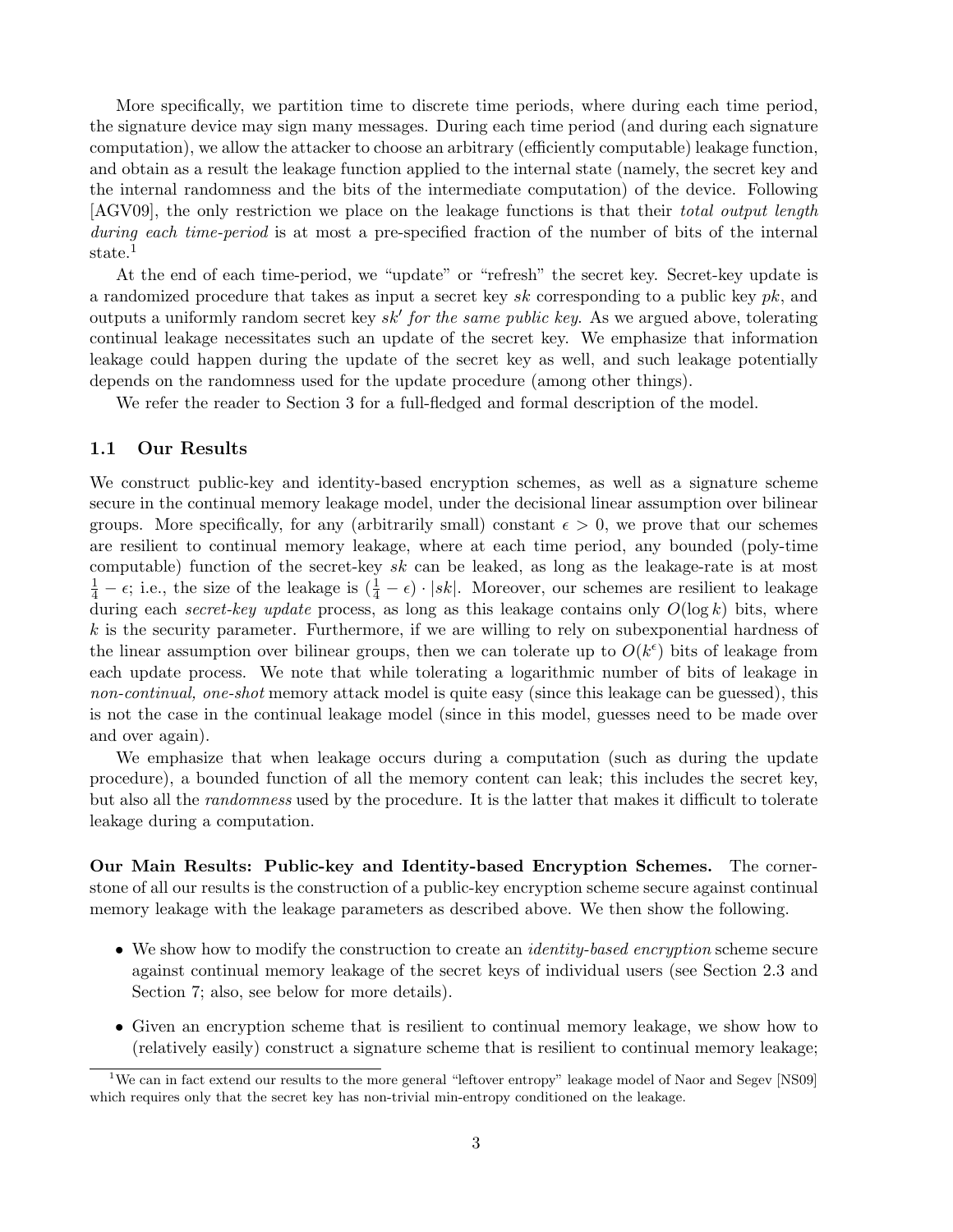More specifically, we partition time to discrete time periods, where during each time period, the signature device may sign many messages. During each time period (and during each signature computation), we allow the attacker to choose an arbitrary (efficiently computable) leakage function, and obtain as a result the leakage function applied to the internal state (namely, the secret key and the internal randomness and the bits of the intermediate computation) of the device. Following [AGV09], the only restriction we place on the leakage functions is that their total output length during each time-period is at most a pre-specified fraction of the number of bits of the internal state.<sup>1</sup>

At the end of each time-period, we "update" or "refresh" the secret key. Secret-key update is a randomized procedure that takes as input a secret key sk corresponding to a public key  $pk$ , and outputs a uniformly random secret key  $sk'$  for the same public key. As we argued above, tolerating continual leakage necessitates such an update of the secret key. We emphasize that information leakage could happen during the update of the secret key as well, and such leakage potentially depends on the randomness used for the update procedure (among other things).

We refer the reader to Section 3 for a full-fledged and formal description of the model.

## 1.1 Our Results

We construct public-key and identity-based encryption schemes, as well as a signature scheme secure in the continual memory leakage model, under the decisional linear assumption over bilinear groups. More specifically, for any (arbitrarily small) constant  $\epsilon > 0$ , we prove that our schemes are resilient to continual memory leakage, where at each time period, any bounded (poly-time computable) function of the secret-key sk can be leaked, as long as the leakage-rate is at most  $\frac{1}{4} - \epsilon$ ; i.e., the size of the leakage is  $(\frac{1}{4} - \epsilon) \cdot |sk|$ . Moreover, our schemes are resilient to leakage during each secret-key update process, as long as this leakage contains only  $O(\log k)$  bits, where  $k$  is the security parameter. Furthermore, if we are willing to rely on subexponential hardness of the linear assumption over bilinear groups, then we can tolerate up to  $O(k^{\epsilon})$  bits of leakage from each update process. We note that while tolerating a logarithmic number of bits of leakage in non-continual, one-shot memory attack model is quite easy (since this leakage can be guessed), this is not the case in the continual leakage model (since in this model, guesses need to be made over and over again).

We emphasize that when leakage occurs during a computation (such as during the update procedure), a bounded function of all the memory content can leak; this includes the secret key, but also all the randomness used by the procedure. It is the latter that makes it difficult to tolerate leakage during a computation.

Our Main Results: Public-key and Identity-based Encryption Schemes. The cornerstone of all our results is the construction of a public-key encryption scheme secure against continual memory leakage with the leakage parameters as described above. We then show the following.

- We show how to modify the construction to create an *identity-based encryption* scheme secure against continual memory leakage of the secret keys of individual users (see Section 2.3 and Section 7; also, see below for more details).
- Given an encryption scheme that is resilient to continual memory leakage, we show how to (relatively easily) construct a signature scheme that is resilient to continual memory leakage;

<sup>&</sup>lt;sup>1</sup>We can in fact extend our results to the more general "leftover entropy" leakage model of Naor and Segev [NS09] which requires only that the secret key has non-trivial min-entropy conditioned on the leakage.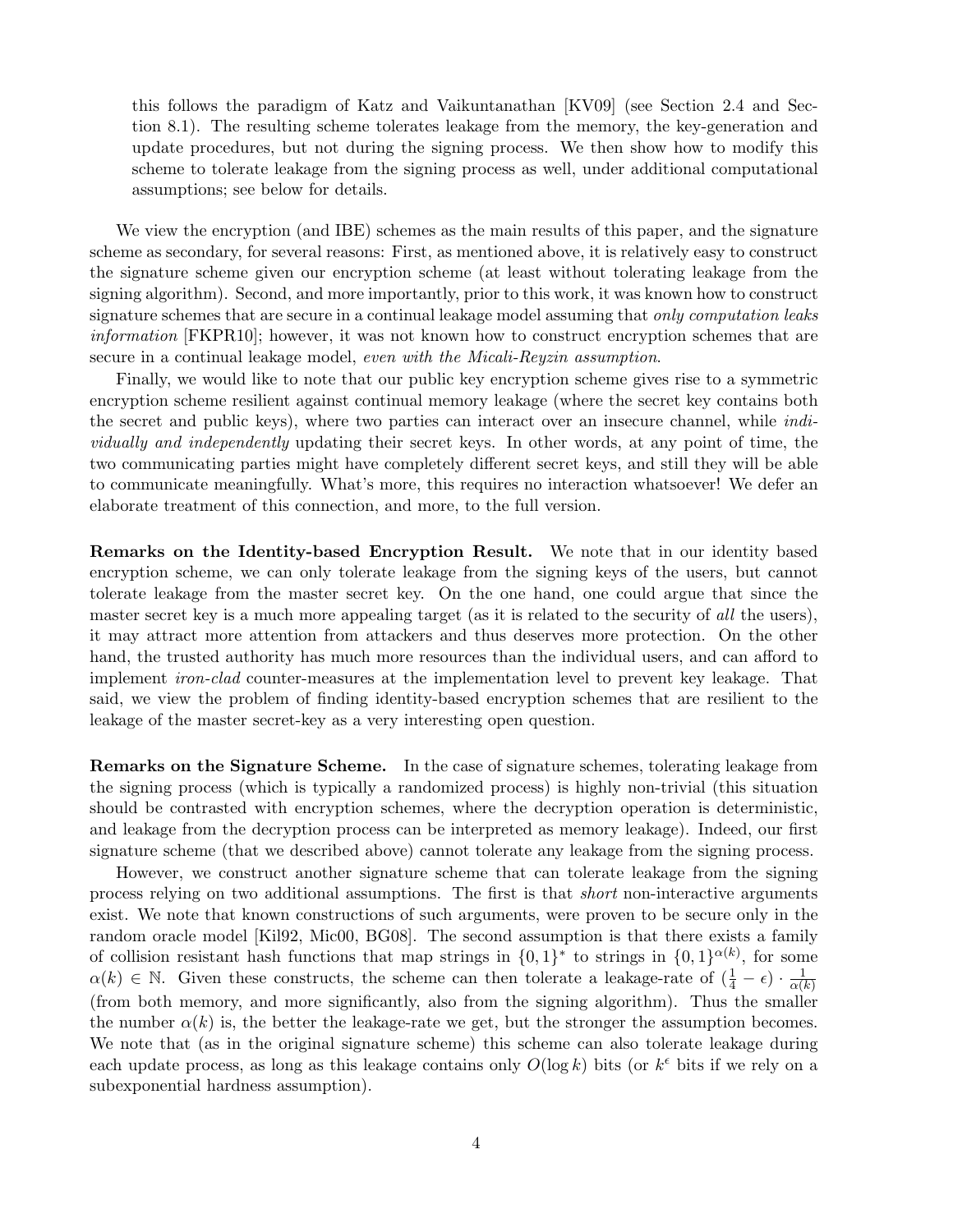this follows the paradigm of Katz and Vaikuntanathan [KV09] (see Section 2.4 and Section 8.1). The resulting scheme tolerates leakage from the memory, the key-generation and update procedures, but not during the signing process. We then show how to modify this scheme to tolerate leakage from the signing process as well, under additional computational assumptions; see below for details.

We view the encryption (and IBE) schemes as the main results of this paper, and the signature scheme as secondary, for several reasons: First, as mentioned above, it is relatively easy to construct the signature scheme given our encryption scheme (at least without tolerating leakage from the signing algorithm). Second, and more importantly, prior to this work, it was known how to construct signature schemes that are secure in a continual leakage model assuming that *only computation leaks* information [FKPR10]; however, it was not known how to construct encryption schemes that are secure in a continual leakage model, even with the Micali-Reyzin assumption.

Finally, we would like to note that our public key encryption scheme gives rise to a symmetric encryption scheme resilient against continual memory leakage (where the secret key contains both the secret and public keys), where two parties can interact over an insecure channel, while individually and independently updating their secret keys. In other words, at any point of time, the two communicating parties might have completely different secret keys, and still they will be able to communicate meaningfully. What's more, this requires no interaction whatsoever! We defer an elaborate treatment of this connection, and more, to the full version.

Remarks on the Identity-based Encryption Result. We note that in our identity based encryption scheme, we can only tolerate leakage from the signing keys of the users, but cannot tolerate leakage from the master secret key. On the one hand, one could argue that since the master secret key is a much more appealing target (as it is related to the security of all the users), it may attract more attention from attackers and thus deserves more protection. On the other hand, the trusted authority has much more resources than the individual users, and can afford to implement iron-clad counter-measures at the implementation level to prevent key leakage. That said, we view the problem of finding identity-based encryption schemes that are resilient to the leakage of the master secret-key as a very interesting open question.

Remarks on the Signature Scheme. In the case of signature schemes, tolerating leakage from the signing process (which is typically a randomized process) is highly non-trivial (this situation should be contrasted with encryption schemes, where the decryption operation is deterministic, and leakage from the decryption process can be interpreted as memory leakage). Indeed, our first signature scheme (that we described above) cannot tolerate any leakage from the signing process.

However, we construct another signature scheme that can tolerate leakage from the signing process relying on two additional assumptions. The first is that short non-interactive arguments exist. We note that known constructions of such arguments, were proven to be secure only in the random oracle model [Kil92, Mic00, BG08]. The second assumption is that there exists a family of collision resistant hash functions that map strings in  $\{0,1\}^*$  to strings in  $\{0,1\}^{\alpha(k)}$ , for some  $\alpha(k) \in \mathbb{N}$ . Given these constructs, the scheme can then tolerate a leakage-rate of  $(\frac{1}{4} - \epsilon) \cdot \frac{1}{\alpha(k)}$  $\alpha(k)$ (from both memory, and more significantly, also from the signing algorithm). Thus the smaller the number  $\alpha(k)$  is, the better the leakage-rate we get, but the stronger the assumption becomes. We note that (as in the original signature scheme) this scheme can also tolerate leakage during each update process, as long as this leakage contains only  $O(\log k)$  bits (or  $k^{\epsilon}$  bits if we rely on a subexponential hardness assumption).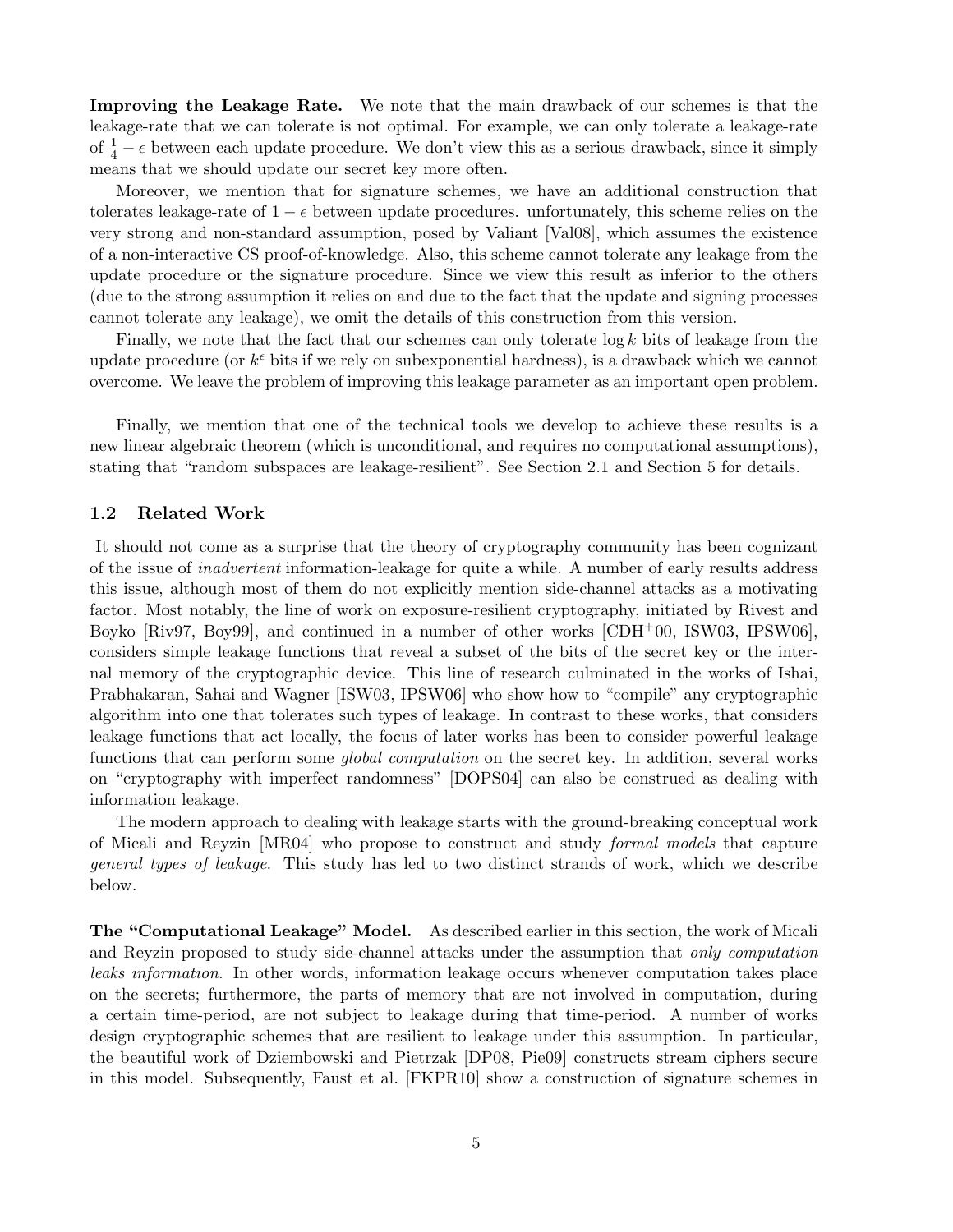Improving the Leakage Rate. We note that the main drawback of our schemes is that the leakage-rate that we can tolerate is not optimal. For example, we can only tolerate a leakage-rate of  $\frac{1}{4} - \epsilon$  between each update procedure. We don't view this as a serious drawback, since it simply means that we should update our secret key more often.

Moreover, we mention that for signature schemes, we have an additional construction that tolerates leakage-rate of  $1 - \epsilon$  between update procedures. unfortunately, this scheme relies on the very strong and non-standard assumption, posed by Valiant [Val08], which assumes the existence of a non-interactive CS proof-of-knowledge. Also, this scheme cannot tolerate any leakage from the update procedure or the signature procedure. Since we view this result as inferior to the others (due to the strong assumption it relies on and due to the fact that the update and signing processes cannot tolerate any leakage), we omit the details of this construction from this version.

Finally, we note that the fact that our schemes can only tolerate  $\log k$  bits of leakage from the update procedure (or  $k^{\epsilon}$  bits if we rely on subexponential hardness), is a drawback which we cannot overcome. We leave the problem of improving this leakage parameter as an important open problem.

Finally, we mention that one of the technical tools we develop to achieve these results is a new linear algebraic theorem (which is unconditional, and requires no computational assumptions), stating that "random subspaces are leakage-resilient". See Section 2.1 and Section 5 for details.

## 1.2 Related Work

It should not come as a surprise that the theory of cryptography community has been cognizant of the issue of inadvertent information-leakage for quite a while. A number of early results address this issue, although most of them do not explicitly mention side-channel attacks as a motivating factor. Most notably, the line of work on exposure-resilient cryptography, initiated by Rivest and Boyko [Riv97, Boy99], and continued in a number of other works [CDH+00, ISW03, IPSW06], considers simple leakage functions that reveal a subset of the bits of the secret key or the internal memory of the cryptographic device. This line of research culminated in the works of Ishai, Prabhakaran, Sahai and Wagner [ISW03, IPSW06] who show how to "compile" any cryptographic algorithm into one that tolerates such types of leakage. In contrast to these works, that considers leakage functions that act locally, the focus of later works has been to consider powerful leakage functions that can perform some *global computation* on the secret key. In addition, several works on "cryptography with imperfect randomness" [DOPS04] can also be construed as dealing with information leakage.

The modern approach to dealing with leakage starts with the ground-breaking conceptual work of Micali and Reyzin [MR04] who propose to construct and study formal models that capture general types of leakage. This study has led to two distinct strands of work, which we describe below.

The "Computational Leakage" Model. As described earlier in this section, the work of Micali and Reyzin proposed to study side-channel attacks under the assumption that only computation leaks information. In other words, information leakage occurs whenever computation takes place on the secrets; furthermore, the parts of memory that are not involved in computation, during a certain time-period, are not subject to leakage during that time-period. A number of works design cryptographic schemes that are resilient to leakage under this assumption. In particular, the beautiful work of Dziembowski and Pietrzak [DP08, Pie09] constructs stream ciphers secure in this model. Subsequently, Faust et al. [FKPR10] show a construction of signature schemes in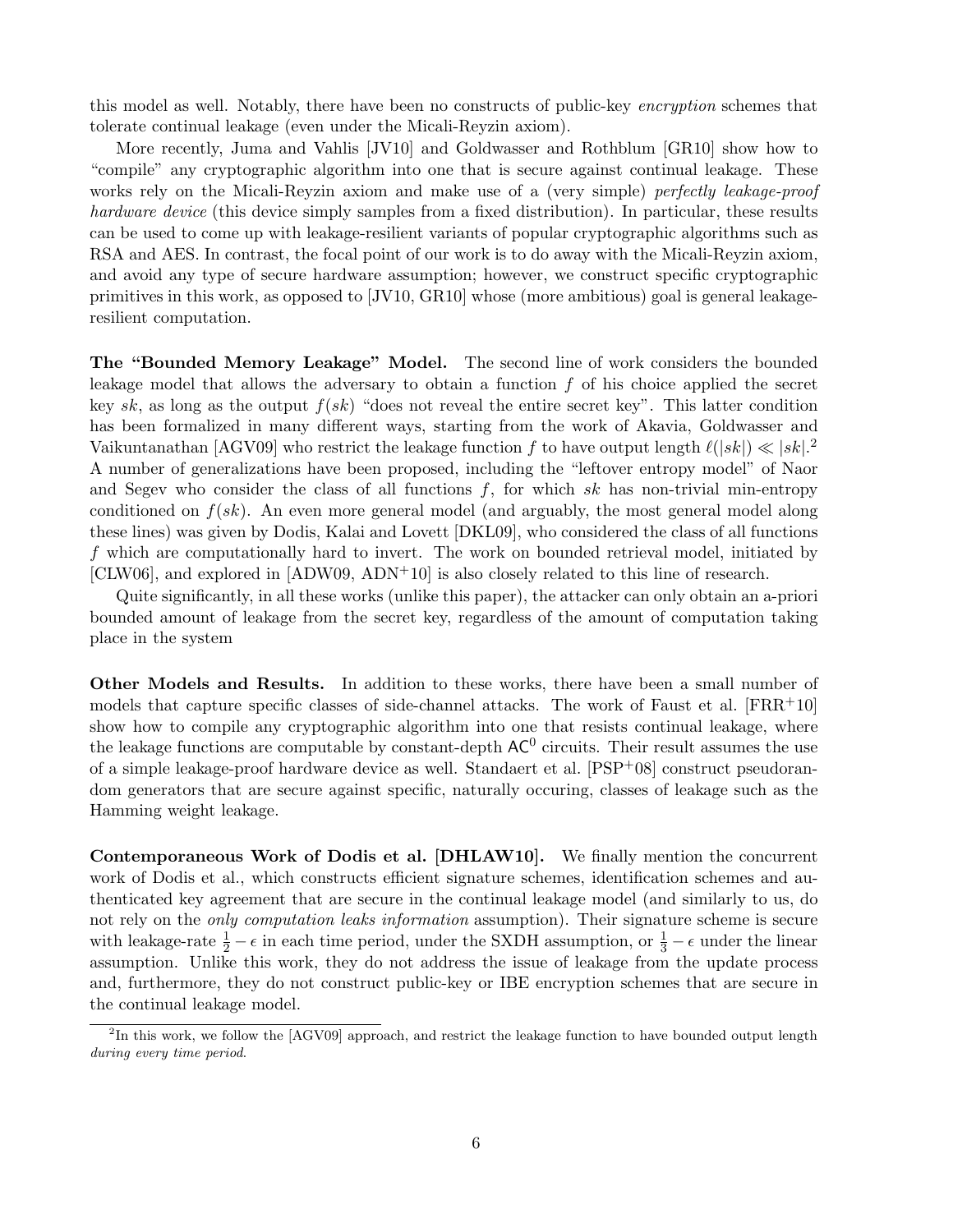this model as well. Notably, there have been no constructs of public-key encryption schemes that tolerate continual leakage (even under the Micali-Reyzin axiom).

More recently, Juma and Vahlis [JV10] and Goldwasser and Rothblum [GR10] show how to "compile" any cryptographic algorithm into one that is secure against continual leakage. These works rely on the Micali-Reyzin axiom and make use of a (very simple) perfectly leakage-proof hardware device (this device simply samples from a fixed distribution). In particular, these results can be used to come up with leakage-resilient variants of popular cryptographic algorithms such as RSA and AES. In contrast, the focal point of our work is to do away with the Micali-Reyzin axiom, and avoid any type of secure hardware assumption; however, we construct specific cryptographic primitives in this work, as opposed to [JV10, GR10] whose (more ambitious) goal is general leakageresilient computation.

The "Bounded Memory Leakage" Model. The second line of work considers the bounded leakage model that allows the adversary to obtain a function  $f$  of his choice applied the secret key sk, as long as the output  $f(sk)$  "does not reveal the entire secret key". This latter condition has been formalized in many different ways, starting from the work of Akavia, Goldwasser and Vaikuntanathan [AGV09] who restrict the leakage function f to have output length  $\ell(|sk|) \ll |sk|$ . A number of generalizations have been proposed, including the "leftover entropy model" of Naor and Segev who consider the class of all functions  $f$ , for which sk has non-trivial min-entropy conditioned on  $f(sk)$ . An even more general model (and arguably, the most general model along these lines) was given by Dodis, Kalai and Lovett [DKL09], who considered the class of all functions f which are computationally hard to invert. The work on bounded retrieval model, initiated by [CLW06], and explored in  $[ADW09, ADN<sup>+</sup>10]$  is also closely related to this line of research.

Quite significantly, in all these works (unlike this paper), the attacker can only obtain an a-priori bounded amount of leakage from the secret key, regardless of the amount of computation taking place in the system

Other Models and Results. In addition to these works, there have been a small number of models that capture specific classes of side-channel attacks. The work of Faust et al.  $[FRR+10]$ show how to compile any cryptographic algorithm into one that resists continual leakage, where the leakage functions are computable by constant-depth  $AC^0$  circuits. Their result assumes the use of a simple leakage-proof hardware device as well. Standaert et al. [PSP+08] construct pseudorandom generators that are secure against specific, naturally occuring, classes of leakage such as the Hamming weight leakage.

Contemporaneous Work of Dodis et al. [DHLAW10]. We finally mention the concurrent work of Dodis et al., which constructs efficient signature schemes, identification schemes and authenticated key agreement that are secure in the continual leakage model (and similarly to us, do not rely on the *only computation leaks information* assumption). Their signature scheme is secure with leakage-rate  $\frac{1}{2} - \epsilon$  in each time period, under the SXDH assumption, or  $\frac{1}{3} - \epsilon$  under the linear assumption. Unlike this work, they do not address the issue of leakage from the update process and, furthermore, they do not construct public-key or IBE encryption schemes that are secure in the continual leakage model.

<sup>&</sup>lt;sup>2</sup>In this work, we follow the [AGV09] approach, and restrict the leakage function to have bounded output length during every time period.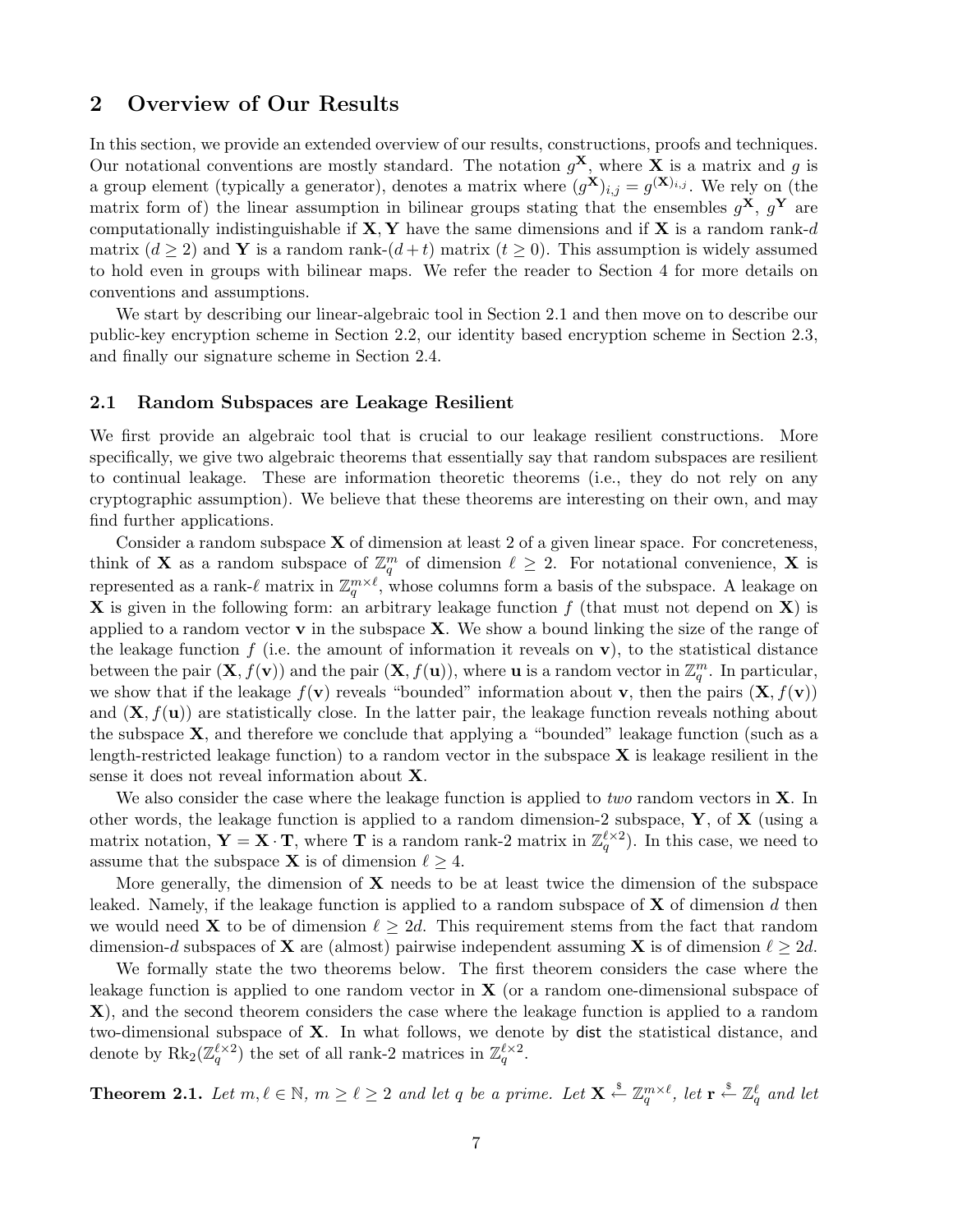## 2 Overview of Our Results

In this section, we provide an extended overview of our results, constructions, proofs and techniques. Our notational conventions are mostly standard. The notation  $g^{\mathbf{X}}$ , where **X** is a matrix and g is a group element (typically a generator), denotes a matrix where  $(g^{\mathbf{X}})_{i,j} = g^{(\mathbf{X})_{i,j}}$ . We rely on (the matrix form of) the linear assumption in bilinear groups stating that the ensembles  $g^{\mathbf{X}}, g^{\mathbf{Y}}$  are computationally indistinguishable if  $X, Y$  have the same dimensions and if X is a random rank-d matrix  $(d > 2)$  and Y is a random rank- $(d + t)$  matrix  $(t > 0)$ . This assumption is widely assumed to hold even in groups with bilinear maps. We refer the reader to Section 4 for more details on conventions and assumptions.

We start by describing our linear-algebraic tool in Section 2.1 and then move on to describe our public-key encryption scheme in Section 2.2, our identity based encryption scheme in Section 2.3, and finally our signature scheme in Section 2.4.

## 2.1 Random Subspaces are Leakage Resilient

We first provide an algebraic tool that is crucial to our leakage resilient constructions. More specifically, we give two algebraic theorems that essentially say that random subspaces are resilient to continual leakage. These are information theoretic theorems (i.e., they do not rely on any cryptographic assumption). We believe that these theorems are interesting on their own, and may find further applications.

Consider a random subspace  $X$  of dimension at least 2 of a given linear space. For concreteness, think of **X** as a random subspace of  $\mathbb{Z}_q^m$  of dimension  $\ell \geq 2$ . For notational convenience, **X** is represented as a rank- $\ell$  matrix in  $\mathbb{Z}_q^{m\times \ell}$ , whose columns form a basis of the subspace. A leakage on **X** is given in the following form: an arbitrary leakage function  $f$  (that must not depend on **X**) is applied to a random vector  $\bf{v}$  in the subspace  $\bf{X}$ . We show a bound linking the size of the range of the leakage function  $f$  (i.e. the amount of information it reveals on  $\bf{v}$ ), to the statistical distance between the pair  $(\mathbf{X}, f(\mathbf{v}))$  and the pair  $(\mathbf{X}, f(\mathbf{u}))$ , where **u** is a random vector in  $\mathbb{Z}_q^m$ . In particular, we show that if the leakage  $f(\mathbf{v})$  reveals "bounded" information about **v**, then the pairs  $(\mathbf{X}, f(\mathbf{v}))$ and  $(X, f(u))$  are statistically close. In the latter pair, the leakage function reveals nothing about the subspace  $X$ , and therefore we conclude that applying a "bounded" leakage function (such as a length-restricted leakage function) to a random vector in the subspace  $X$  is leakage resilient in the sense it does not reveal information about X.

We also consider the case where the leakage function is applied to *two* random vectors in  $X$ . In other words, the leakage function is applied to a random dimension-2 subspace,  $\mathbf{Y}$ , of  $\mathbf{X}$  (using a matrix notation,  $\mathbf{Y} = \mathbf{X} \cdot \mathbf{T}$ , where  $\mathbf{T}$  is a random rank-2 matrix in  $\mathbb{Z}_q^{\ell \times 2}$ ). In this case, we need to assume that the subspace **X** is of dimension  $\ell \geq 4$ .

More generally, the dimension of  $X$  needs to be at least twice the dimension of the subspace leaked. Namely, if the leakage function is applied to a random subspace of  $X$  of dimension d then we would need **X** to be of dimension  $\ell \geq 2d$ . This requirement stems from the fact that random dimension-d subspaces of **X** are (almost) pairwise independent assuming **X** is of dimension  $\ell \geq 2d$ .

We formally state the two theorems below. The first theorem considers the case where the leakage function is applied to one random vector in  $X$  (or a random one-dimensional subspace of X), and the second theorem considers the case where the leakage function is applied to a random two-dimensional subspace of X. In what follows, we denote by dist the statistical distance, and denote by  $\text{Rk}_2(\mathbb{Z}_q^{\ell \times 2})$  the set of all rank-2 matrices in  $\mathbb{Z}_q^{\ell \times 2}$ .

**Theorem 2.1.** Let  $m, \ell \in \mathbb{N}$ ,  $m \geq \ell \geq 2$  and let q be a prime. Let  $\mathbf{X} \stackrel{\$}{\leftarrow} \mathbb{Z}_q^{m \times \ell}$ , let  $\mathbf{r} \stackrel{\$}{\leftarrow} \mathbb{Z}_q^{\ell}$  and let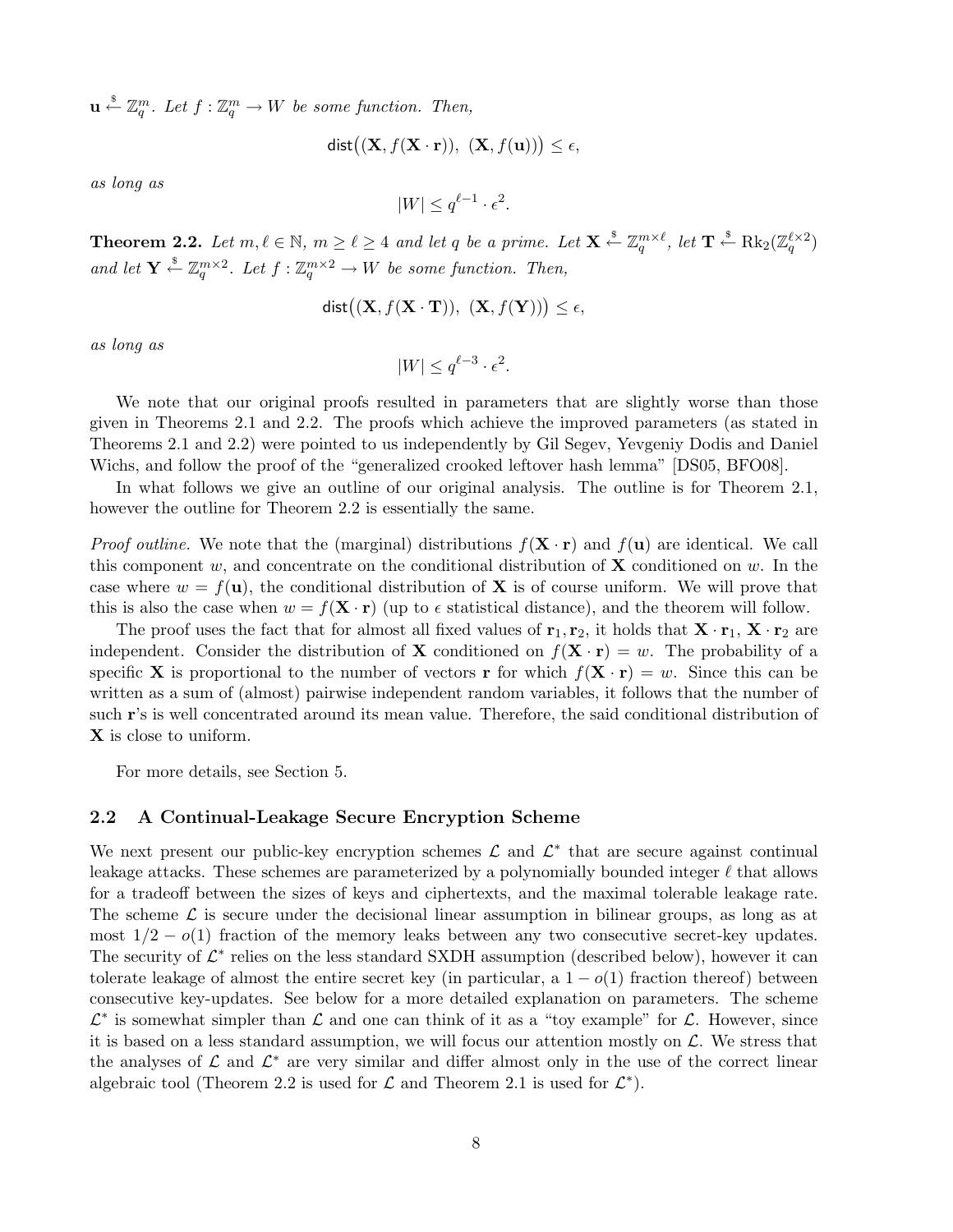$\mathbf{u} \stackrel{\$}{\leftarrow} \mathbb{Z}_q^m$ . Let  $f : \mathbb{Z}_q^m \to W$  be some function. Then,

$$
dist((\mathbf{X}, f(\mathbf{X} \cdot \mathbf{r})), (\mathbf{X}, f(\mathbf{u}))) \le \epsilon,
$$

as long as

$$
|W| \le q^{\ell-1} \cdot \epsilon^2.
$$

**Theorem 2.2.** Let  $m, \ell \in \mathbb{N}$ ,  $m \geq \ell \geq 4$  and let q be a prime. Let  $\mathbf{X} \stackrel{\$}{\leftarrow} \mathbb{Z}_q^{m \times \ell}$ , let  $\mathbf{T} \stackrel{\$}{\leftarrow} \text{Rk}_2(\mathbb{Z}_q^{\ell \times 2})$ and let  $\mathbf{Y} \stackrel{\$}{\leftarrow} \mathbb{Z}_q^{m \times 2}$ . Let  $f : \mathbb{Z}_q^{m \times 2} \to W$  be some function. Then,

$$
dist((\mathbf{X}, f(\mathbf{X} \cdot \mathbf{T})), (\mathbf{X}, f(\mathbf{Y}))) \le \epsilon,
$$

as long as

$$
|W| \le q^{\ell-3} \cdot \epsilon^2.
$$

We note that our original proofs resulted in parameters that are slightly worse than those given in Theorems 2.1 and 2.2. The proofs which achieve the improved parameters (as stated in Theorems 2.1 and 2.2) were pointed to us independently by Gil Segev, Yevgeniy Dodis and Daniel Wichs, and follow the proof of the "generalized crooked leftover hash lemma" [DS05, BFO08].

In what follows we give an outline of our original analysis. The outline is for Theorem 2.1, however the outline for Theorem 2.2 is essentially the same.

*Proof outline.* We note that the (marginal) distributions  $f(\mathbf{X} \cdot \mathbf{r})$  and  $f(\mathbf{u})$  are identical. We call this component w, and concentrate on the conditional distribution of  $X$  conditioned on w. In the case where  $w = f(\mathbf{u})$ , the conditional distribution of **X** is of course uniform. We will prove that this is also the case when  $w = f(\mathbf{X} \cdot \mathbf{r})$  (up to  $\epsilon$  statistical distance), and the theorem will follow.

The proof uses the fact that for almost all fixed values of  $\mathbf{r}_1, \mathbf{r}_2$ , it holds that  $\mathbf{X} \cdot \mathbf{r}_1$ ,  $\mathbf{X} \cdot \mathbf{r}_2$  are independent. Consider the distribution of **X** conditioned on  $f(\mathbf{X} \cdot \mathbf{r}) = w$ . The probability of a specific **X** is proportional to the number of vectors **r** for which  $f(\mathbf{X} \cdot \mathbf{r}) = w$ . Since this can be written as a sum of (almost) pairwise independent random variables, it follows that the number of such r's is well concentrated around its mean value. Therefore, the said conditional distribution of X is close to uniform.

For more details, see Section 5.

#### 2.2 A Continual-Leakage Secure Encryption Scheme

We next present our public-key encryption schemes  $\mathcal L$  and  $\mathcal L^*$  that are secure against continual leakage attacks. These schemes are parameterized by a polynomially bounded integer  $\ell$  that allows for a tradeoff between the sizes of keys and ciphertexts, and the maximal tolerable leakage rate. The scheme  $\mathcal L$  is secure under the decisional linear assumption in bilinear groups, as long as at most  $1/2 - o(1)$  fraction of the memory leaks between any two consecutive secret-key updates. The security of  $\mathcal{L}^*$  relies on the less standard SXDH assumption (described below), however it can tolerate leakage of almost the entire secret key (in particular, a  $1-o(1)$  fraction thereof) between consecutive key-updates. See below for a more detailed explanation on parameters. The scheme  $\mathcal{L}^*$  is somewhat simpler than  $\mathcal L$  and one can think of it as a "toy example" for  $\mathcal L$ . However, since it is based on a less standard assumption, we will focus our attention mostly on  $\mathcal{L}$ . We stress that the analyses of  $\mathcal L$  and  $\mathcal L^*$  are very similar and differ almost only in the use of the correct linear algebraic tool (Theorem 2.2 is used for  $\mathcal L$  and Theorem 2.1 is used for  $\mathcal L^*$ ).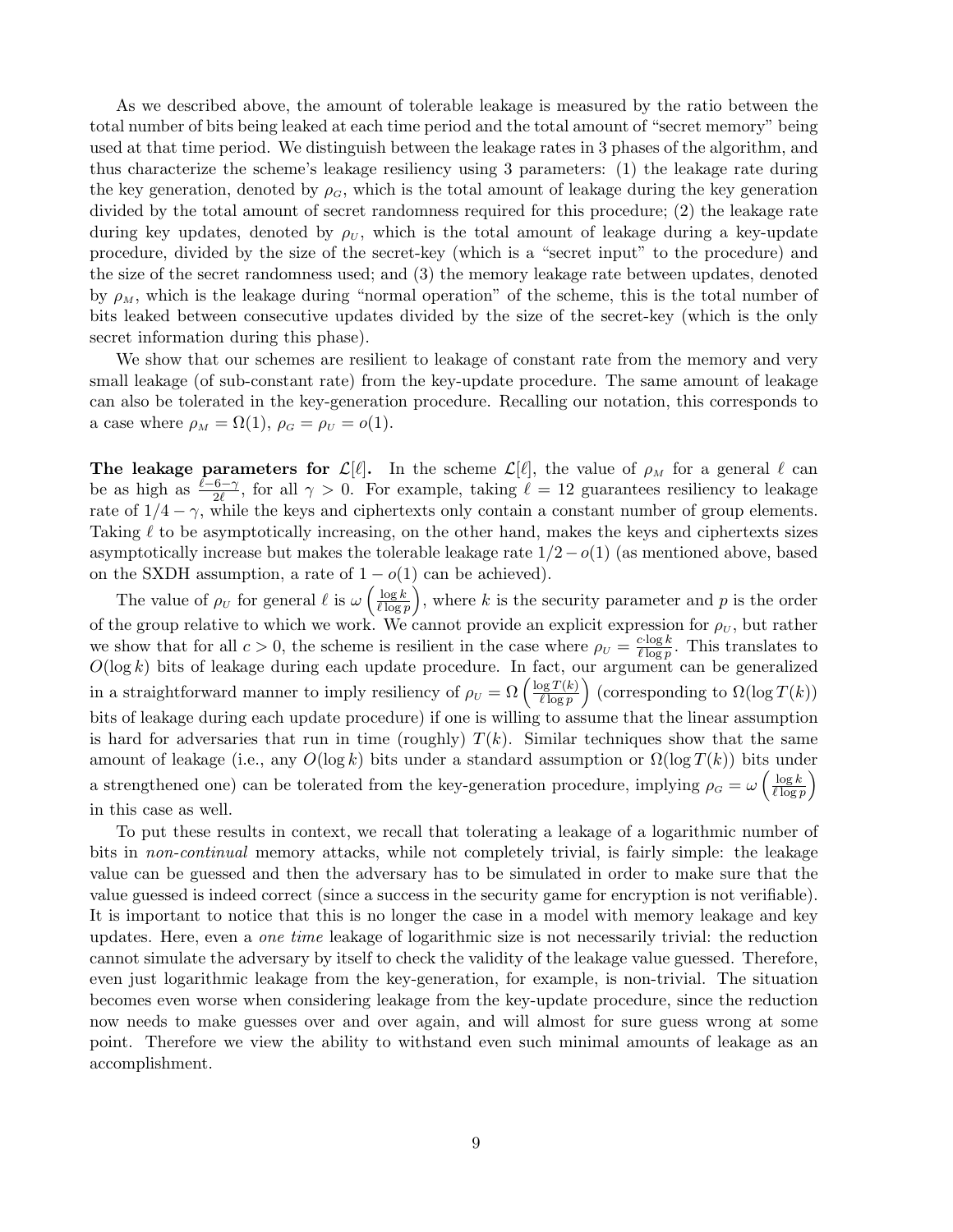As we described above, the amount of tolerable leakage is measured by the ratio between the total number of bits being leaked at each time period and the total amount of "secret memory" being used at that time period. We distinguish between the leakage rates in 3 phases of the algorithm, and thus characterize the scheme's leakage resiliency using 3 parameters: (1) the leakage rate during the key generation, denoted by  $\rho_G$ , which is the total amount of leakage during the key generation divided by the total amount of secret randomness required for this procedure; (2) the leakage rate during key updates, denoted by  $\rho_U$ , which is the total amount of leakage during a key-update procedure, divided by the size of the secret-key (which is a "secret input" to the procedure) and the size of the secret randomness used; and (3) the memory leakage rate between updates, denoted by  $\rho_M$ , which is the leakage during "normal operation" of the scheme, this is the total number of bits leaked between consecutive updates divided by the size of the secret-key (which is the only secret information during this phase).

We show that our schemes are resilient to leakage of constant rate from the memory and very small leakage (of sub-constant rate) from the key-update procedure. The same amount of leakage can also be tolerated in the key-generation procedure. Recalling our notation, this corresponds to a case where  $\rho_M = \Omega(1)$ ,  $\rho_G = \rho_U = o(1)$ .

**The leakage parameters for**  $\mathcal{L}[\ell]$ . In the scheme  $\mathcal{L}[\ell]$ , the value of  $\rho_M$  for a general  $\ell$  can be as high as  $\frac{\ell-6-\gamma}{2\ell}$ , for all  $\gamma > 0$ . For example, taking  $\ell = 12$  guarantees resiliency to leakage rate of  $1/4 - \gamma$ , while the keys and ciphertexts only contain a constant number of group elements. Taking  $\ell$  to be asymptotically increasing, on the other hand, makes the keys and ciphertexts sizes asymptotically increase but makes the tolerable leakage rate  $1/2-o(1)$  (as mentioned above, based on the SXDH assumption, a rate of  $1 - o(1)$  can be achieved).

The value of  $\rho_U$  for general  $\ell$  is  $\omega \left( \frac{\log k}{\ell \log n} \right)$  $\frac{\log k}{\ell \log p}$ , where k is the security parameter and p is the order of the group relative to which we work. We cannot provide an explicit expression for  $\rho_U$ , but rather we show that for all  $c > 0$ , the scheme is resilient in the case where  $\rho_U = \frac{c \cdot \log k}{\ell \log n}$  $\frac{c \cdot \log k}{\ell \log p}$ . This translates to  $O(\log k)$  bits of leakage during each update procedure. In fact, our argument can be generalized<br>in a straightforward manner to imply resiliency of  $\rho_U = \Omega\left(\frac{\log T(k)}{l \log n}\right)$  (corresponding to  $\Omega(\log T(k))$  $\overline{\ell \log p}$ u:<br>` (corresponding to  $\Omega(\log T(k))$ ) bits of leakage during each update procedure) if one is willing to assume that the linear assumption is hard for adversaries that run in time (roughly)  $T(k)$ . Similar techniques show that the same amount of leakage (i.e., any  $O(\log k)$  bits under a standard assumption or  $\Omega(\log T(k))$  bits under a strengthened one) can be tolerated from the key-generation procedure, implying  $\rho_G = \omega \left( \frac{\log k}{\ell \log n} \right)$  $\overline{\ell \log p}$ in this case as well.

To put these results in context, we recall that tolerating a leakage of a logarithmic number of bits in non-continual memory attacks, while not completely trivial, is fairly simple: the leakage value can be guessed and then the adversary has to be simulated in order to make sure that the value guessed is indeed correct (since a success in the security game for encryption is not verifiable). It is important to notice that this is no longer the case in a model with memory leakage and key updates. Here, even a one time leakage of logarithmic size is not necessarily trivial: the reduction cannot simulate the adversary by itself to check the validity of the leakage value guessed. Therefore, even just logarithmic leakage from the key-generation, for example, is non-trivial. The situation becomes even worse when considering leakage from the key-update procedure, since the reduction now needs to make guesses over and over again, and will almost for sure guess wrong at some point. Therefore we view the ability to withstand even such minimal amounts of leakage as an accomplishment.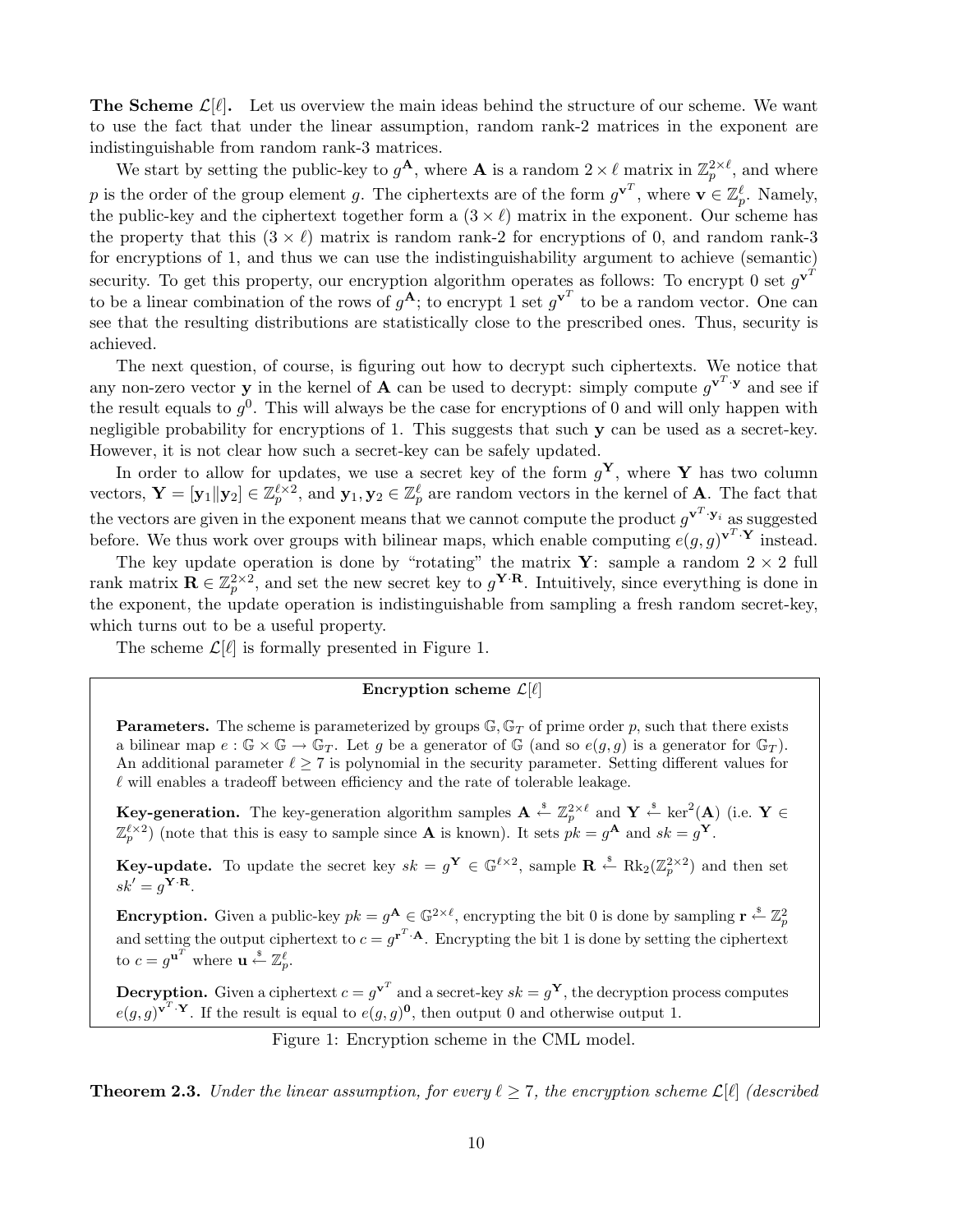**The Scheme**  $\mathcal{L}[\ell]$ . Let us overview the main ideas behind the structure of our scheme. We want to use the fact that under the linear assumption, random rank-2 matrices in the exponent are indistinguishable from random rank-3 matrices.

We start by setting the public-key to  $g^{\mathbf{A}}$ , where **A** is a random  $2 \times \ell$  matrix in  $\mathbb{Z}_p^{2 \times \ell}$ , and where p is the order of the group element g. The ciphertexts are of the form  $g^{\mathbf{v}^T}$ , where  $\mathbf{v} \in \mathbb{Z}_p^{\ell}$ . Namely, the public-key and the ciphertext together form a  $(3 \times \ell)$  matrix in the exponent. Our scheme has the property that this  $(3 \times \ell)$  matrix is random rank-2 for encryptions of 0, and random rank-3 for encryptions of 1, and thus we can use the indistinguishability argument to achieve (semantic) security. To get this property, our encryption algorithm operates as follows: To encrypt 0 set  $g^{\mathbf{v}^T}$ to be a linear combination of the rows of  $g^A$ ; to encrypt 1 set  $g^{\mathbf{v}^T}$  to be a random vector. One can see that the resulting distributions are statistically close to the prescribed ones. Thus, security is achieved.

The next question, of course, is figuring out how to decrypt such ciphertexts. We notice that any non-zero vector **y** in the kernel of **A** can be used to decrypt: simply compute  $g^{\mathbf{v}^T \cdot \mathbf{y}}$  and see if the result equals to  $g^0$ . This will always be the case for encryptions of 0 and will only happen with negligible probability for encryptions of 1. This suggests that such y can be used as a secret-key. However, it is not clear how such a secret-key can be safely updated.

In order to allow for updates, we use a secret key of the form  $g^{\mathbf{Y}}$ , where Y has two column vectors,  $\mathbf{Y} = [\mathbf{y}_1 || \mathbf{y}_2] \in \mathbb{Z}_p^{\ell \times 2}$ , and  $\mathbf{y}_1, \mathbf{y}_2 \in \mathbb{Z}_p^{\ell}$  are random vectors in the kernel of **A**. The fact that the vectors are given in the exponent means that we cannot compute the product  $g^{\mathbf{v}^T \cdot \mathbf{y}_i}$  as suggested before. We thus work over groups with bilinear maps, which enable computing  $e(g, g)^{\mathbf{v}^T \cdot \mathbf{Y}}$  instead.

The key update operation is done by "rotating" the matrix **Y**: sample a random  $2 \times 2$  full rank matrix  $\mathbf{R} \in \mathbb{Z}_p^{2 \times 2}$ , and set the new secret key to  $g^{\mathbf{Y} \cdot \mathbf{R}}$ . Intuitively, since everything is done in the exponent, the update operation is indistinguishable from sampling a fresh random secret-key, which turns out to be a useful property.

The scheme  $\mathcal{L}[\ell]$  is formally presented in Figure 1.

## Encryption scheme  $\mathcal{L}[\ell]$

**Parameters.** The scheme is parameterized by groups  $\mathbb{G}, \mathbb{G}_T$  of prime order p, such that there exists a bilinear map  $e : \mathbb{G} \times \mathbb{G} \to \mathbb{G}_T$ . Let g be a generator of  $\mathbb{G}$  (and so  $e(g, g)$  is a generator for  $\mathbb{G}_T$ ). An additional parameter  $\ell \geq 7$  is polynomial in the security parameter. Setting different values for  $\ell$  will enables a tradeoff between efficiency and the rate of tolerable leakage.

**Key-generation.** The key-generation algorithm samples  $\mathbf{A} \stackrel{\hspace{0.1em}\mathsf{\scriptscriptstyle\$}}{\leftarrow} \mathbb{Z}_p^{2\times \ell}$  and  $\mathbf{Y} \stackrel{\hspace{0.1em}\mathsf{\scriptscriptstyle\$}}{\leftarrow} \ker^2(\mathbf{A})$  (i.e.  $\mathbf{Y} \in$  $\mathbb{Z}_p^{\ell \times 2}$  (note that this is easy to sample since **A** is known). It sets  $pk = g^{\mathbf{A}}$  and  $sk = g^{\mathbf{Y}}$ .

**Key-update.** To update the secret key  $sk = g^{\mathbf{Y}} \in \mathbb{G}^{\ell \times 2}$ , sample  $\mathbf{R} \stackrel{\text{s}}{\leftarrow} \text{Rk}_2(\mathbb{Z}_p^{2 \times 2})$  and then set  $sk' = g^{\mathbf{Y} \cdot \mathbf{R}}.$ 

**Encryption.** Given a public-key  $pk = g^{\mathbf{A}} \in \mathbb{G}^{2 \times \ell}$ , encrypting the bit 0 is done by sampling  $\mathbf{r} \leftarrow \mathbb{Z}_p^2$ and setting the output ciphertext to  $c = g^{r^T \cdot A}$ . Encrypting the bit 1 is done by setting the ciphertext to  $c = g^{\mathbf{u}^T}$  where  $\mathbf{u} \stackrel{\mathbf{\$}}{\leftarrow} \mathbb{Z}_p^{\ell}$ .

**Decryption.** Given a ciphertext  $c = g^{\mathbf{v}^T}$  and a secret-key  $sk = g^{\mathbf{Y}}$ , the decryption process computes  $e(g,g)^{\mathbf{v}^T\cdot\mathbf{Y}}$ . If the result is equal to  $e(g,g)^{\mathbf{0}}$ , then output 0 and otherwise output 1.

Figure 1: Encryption scheme in the CML model.

**Theorem 2.3.** Under the linear assumption, for every  $\ell \geq 7$ , the encryption scheme  $\mathcal{L}[\ell]$  (described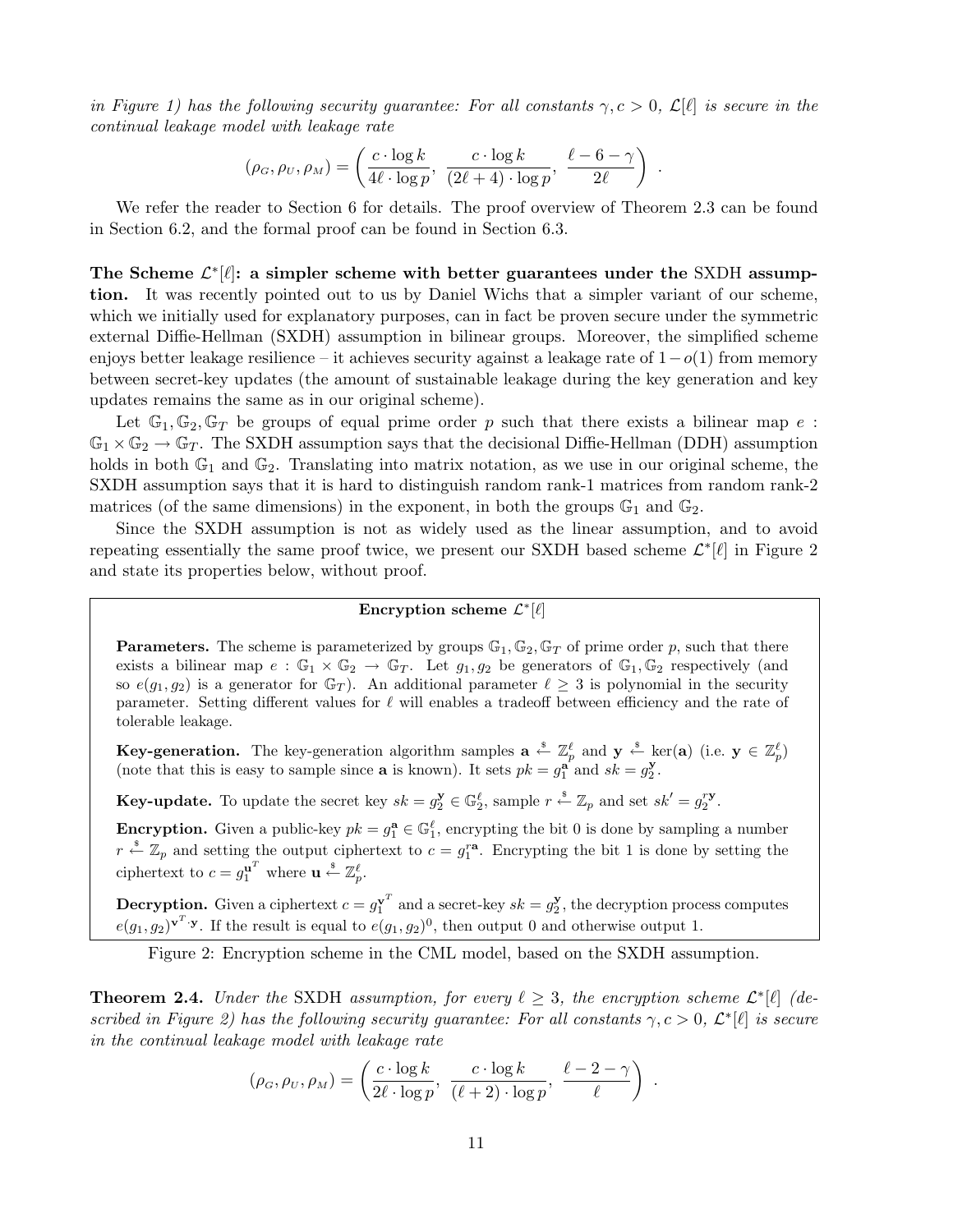in Figure 1) has the following security guarantee: For all constants  $\gamma, c > 0, \mathcal{L}[\ell]$  is secure in the continual leakage model with leakage rate

$$
(\rho_G, \rho_U, \rho_M) = \left(\frac{c \cdot \log k}{4\ell \cdot \log p}, \ \frac{c \cdot \log k}{(2\ell + 4) \cdot \log p}, \ \frac{\ell - 6 - \gamma}{2\ell}\right) .
$$

We refer the reader to Section 6 for details. The proof overview of Theorem 2.3 can be found in Section 6.2, and the formal proof can be found in Section 6.3.

The Scheme  $\mathcal{L}^*[\ell]$ : a simpler scheme with better guarantees under the SXDH assumption. It was recently pointed out to us by Daniel Wichs that a simpler variant of our scheme, which we initially used for explanatory purposes, can in fact be proven secure under the symmetric external Diffie-Hellman (SXDH) assumption in bilinear groups. Moreover, the simplified scheme enjoys better leakage resilience – it achieves security against a leakage rate of  $1-o(1)$  from memory between secret-key updates (the amount of sustainable leakage during the key generation and key updates remains the same as in our original scheme).

Let  $\mathbb{G}_1, \mathbb{G}_2, \mathbb{G}_T$  be groups of equal prime order p such that there exists a bilinear map e:  $\mathbb{G}_1 \times \mathbb{G}_2 \to \mathbb{G}_T$ . The SXDH assumption says that the decisional Diffie-Hellman (DDH) assumption holds in both  $\mathbb{G}_1$  and  $\mathbb{G}_2$ . Translating into matrix notation, as we use in our original scheme, the SXDH assumption says that it is hard to distinguish random rank-1 matrices from random rank-2 matrices (of the same dimensions) in the exponent, in both the groups  $\mathbb{G}_1$  and  $\mathbb{G}_2$ .

Since the SXDH assumption is not as widely used as the linear assumption, and to avoid repeating essentially the same proof twice, we present our SXDH based scheme  $\mathcal{L}^*[\ell]$  in Figure 2 and state its properties below, without proof.

## Encryption scheme  $\mathcal{L}^*[\ell]$

**Parameters.** The scheme is parameterized by groups  $\mathbb{G}_1, \mathbb{G}_2, \mathbb{G}_T$  of prime order p, such that there exists a bilinear map  $e : \mathbb{G}_1 \times \mathbb{G}_2 \to \mathbb{G}_T$ . Let  $g_1, g_2$  be generators of  $\mathbb{G}_1, \mathbb{G}_2$  respectively (and so  $e(g_1, g_2)$  is a generator for  $\mathbb{G}_T$ ). An additional parameter  $\ell \geq 3$  is polynomial in the security parameter. Setting different values for  $\ell$  will enables a tradeoff between efficiency and the rate of tolerable leakage.

**Key-generation.** The key-generation algorithm samples  $\mathbf{a} \stackrel{s}{\leftarrow} \mathbb{Z}_p^{\ell}$  and  $\mathbf{y} \stackrel{s}{\leftarrow} \ker(\mathbf{a})$  (i.e.  $\mathbf{y} \in \mathbb{Z}_p^{\ell}$ ) (note that this is easy to sample since **a** is known). It sets  $pk = g_1^{\mathbf{a}}$  and  $sk = g_2^{\mathbf{y}}$ .

**Key-update.** To update the secret key  $sk = g_2^{\mathbf{y}} \in \mathbb{G}_2^{\ell}$ , sample  $r \stackrel{\$}{\leftarrow} \mathbb{Z}_p$  and set  $sk' = g_2^{\mathbf{r}\mathbf{y}}$ .

**Encryption.** Given a public-key  $pk = g_1^{\mathbf{a}} \in \mathbb{G}_1^{\ell}$ , encrypting the bit 0 is done by sampling a number  $r \stackrel{\hspace{0.1em}\mathsf{\scriptscriptstyle\$}}{\leftarrow} \mathbb{Z}_p$  and setting the output ciphertext to  $c = g_1^{r\mathbf{a}}$ . Encrypting the bit 1 is done by setting the ciphertext to  $c = g_1^{\mathbf{u}^T}$  where  $\mathbf{u} \stackrel{\ast}{\leftarrow} \mathbb{Z}_p^{\ell}$ .

**Decryption.** Given a ciphertext  $c = g_1^{v^T}$  and a secret-key  $sk = g_2^y$ , the decryption process computes  $e(g_1, g_2)$ <sup>v<sup>T</sup>·y. If the result is equal to  $e(g_1, g_2)^0$ , then output 0 and otherwise output 1.</sup>

Figure 2: Encryption scheme in the CML model, based on the SXDH assumption.

**Theorem 2.4.** Under the SXDH assumption, for every  $\ell \geq 3$ , the encryption scheme  $\mathcal{L}^*[\ell]$  (described in Figure 2) has the following security guarantee: For all constants  $\gamma, c > 0, \mathcal{L}^*[\ell]$  is secure in the continual leakage model with leakage rate

$$
(\rho_G, \rho_U, \rho_M) = \left(\frac{c \cdot \log k}{2\ell \cdot \log p}, \ \frac{c \cdot \log k}{(\ell+2) \cdot \log p}, \ \frac{\ell-2-\gamma}{\ell}\right) .
$$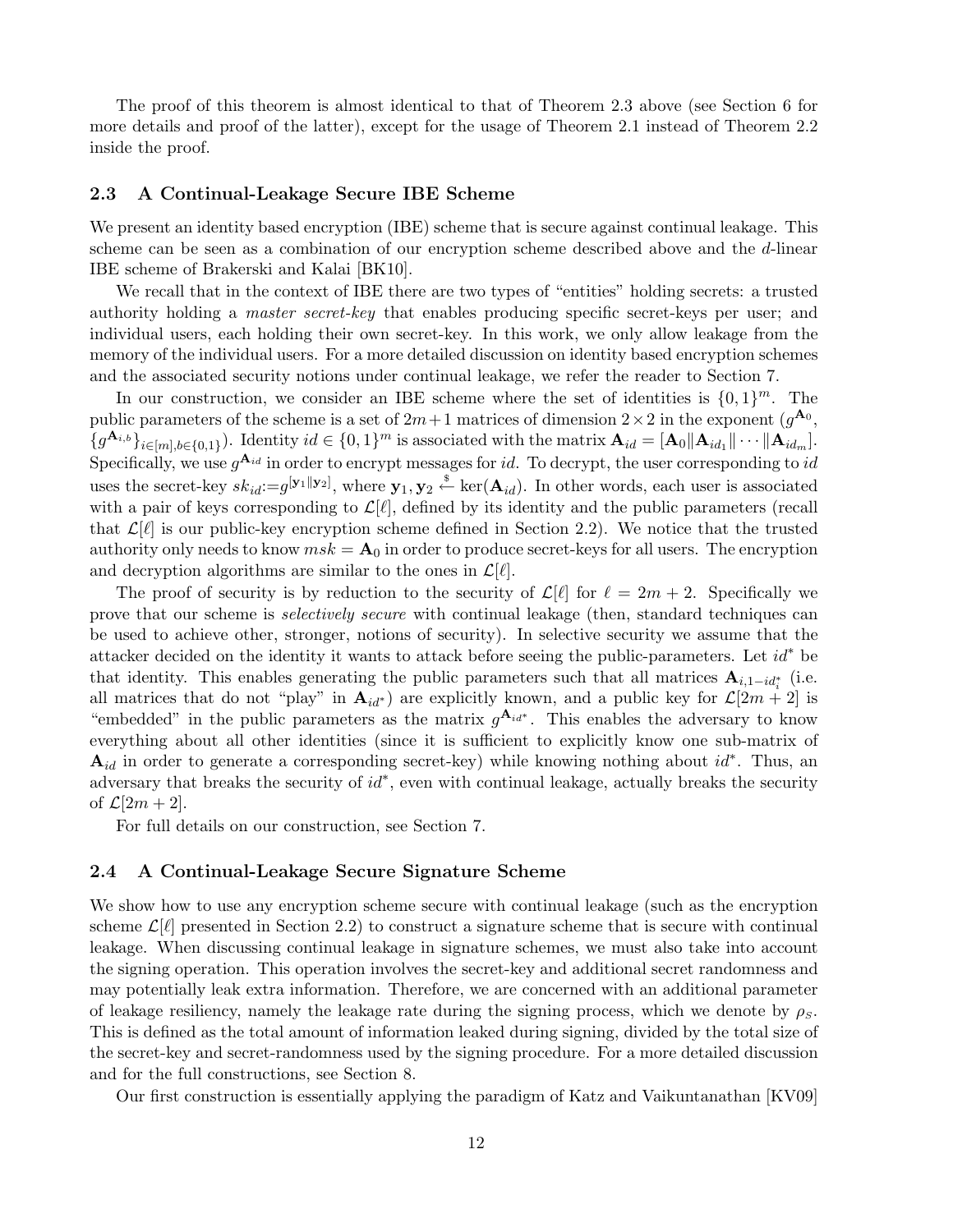The proof of this theorem is almost identical to that of Theorem 2.3 above (see Section 6 for more details and proof of the latter), except for the usage of Theorem 2.1 instead of Theorem 2.2 inside the proof.

### 2.3 A Continual-Leakage Secure IBE Scheme

We present an identity based encryption (IBE) scheme that is secure against continual leakage. This scheme can be seen as a combination of our encryption scheme described above and the d-linear IBE scheme of Brakerski and Kalai [BK10].

We recall that in the context of IBE there are two types of "entities" holding secrets: a trusted authority holding a master secret-key that enables producing specific secret-keys per user; and individual users, each holding their own secret-key. In this work, we only allow leakage from the memory of the individual users. For a more detailed discussion on identity based encryption schemes and the associated security notions under continual leakage, we refer the reader to Section 7.

In our construction, we consider an IBE scheme where the set of identities is  $\{0,1\}^m$ . The public parameters of the scheme is a set of  $2m+1$  matrices of dimension  $2\times 2$  in the exponent  $(g^{A_0},$  ${g^{\mathbf{A}_{i,b}}}_{i\in[m],b\in\{0,1\}}$ ). Identity  $id \in \{0,1\}^m$  is associated with the matrix  $\mathbf{A}_{id} = [\mathbf{A}_0 || \mathbf{A}_{id_1} || \cdots || \mathbf{A}_{id_m}]$ . Specifically, we use  $g^{\mathbf{A}_{id}}$  in order to encrypt messages for id. To decrypt, the user corresponding to id uses the secret-key  $sk_{id} := g^{[\mathbf{y}_1||\mathbf{y}_2]}$ , where  $\mathbf{y}_1, \mathbf{y}_2 \stackrel{\$}{\leftarrow} \ker(\mathbf{A}_{id})$ . In other words, each user is associated with a pair of keys corresponding to  $\mathcal{L}[\ell]$ , defined by its identity and the public parameters (recall that  $\mathcal{L}[\ell]$  is our public-key encryption scheme defined in Section 2.2). We notice that the trusted authority only needs to know  $msk = A_0$  in order to produce secret-keys for all users. The encryption and decryption algorithms are similar to the ones in  $\mathcal{L}[\ell].$ 

The proof of security is by reduction to the security of  $\mathcal{L}[\ell]$  for  $\ell = 2m + 2$ . Specifically we prove that our scheme is selectively secure with continual leakage (then, standard techniques can be used to achieve other, stronger, notions of security). In selective security we assume that the attacker decided on the identity it wants to attack before seeing the public-parameters. Let  $id^*$  be that identity. This enables generating the public parameters such that all matrices  $\mathbf{A}_{i,1-id_i^*}$  (i.e. all matrices that do not "play" in  $A_{id}$ <sup>\*</sup>) are explicitly known, and a public key for  $\mathcal{L}[2m + 2]$  is "embedded" in the public parameters as the matrix  $g^{\mathbf{A}_{id^*}}$ . This enables the adversary to know everything about all other identities (since it is sufficient to explicitly know one sub-matrix of  $\mathbf{A}_{id}$  in order to generate a corresponding secret-key) while knowing nothing about  $id^*$ . Thus, an adversary that breaks the security of  $id^*$ , even with continual leakage, actually breaks the security of  $\mathcal{L}[2m+2]$ .

For full details on our construction, see Section 7.

## 2.4 A Continual-Leakage Secure Signature Scheme

We show how to use any encryption scheme secure with continual leakage (such as the encryption scheme  $\mathcal{L}[\ell]$  presented in Section 2.2) to construct a signature scheme that is secure with continual leakage. When discussing continual leakage in signature schemes, we must also take into account the signing operation. This operation involves the secret-key and additional secret randomness and may potentially leak extra information. Therefore, we are concerned with an additional parameter of leakage resiliency, namely the leakage rate during the signing process, which we denote by  $\rho_s$ . This is defined as the total amount of information leaked during signing, divided by the total size of the secret-key and secret-randomness used by the signing procedure. For a more detailed discussion and for the full constructions, see Section 8.

Our first construction is essentially applying the paradigm of Katz and Vaikuntanathan [KV09]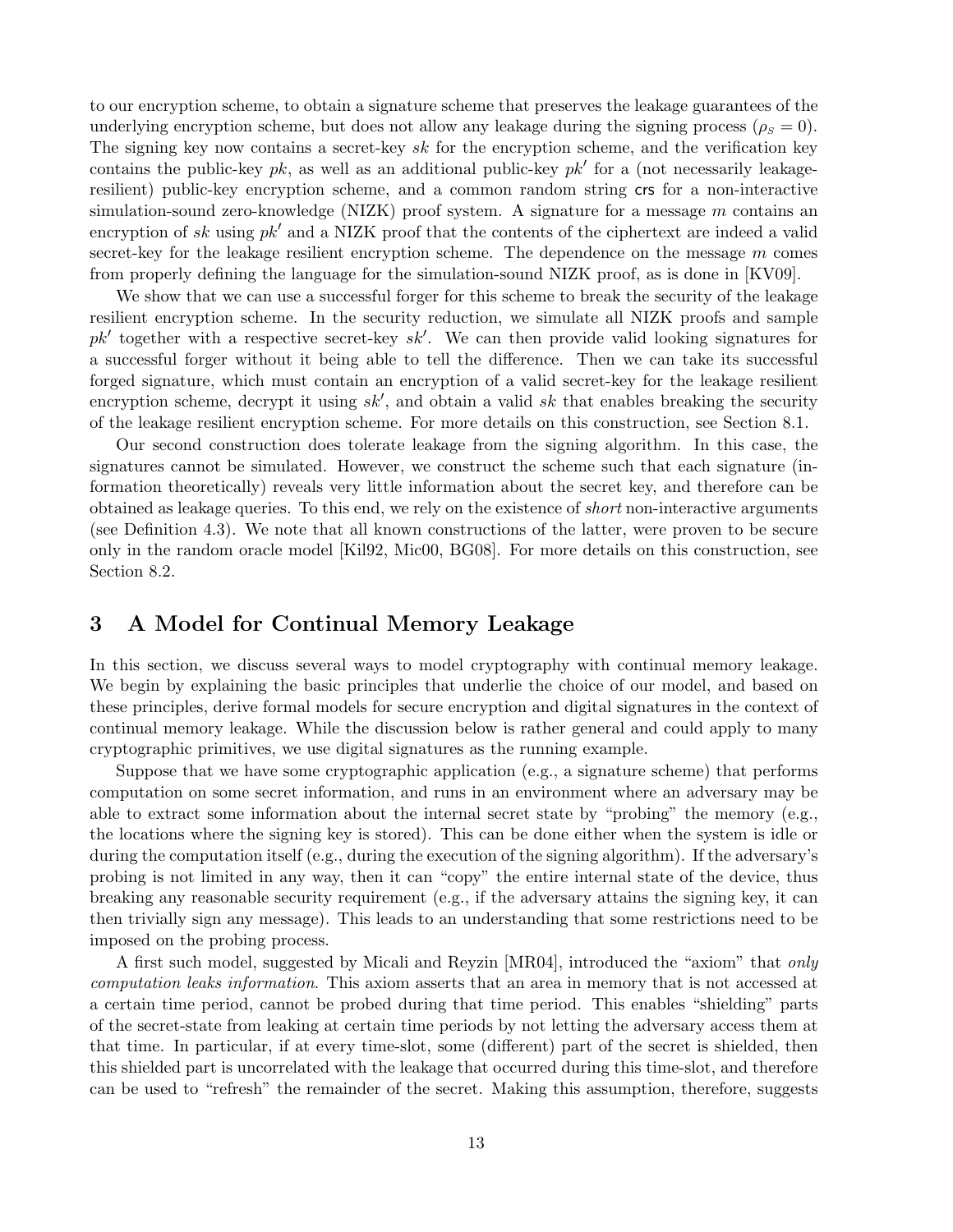to our encryption scheme, to obtain a signature scheme that preserves the leakage guarantees of the underlying encryption scheme, but does not allow any leakage during the signing process ( $\rho_s = 0$ ). The signing key now contains a secret-key sk for the encryption scheme, and the verification key contains the public-key  $pk$ , as well as an additional public-key  $pk'$  for a (not necessarily leakageresilient) public-key encryption scheme, and a common random string crs for a non-interactive simulation-sound zero-knowledge (NIZK) proof system. A signature for a message m contains an encryption of sk using  $pk'$  and a NIZK proof that the contents of the ciphertext are indeed a valid secret-key for the leakage resilient encryption scheme. The dependence on the message  $m$  comes from properly defining the language for the simulation-sound NIZK proof, as is done in [KV09].

We show that we can use a successful forger for this scheme to break the security of the leakage resilient encryption scheme. In the security reduction, we simulate all NIZK proofs and sample  $pk'$  together with a respective secret-key  $sk'$ . We can then provide valid looking signatures for a successful forger without it being able to tell the difference. Then we can take its successful forged signature, which must contain an encryption of a valid secret-key for the leakage resilient encryption scheme, decrypt it using  $sk'$ , and obtain a valid sk that enables breaking the security of the leakage resilient encryption scheme. For more details on this construction, see Section 8.1.

Our second construction does tolerate leakage from the signing algorithm. In this case, the signatures cannot be simulated. However, we construct the scheme such that each signature (information theoretically) reveals very little information about the secret key, and therefore can be obtained as leakage queries. To this end, we rely on the existence of short non-interactive arguments (see Definition 4.3). We note that all known constructions of the latter, were proven to be secure only in the random oracle model [Kil92, Mic00, BG08]. For more details on this construction, see Section 8.2.

# 3 A Model for Continual Memory Leakage

In this section, we discuss several ways to model cryptography with continual memory leakage. We begin by explaining the basic principles that underlie the choice of our model, and based on these principles, derive formal models for secure encryption and digital signatures in the context of continual memory leakage. While the discussion below is rather general and could apply to many cryptographic primitives, we use digital signatures as the running example.

Suppose that we have some cryptographic application (e.g., a signature scheme) that performs computation on some secret information, and runs in an environment where an adversary may be able to extract some information about the internal secret state by "probing" the memory (e.g., the locations where the signing key is stored). This can be done either when the system is idle or during the computation itself (e.g., during the execution of the signing algorithm). If the adversary's probing is not limited in any way, then it can "copy" the entire internal state of the device, thus breaking any reasonable security requirement (e.g., if the adversary attains the signing key, it can then trivially sign any message). This leads to an understanding that some restrictions need to be imposed on the probing process.

A first such model, suggested by Micali and Reyzin [MR04], introduced the "axiom" that only computation leaks information. This axiom asserts that an area in memory that is not accessed at a certain time period, cannot be probed during that time period. This enables "shielding" parts of the secret-state from leaking at certain time periods by not letting the adversary access them at that time. In particular, if at every time-slot, some (different) part of the secret is shielded, then this shielded part is uncorrelated with the leakage that occurred during this time-slot, and therefore can be used to "refresh" the remainder of the secret. Making this assumption, therefore, suggests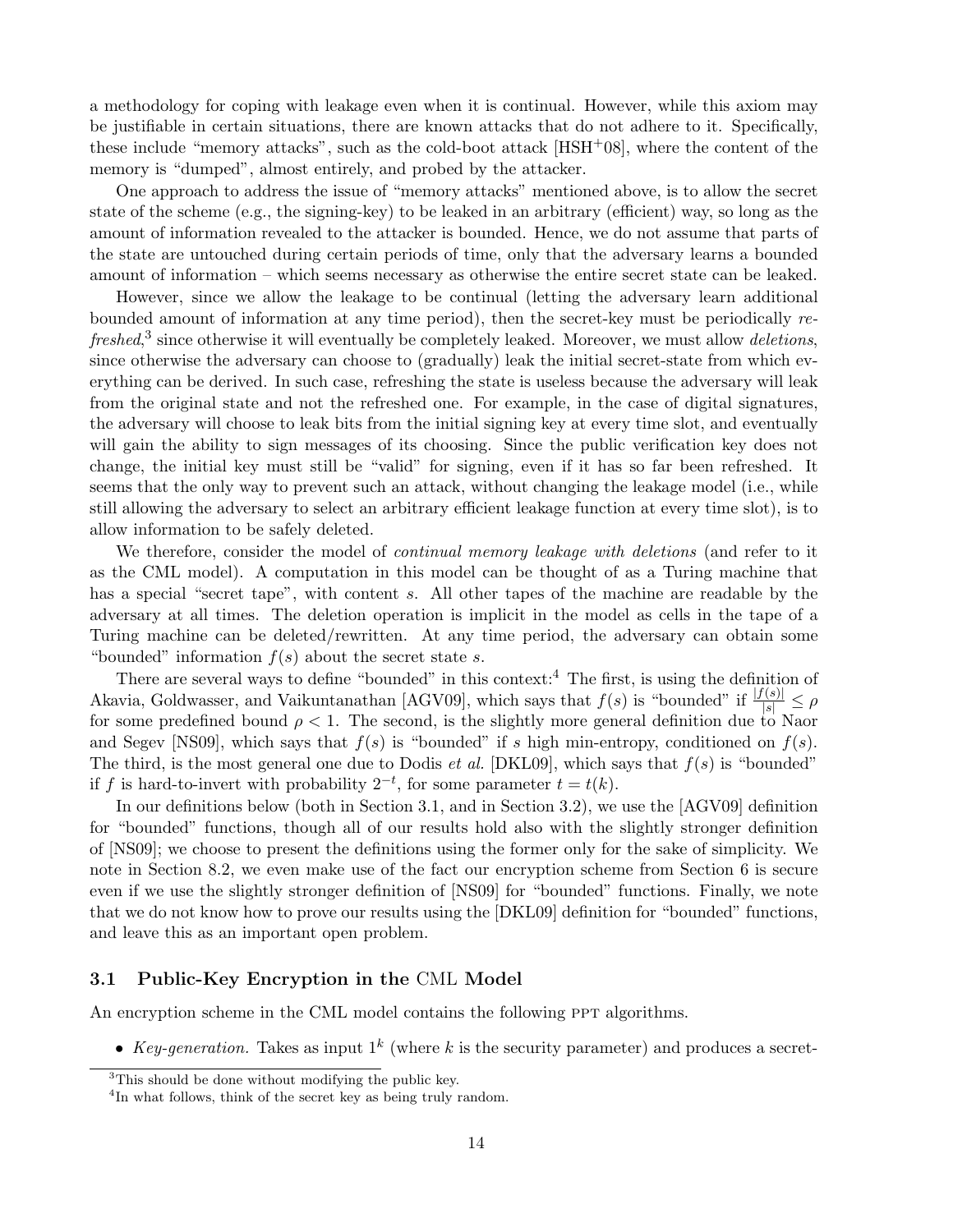a methodology for coping with leakage even when it is continual. However, while this axiom may be justifiable in certain situations, there are known attacks that do not adhere to it. Specifically, these include "memory attacks", such as the cold-boot attack  $[HSH<sup>+</sup>08]$ , where the content of the memory is "dumped", almost entirely, and probed by the attacker.

One approach to address the issue of "memory attacks" mentioned above, is to allow the secret state of the scheme (e.g., the signing-key) to be leaked in an arbitrary (efficient) way, so long as the amount of information revealed to the attacker is bounded. Hence, we do not assume that parts of the state are untouched during certain periods of time, only that the adversary learns a bounded amount of information – which seems necessary as otherwise the entire secret state can be leaked.

However, since we allow the leakage to be continual (letting the adversary learn additional bounded amount of information at any time period), then the secret-key must be periodically refreshed,<sup>3</sup> since otherwise it will eventually be completely leaked. Moreover, we must allow deletions, since otherwise the adversary can choose to (gradually) leak the initial secret-state from which everything can be derived. In such case, refreshing the state is useless because the adversary will leak from the original state and not the refreshed one. For example, in the case of digital signatures, the adversary will choose to leak bits from the initial signing key at every time slot, and eventually will gain the ability to sign messages of its choosing. Since the public verification key does not change, the initial key must still be "valid" for signing, even if it has so far been refreshed. It seems that the only way to prevent such an attack, without changing the leakage model (i.e., while still allowing the adversary to select an arbitrary efficient leakage function at every time slot), is to allow information to be safely deleted.

We therefore, consider the model of *continual memory leakage with deletions* (and refer to it as the CML model). A computation in this model can be thought of as a Turing machine that has a special "secret tape", with content s. All other tapes of the machine are readable by the adversary at all times. The deletion operation is implicit in the model as cells in the tape of a Turing machine can be deleted/rewritten. At any time period, the adversary can obtain some "bounded" information  $f(s)$  about the secret state s.

There are several ways to define "bounded" in this context:<sup>4</sup> The first, is using the definition of Akavia, Goldwasser, and Vaikuntanathan [AGV09], which says that  $f(s)$  is "bounded" if  $\frac{|f(s)|}{|s|} \leq \rho$ for some predefined bound  $\rho < 1$ . The second, is the slightly more general definition due to Naor and Segev [NS09], which says that  $f(s)$  is "bounded" if s high min-entropy, conditioned on  $f(s)$ . The third, is the most general one due to Dodis *et al.* [DKL09], which says that  $f(s)$  is "bounded" if f is hard-to-invert with probability  $2^{-t}$ , for some parameter  $t = t(k)$ .

In our definitions below (both in Section 3.1, and in Section 3.2), we use the [AGV09] definition for "bounded" functions, though all of our results hold also with the slightly stronger definition of [NS09]; we choose to present the definitions using the former only for the sake of simplicity. We note in Section 8.2, we even make use of the fact our encryption scheme from Section 6 is secure even if we use the slightly stronger definition of [NS09] for "bounded" functions. Finally, we note that we do not know how to prove our results using the [DKL09] definition for "bounded" functions, and leave this as an important open problem.

## 3.1 Public-Key Encryption in the CML Model

An encryption scheme in the CML model contains the following PPT algorithms.

• Key-generation. Takes as input  $1^k$  (where k is the security parameter) and produces a secret-

<sup>3</sup>This should be done without modifying the public key.

<sup>&</sup>lt;sup>4</sup>In what follows, think of the secret key as being truly random.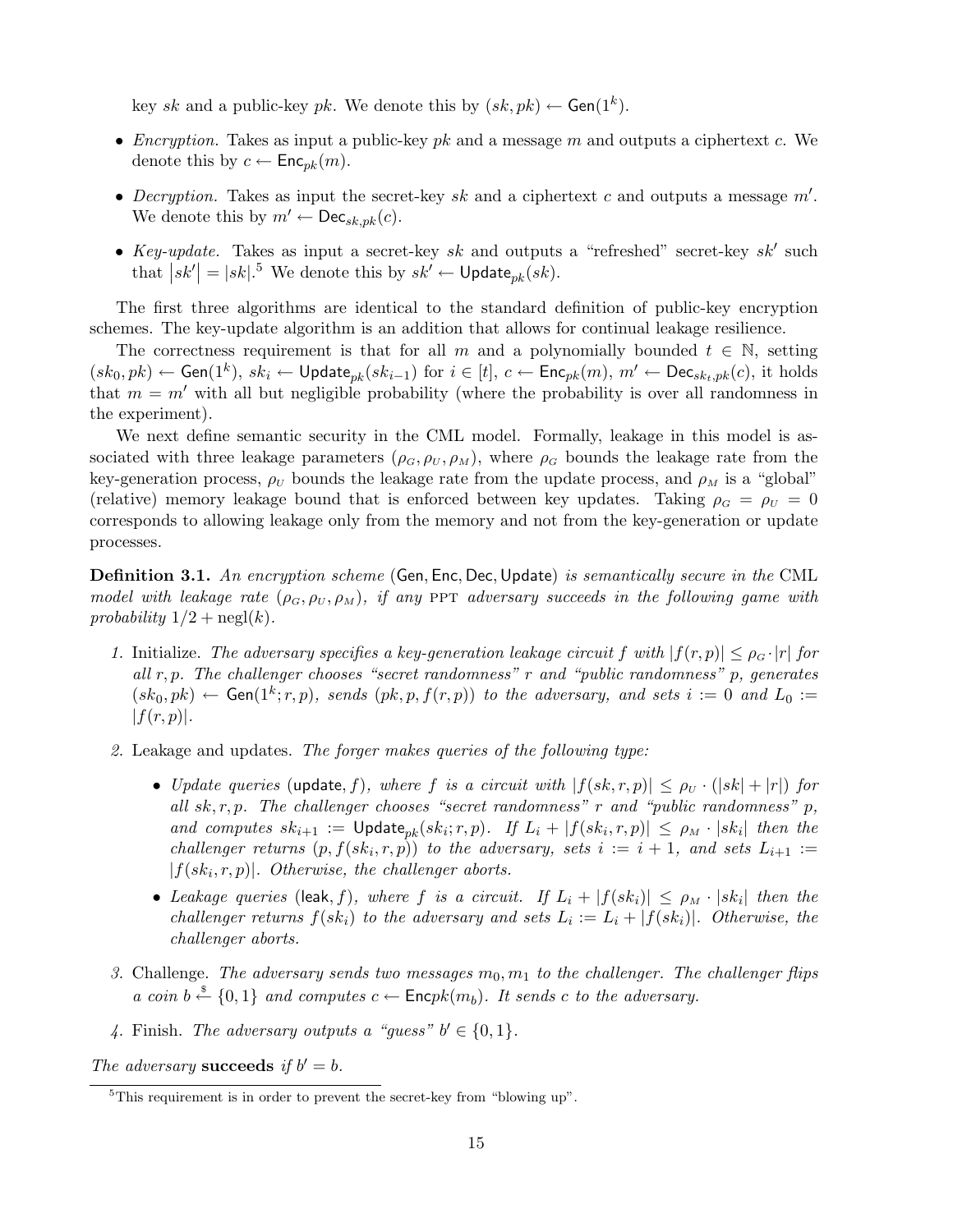key sk and a public-key pk. We denote this by  $(sk, pk) \leftarrow$  Gen(1<sup>k</sup>).

- Encryption. Takes as input a public-key pk and a message  $m$  and outputs a ciphertext  $c$ . We denote this by  $c \leftarrow \mathsf{Enc}_{pk}(m)$ .
- Decryption. Takes as input the secret-key sk and a ciphertext c and outputs a message  $m'$ . We denote this by  $m' \leftarrow \mathsf{Dec}_{sk,pk}(c)$ .
- Key-update. Takes as input a secret-key sk and outputs a "refreshed" secret-key sk' such that  $|sk'| = |sk|$ <sup>5</sup> We denote this by  $sk' \leftarrow \mathsf{Update}_{pk}(sk)$ .

The first three algorithms are identical to the standard definition of public-key encryption schemes. The key-update algorithm is an addition that allows for continual leakage resilience.

The correctness requirement is that for all m and a polynomially bounded  $t \in \mathbb{N}$ , setting  $(s k_0, pk) \leftarrow$  Gen $(1^k)$ ,  $sk_i \leftarrow$  Update $_{pk}(sk_{i-1})$  for  $i \in [t]$ ,  $c \leftarrow$  Enc $_{pk}(m)$ ,  $m' \leftarrow$  Dec $_{sk_t, pk}(c)$ , it holds that  $m = m'$  with all but negligible probability (where the probability is over all randomness in the experiment).

We next define semantic security in the CML model. Formally, leakage in this model is associated with three leakage parameters  $(\rho_G, \rho_U, \rho_M)$ , where  $\rho_G$  bounds the leakage rate from the key-generation process,  $\rho_U$  bounds the leakage rate from the update process, and  $\rho_M$  is a "global" (relative) memory leakage bound that is enforced between key updates. Taking  $\rho_G = \rho_U = 0$ corresponds to allowing leakage only from the memory and not from the key-generation or update processes.

**Definition 3.1.** An encryption scheme (Gen, Enc, Dec, Update) is semantically secure in the CML model with leakage rate  $(\rho_G, \rho_U, \rho_M)$ , if any PPT adversary succeeds in the following game with probability  $1/2 + \text{negl}(k)$ .

- 1. Initialize. The adversary specifies a key-generation leakage circuit f with  $|f(r, p)| \leq \rho_G \cdot |r|$  for all  $r, p$ . The challenger chooses "secret randomness"  $r$  and "public randomness"  $p$ , generates  $(s k_0, pk) \leftarrow$  Gen $(1^k; r, p)$ , sends  $(pk, p, f(r, p))$  to the adversary, and sets  $i := 0$  and  $L_0 :=$  $|f(r, p)|$ .
- 2. Leakage and updates. The forger makes queries of the following type:
	- Update queries (update, f), where f is a circuit with  $|f(sk, r, p)| \le \rho_U \cdot (|sk| + |r|)$  for all  $sk, r, p$ . The challenger chooses "secret randomness" r and "public randomness" p, and computes  $sk_{i+1} := \text{Update}_{pk}(sk_i; r, p)$ . If  $L_i + |f(sk_i, r, p)| \le \rho_M \cdot |sk_i|$  then the challenger returns  $(p, f(sk_i, r, p))$  to the adversary, sets  $i := i + 1$ , and sets  $L_{i+1} :=$  $|f(sk_i,r,p)|$ . Otherwise, the challenger aborts.
	- Leakage queries (leak, f), where f is a circuit. If  $L_i + |f(sk_i)| \le \rho_M \cdot |sk_i|$  then the challenger returns  $f(sk_i)$  to the adversary and sets  $L_i := L_i + |f(sk_i)|$ . Otherwise, the challenger aborts.
- 3. Challenge. The adversary sends two messages  $m_0, m_1$  to the challenger. The challenger flips a coin  $b \stackrel{\$}{\leftarrow} \{0,1\}$  and computes  $c \leftarrow \mathsf{Encpk}(m_b)$ . It sends c to the adversary.
- 4. Finish. The adversary outputs a "guess"  $b' \in \{0, 1\}$ .

The adversary succeeds if  $b' = b$ .

 $5$ This requirement is in order to prevent the secret-key from "blowing up".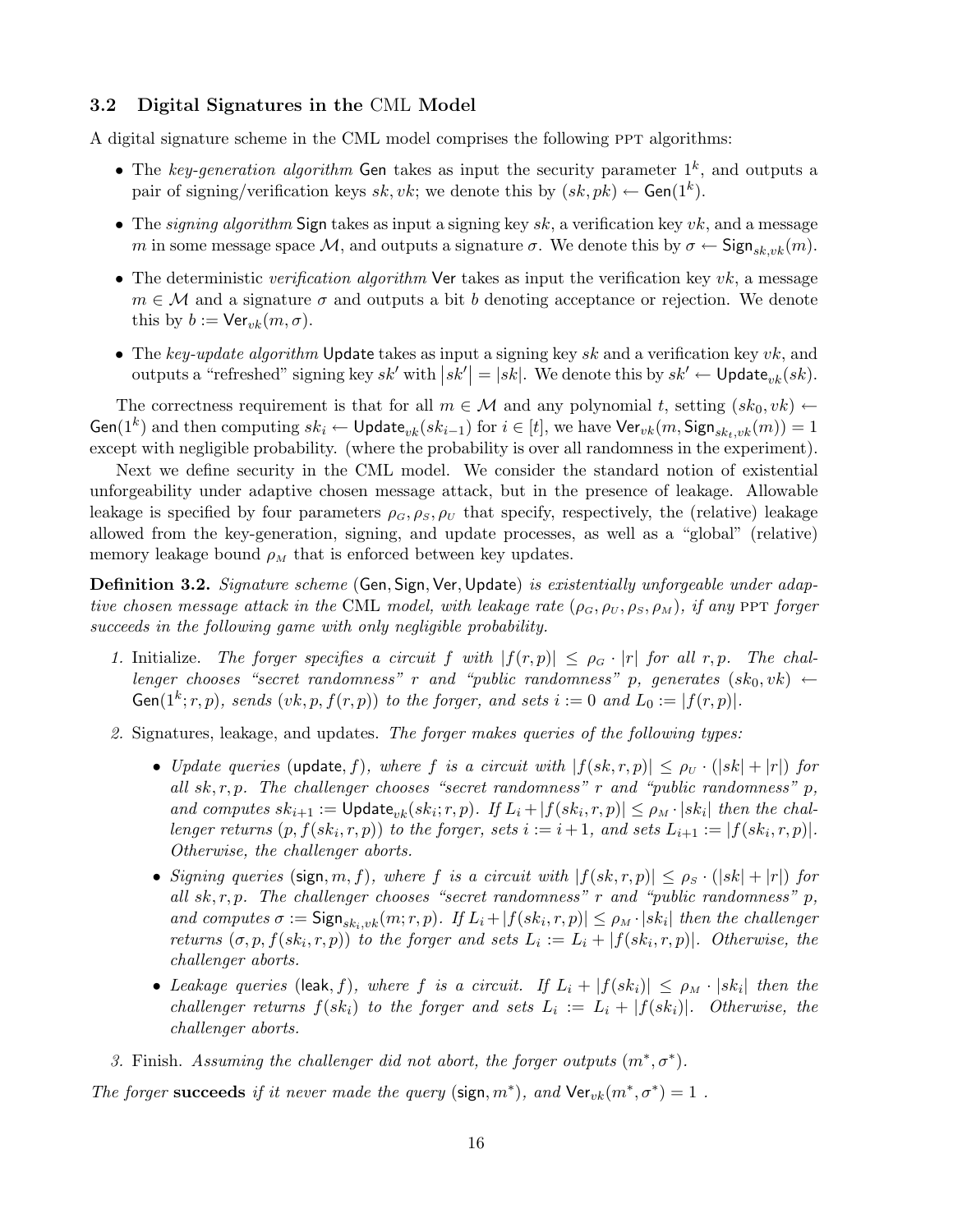## 3.2 Digital Signatures in the CML Model

A digital signature scheme in the CML model comprises the following PPT algorithms:

- The key-generation algorithm Gen takes as input the security parameter  $1^k$ , and outputs a pair of signing/verification keys sk, vk; we denote this by  $(sk, pk) \leftarrow$  Gen $(1^k)$ .
- The signing algorithm Sign takes as input a signing key  $sk$ , a verification key  $vk$ , and a message m in some message space M, and outputs a signature  $\sigma$ . We denote this by  $\sigma \leftarrow \text{Sign}_{sk,vk}(m)$ .
- The deterministic verification algorithm Ver takes as input the verification key  $vk$ , a message  $m \in \mathcal{M}$  and a signature  $\sigma$  and outputs a bit b denoting acceptance or rejection. We denote this by  $b := \text{Ver}_{vk}(m, \sigma)$ .
- The key-update algorithm Update takes as input a signing key sk and a verification key  $vk$ , and outputs a "refreshed" signing key  $sk'$  with  $\left|sk'\right| = \left|sk\right|$ . We denote this by  $sk' \leftarrow \mathsf{Update}_{vk}(sk)$ .

The correctness requirement is that for all  $m \in \mathcal{M}$  and any polynomial t, setting  $(sk_0, vk) \leftarrow$ Gen $(1^k)$  and then computing  $sk_i \leftarrow \mathsf{Update}_{vk}(sk_{i-1})$  for  $i \in [t]$ , we have  $\mathsf{Ver}_{vk}(m, \mathsf{Sign}_{sk_t, vk}(m)) = 1$ except with negligible probability. (where the probability is over all randomness in the experiment).

Next we define security in the CML model. We consider the standard notion of existential unforgeability under adaptive chosen message attack, but in the presence of leakage. Allowable leakage is specified by four parameters  $\rho_G$ ,  $\rho_S$ ,  $\rho_U$  that specify, respectively, the (relative) leakage allowed from the key-generation, signing, and update processes, as well as a "global" (relative) memory leakage bound  $\rho_M$  that is enforced between key updates.

Definition 3.2. Signature scheme (Gen, Sign, Ver, Update) is existentially unforgeable under adaptive chosen message attack in the CML model, with leakage rate  $(\rho_G, \rho_U, \rho_S, \rho_M)$ , if any PPT forger succeeds in the following game with only negligible probability.

- 1. Initialize. The forger specifies a circuit f with  $|f(r, p)| \leq \rho_G \cdot |r|$  for all r, p. The challenger chooses "secret randomness" r and "public randomness" p, generates  $(s k_0, v k) \leftarrow$ Gen(1<sup>k</sup>; r, p), sends (vk, p,  $f(r, p)$ ) to the forger, and sets  $i := 0$  and  $L_0 := |f(r, p)|$ .
- 2. Signatures, leakage, and updates. The forger makes queries of the following types:
	- Update queries (update, f), where f is a circuit with  $|f(sk, r, p)| \leq \rho_U \cdot (|sk| + |r|)$  for all  $sk, r, p$ . The challenger chooses "secret randomness" r and "public randomness" p, and computes  $sk_{i+1} := \text{Update}_{vk}(sk_i; r, p)$ . If  $L_i + |f(sk_i, r, p)| \leq \rho_M \cdot |sk_i|$  then the challenger returns  $(p, f(sk_i, r, p))$  to the forger, sets  $i := i + 1$ , and sets  $L_{i+1} := |f(sk_i, r, p)|$ . Otherwise, the challenger aborts.
	- Signing queries (sign, m, f), where f is a circuit with  $|f(sk, r, p)| \leq \rho_s \cdot (|sk| + |r|)$  for all  $sk, r, p$ . The challenger chooses "secret randomness" r and "public randomness" p, and computes  $\sigma := \mathsf{Sign}_{sk_i,vk}(m;r,p)$ . If  $L_i + |f(sk_i,r,p)| \leq \rho_M \cdot |sk_i|$  then the challenger returns  $(\sigma, p, f(s k_i, r, p))$  to the forger and sets  $L_i := L_i + |f(s k_i, r, p)|$ . Otherwise, the challenger aborts.
	- Leakage queries (leak, f), where f is a circuit. If  $L_i + |f(sk_i)| \le \rho_M \cdot |sk_i|$  then the challenger returns  $f(sk_i)$  to the forger and sets  $L_i := L_i + |f(sk_i)|$ . Otherwise, the challenger aborts.

3. Finish. Assuming the challenger did not abort, the forger outputs  $(m^*, \sigma^*)$ .

The forger succeeds if it never made the query (sign,  $m^*$ ), and  $\text{Ver}_{vk}(m^*, \sigma^*) = 1$ .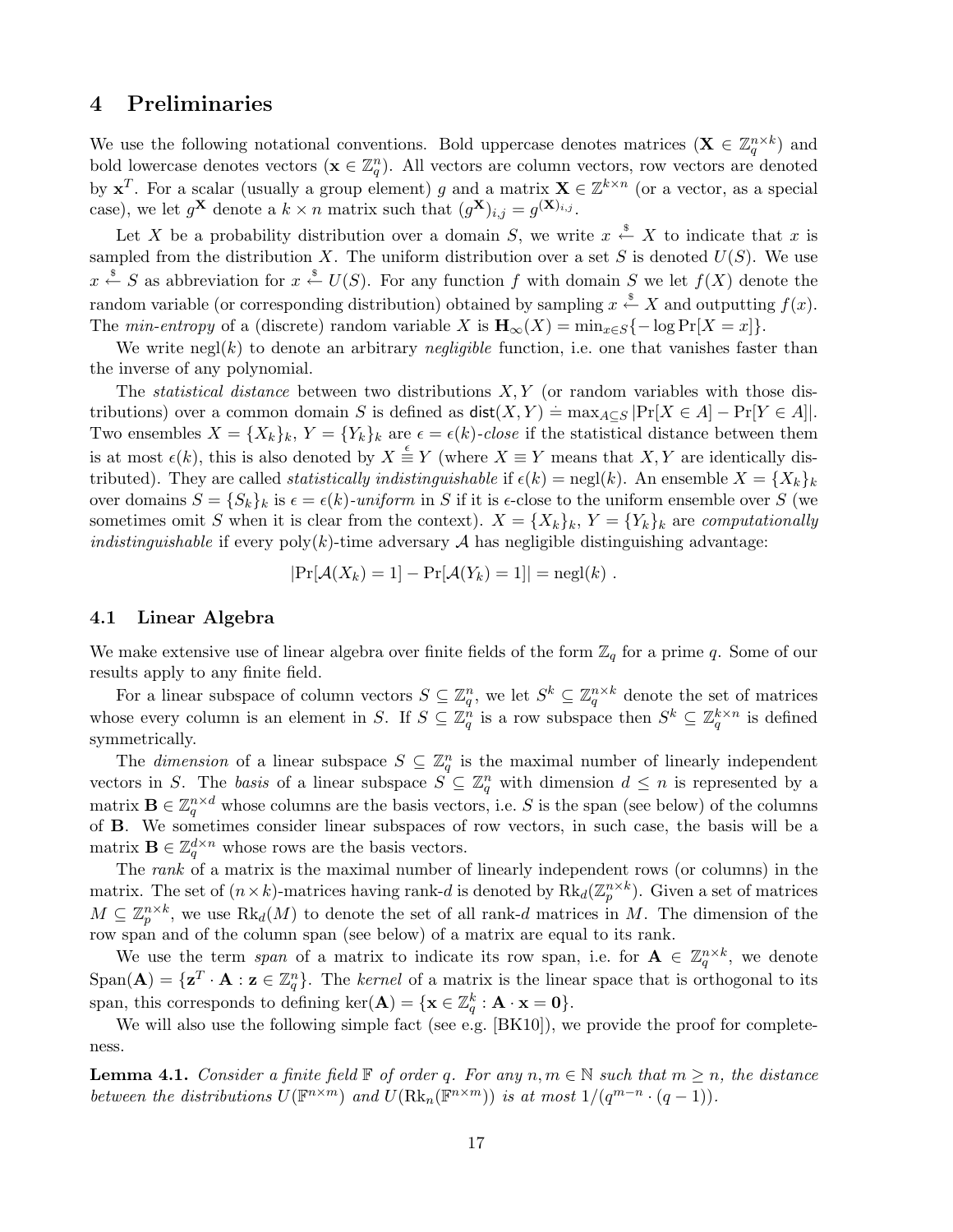# 4 Preliminaries

We use the following notational conventions. Bold uppercase denotes matrices  $(\mathbf{X} \in \mathbb{Z}_q^{n \times k})$  and bold lowercase denotes vectors  $(\mathbf{x} \in \mathbb{Z}_q^n)$ . All vectors are column vectors, row vectors are denoted by  $x^T$ . For a scalar (usually a group element) g and a matrix  $X \in \mathbb{Z}^{k \times n}$  (or a vector, as a special case), we let  $g^{\mathbf{X}}$  denote a  $k \times n$  matrix such that  $(g^{\mathbf{X}})_{i,j} = g^{(\mathbf{X})_{i,j}}$ .

Let X be a probability distribution over a domain S, we write  $x \stackrel{\$}{\leftarrow} X$  to indicate that x is sampled from the distribution X. The uniform distribution over a set S is denoted  $U(S)$ . We use  $x \stackrel{\$}{\leftarrow} S$  as abbreviation for  $x \stackrel{\$}{\leftarrow} U(S)$ . For any function f with domain S we let  $f(X)$  denote the random variable (or corresponding distribution) obtained by sampling  $x \stackrel{\$}{\leftarrow} X$  and outputting  $f(x)$ . The min-entropy of a (discrete) random variable X is  $\mathbf{H}_{\infty}(X) = \min_{x \in S} \{-\log \Pr[X = x]\}.$ 

We write negl(k) to denote an arbitrary *negligible* function, i.e. one that vanishes faster than the inverse of any polynomial.

The *statistical distance* between two distributions  $X, Y$  (or random variables with those distributions) over a common domain S is defined as  $\textsf{dist}(X, Y) = \max_{A \subseteq S} |\Pr[X \in A] - \Pr[Y \in A]|$ . Two ensembles  $X = \{X_k\}_k$ ,  $Y = \{Y_k\}_k$  are  $\epsilon = \epsilon(k)$ -close if the statistical distance between them is at most  $\epsilon(k)$ , this is also denoted by  $X \stackrel{\epsilon}{\equiv} Y$  (where  $X \equiv Y$  means that  $X, Y$  are identically distributed). They are called *statistically indistinguishable* if  $\epsilon(k) = \text{negl}(k)$ . An ensemble  $X = \{X_k\}_k$ over domains  $S = \{S_k\}_k$  is  $\epsilon = \epsilon(k)$ -uniform in S if it is  $\epsilon$ -close to the uniform ensemble over S (we sometimes omit S when it is clear from the context).  $X = \{X_k\}_k$ ,  $Y = \{Y_k\}_k$  are computationally *indistinguishable* if every  $poly(k)$ -time adversary A has negligible distinguishing advantage:

$$
|\Pr[\mathcal{A}(X_k) = 1] - \Pr[\mathcal{A}(Y_k) = 1]| = \text{negl}(k).
$$

## 4.1 Linear Algebra

We make extensive use of linear algebra over finite fields of the form  $\mathbb{Z}_q$  for a prime q. Some of our results apply to any finite field.

For a linear subspace of column vectors  $S \subseteq \mathbb{Z}_q^n$ , we let  $S^k \subseteq \mathbb{Z}_q^{n \times k}$  denote the set of matrices whose every column is an element in S. If  $S \subseteq \mathbb{Z}_q^n$  is a row subspace then  $S^k \subseteq \mathbb{Z}_q^{k \times n}$  is defined symmetrically.

The *dimension* of a linear subspace  $S \subseteq \mathbb{Z}_q^n$  is the maximal number of linearly independent vectors in S. The basis of a linear subspace  $S \subseteq \mathbb{Z}_q^n$  with dimension  $d \leq n$  is represented by a matrix  $\mathbf{B} \in \mathbb{Z}_q^{n \times d}$  whose columns are the basis vectors, i.e. S is the span (see below) of the columns of B. We sometimes consider linear subspaces of row vectors, in such case, the basis will be a matrix  $\mathbf{B} \in \mathbb{Z}_q^{d \times n}$  whose rows are the basis vectors.

The rank of a matrix is the maximal number of linearly independent rows (or columns) in the matrix. The set of  $(n \times k)$ -matrices having rank-d is denoted by  $Rk_d(\mathbb{Z}_p^{n \times k})$ . Given a set of matrices  $M \subseteq \mathbb{Z}_p^{n \times k}$ , we use  $Rk_d(M)$  to denote the set of all rank-d matrices in M. The dimension of the row span and of the column span (see below) of a matrix are equal to its rank.

We use the term span of a matrix to indicate its row span, i.e. for  $\mathbf{A} \in \mathbb{Z}_q^{n \times k}$ , we denote  $Span(\mathbf{A}) = {\mathbf{z}^T \cdot \mathbf{A} : \mathbf{z} \in \mathbb{Z}_q^n}$ . The kernel of a matrix is the linear space that is orthogonal to its span, this corresponds to defining  $\ker(A) = \{ \mathbf{x} \in \mathbb{Z}_q^k : A \cdot \mathbf{x} = \mathbf{0} \}.$ 

We will also use the following simple fact (see e.g. [BK10]), we provide the proof for completeness.

**Lemma 4.1.** Consider a finite field  $\mathbb F$  of order q. For any  $n, m \in \mathbb N$  such that  $m \geq n$ , the distance between the distributions  $U(\mathbb{F}^{n \times m})$  and  $U(\text{Rk}_n(\mathbb{F}^{n \times m}))$  is at most  $1/(q^{m-n} \cdot (q-1))$ .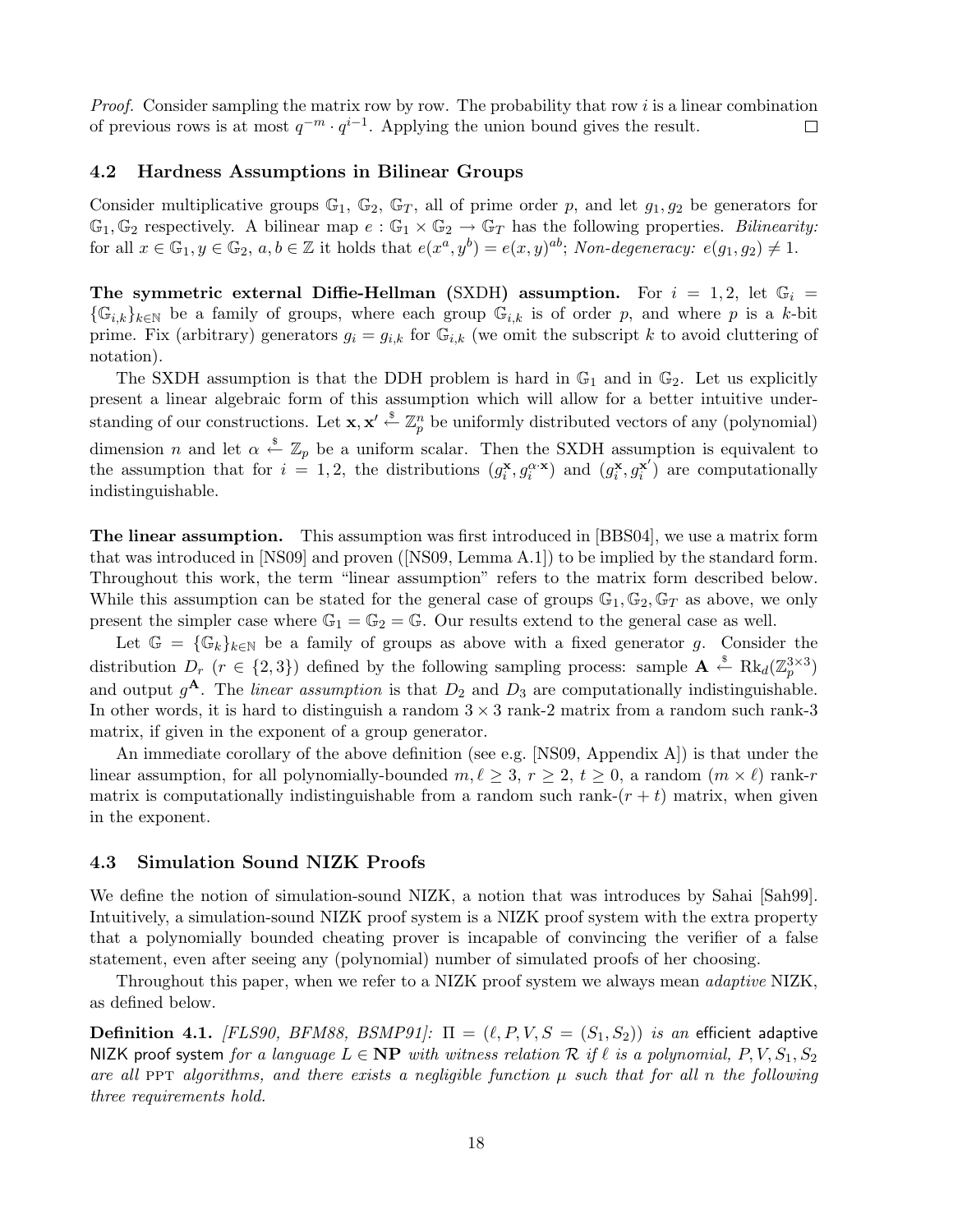*Proof.* Consider sampling the matrix row by row. The probability that row i is a linear combination of previous rows is at most  $q^{-m} \cdot q^{i-1}$ . Applying the union bound gives the result.  $\Box$ 

## 4.2 Hardness Assumptions in Bilinear Groups

Consider multiplicative groups  $\mathbb{G}_1$ ,  $\mathbb{G}_2$ ,  $\mathbb{G}_T$ , all of prime order p, and let  $g_1, g_2$  be generators for  $\mathbb{G}_1, \mathbb{G}_2$  respectively. A bilinear map  $e : \mathbb{G}_1 \times \mathbb{G}_2 \to \mathbb{G}_T$  has the following properties. Bilinearity: for all  $x \in \mathbb{G}_1, y \in \mathbb{G}_2$ ,  $a, b \in \mathbb{Z}$  it holds that  $e(x^a, y^b) = e(x, y)^{ab}$ ; Non-degeneracy:  $e(g_1, g_2) \neq 1$ .

The symmetric external Diffie-Hellman (SXDH) assumption. For  $i = 1, 2$ , let  $\mathbb{G}_i =$  $\{\mathbb{G}_{i,k}\}_{k\in\mathbb{N}}$  be a family of groups, where each group  $\mathbb{G}_{i,k}$  is of order p, and where p is a k-bit prime. Fix (arbitrary) generators  $g_i = g_{i,k}$  for  $\mathbb{G}_{i,k}$  (we omit the subscript k to avoid cluttering of notation).

The SXDH assumption is that the DDH problem is hard in  $\mathbb{G}_1$  and in  $\mathbb{G}_2$ . Let us explicitly present a linear algebraic form of this assumption which will allow for a better intuitive understanding of our constructions. Let  $\mathbf{x}, \mathbf{x}' \stackrel{\$}{\leftarrow} \mathbb{Z}_p^n$  be uniformly distributed vectors of any (polynomial) dimension *n* and let  $\alpha \stackrel{\$}{\leftarrow} \mathbb{Z}_p$  be a uniform scalar. Then the SXDH assumption is equivalent to the assumption that for  $i = 1, 2$ , the distributions  $(g_i^{\mathbf{x}}, g_i^{\alpha \cdot \mathbf{x}})$  and  $(g_i^{\mathbf{x}}, g_i^{\mathbf{x}'})$  $\mathbf{x}'$ ) are computationally indistinguishable.

The linear assumption. This assumption was first introduced in [BBS04], we use a matrix form that was introduced in [NS09] and proven ([NS09, Lemma A.1]) to be implied by the standard form. Throughout this work, the term "linear assumption" refers to the matrix form described below. While this assumption can be stated for the general case of groups  $\mathbb{G}_1, \mathbb{G}_2, \mathbb{G}_T$  as above, we only present the simpler case where  $\mathbb{G}_1 = \mathbb{G}_2 = \mathbb{G}$ . Our results extend to the general case as well.

Let  $\mathbb{G} = {\mathbb{G}_k}_{k\in\mathbb{N}}$  be a family of groups as above with a fixed generator g. Consider the distribution  $D_r$   $(r \in \{2,3\})$  defined by the following sampling process: sample  $\mathbf{A} \leftarrow \text{Rk}_d(\mathbb{Z}_p^{3\times3})$ and output  $g^{\mathbf{A}}$ . The *linear assumption* is that  $D_2$  and  $D_3$  are computationally indistinguishable. In other words, it is hard to distinguish a random  $3 \times 3$  rank-2 matrix from a random such rank-3 matrix, if given in the exponent of a group generator.

An immediate corollary of the above definition (see e.g. [NS09, Appendix A]) is that under the linear assumption, for all polynomially-bounded  $m, \ell \geq 3, r \geq 2, t \geq 0$ , a random  $(m \times \ell)$  rank-r matrix is computationally indistinguishable from a random such rank- $(r + t)$  matrix, when given in the exponent.

#### 4.3 Simulation Sound NIZK Proofs

We define the notion of simulation-sound NIZK, a notion that was introduces by Sahai [Sah99]. Intuitively, a simulation-sound NIZK proof system is a NIZK proof system with the extra property that a polynomially bounded cheating prover is incapable of convincing the verifier of a false statement, even after seeing any (polynomial) number of simulated proofs of her choosing.

Throughout this paper, when we refer to a NIZK proof system we always mean *adaptive* NIZK, as defined below.

**Definition 4.1.** [FLS90, BFM88, BSMP91]:  $\Pi = (\ell, P, V, S = (S_1, S_2))$  is an efficient adaptive NIZK proof system for a language  $L \in \mathbf{NP}$  with witness relation R if  $\ell$  is a polynomial, P, V,  $S_1, S_2$ are all PPT algorithms, and there exists a negligible function  $\mu$  such that for all n the following three requirements hold.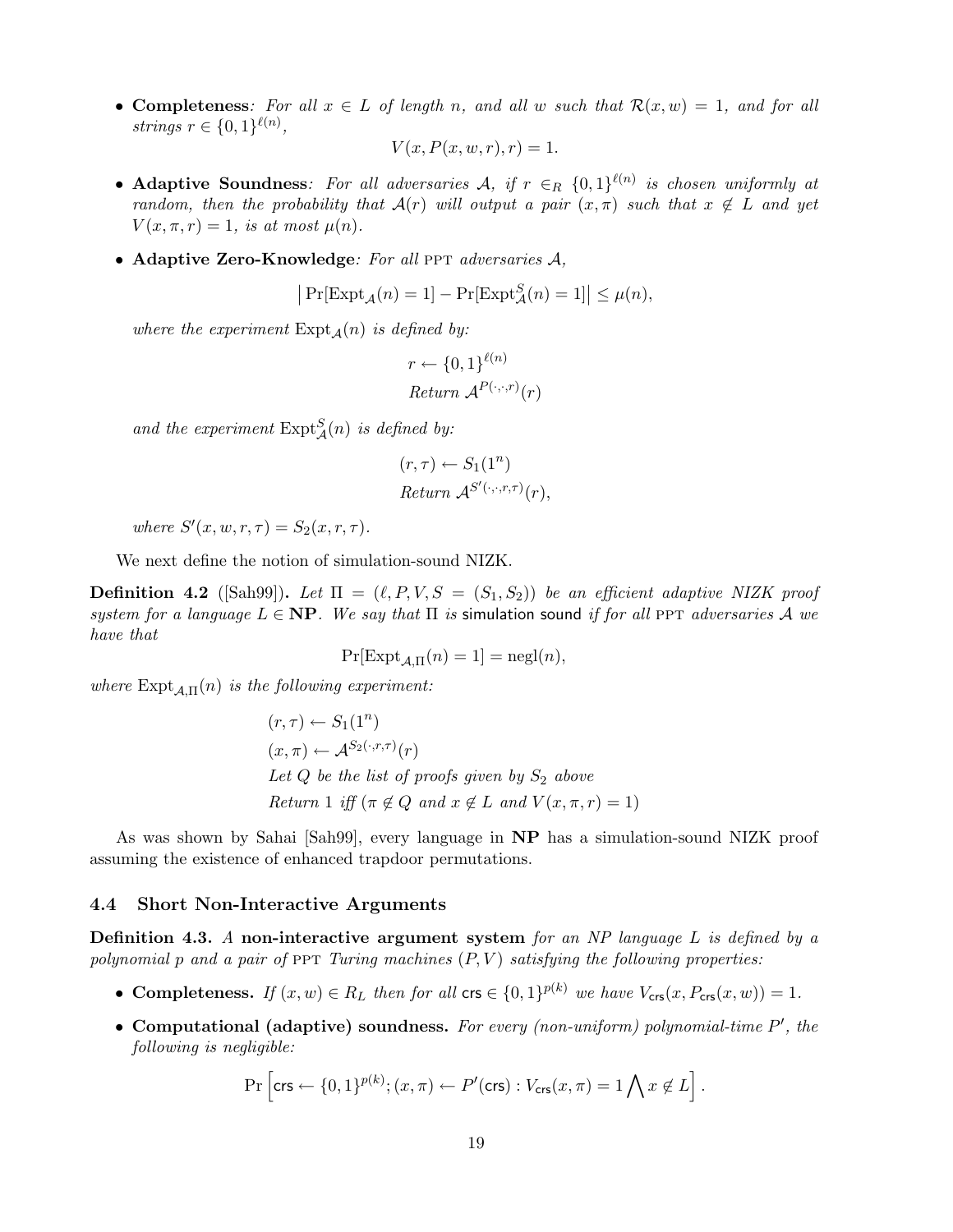• Completeness: For all  $x \in L$  of length n, and all w such that  $\mathcal{R}(x, w) = 1$ , and for all strings  $r \in \{0,1\}^{\ell(n)}$ ,

$$
V(x, P(x, w, r), r) = 1.
$$

- Adaptive Soundness: For all adversaries A, if  $r \in_R \{0,1\}^{\ell(n)}$  is chosen uniformly at random, then the probability that  $\mathcal{A}(r)$  will output a pair  $(x, \pi)$  such that  $x \notin L$  and yet  $V(x, \pi, r) = 1$ , is at most  $\mu(n)$ .
- Adaptive Zero-Knowledge: For all PPT adversaries  $A$ ,

$$
\left|\Pr[\mathrm{Expt}_{\mathcal{A}}(n) = 1] - \Pr[\mathrm{Expt}^S_{\mathcal{A}}(n) = 1]\right| \le \mu(n),
$$

where the experiment  $\text{Expt}_{\mathcal{A}}(n)$  is defined by:

$$
r \leftarrow \{0, 1\}^{\ell(n)}
$$
  
Return  $\mathcal{A}^{P(\cdot, \cdot, r)}(r)$ 

and the experiment  $\text{Expt}_{\mathcal{A}}^S(n)$  is defined by:

$$
(r, \tau) \leftarrow S_1(1^n)
$$
  
Return  $\mathcal{A}^{S'(\cdot, \cdot, r, \tau)}(r)$ ,

where  $S'(x, w, r, \tau) = S_2(x, r, \tau)$ .

We next define the notion of simulation-sound NIZK.

**Definition 4.2** ([Sah99]). Let  $\Pi = (\ell, P, V, S = (S_1, S_2))$  be an efficient adaptive NIZK proof system for a language  $L \in \mathbf{NP}$ . We say that  $\Pi$  is simulation sound if for all PPT adversaries A we have that

$$
\Pr[\text{Expt}_{\mathcal{A},\Pi}(n) = 1] = \text{negl}(n),
$$

where  $\text{Expt}_{\mathcal{A},\Pi}(n)$  is the following experiment:

$$
(r, \tau) \leftarrow S_1(1^n)
$$
  
(x, \pi) \leftarrow A^{S\_2(\cdot, r, \tau)}(r)  
Let Q be the list of proofs given by S<sub>2</sub> above  
Return 1 iff ( $\pi \notin Q$  and  $x \notin L$  and  $V(x, \pi, r) = 1$ )

As was shown by Sahai [Sah99], every language in NP has a simulation-sound NIZK proof assuming the existence of enhanced trapdoor permutations.

#### 4.4 Short Non-Interactive Arguments

**Definition 4.3.** A non-interactive argument system for an NP language L is defined by a polynomial p and a pair of PPT Turing machines  $(P, V)$  satisfying the following properties:

- Completeness. If  $(x, w) \in R_L$  then for all  $\text{crs} \in \{0, 1\}^{p(k)}$  we have  $V_{\text{crs}}(x, P_{\text{crs}}(x, w)) = 1$ .
- Computational (adaptive) soundness. For every (non-uniform) polynomial-time  $P'$ , the following is negligible:

$$
\Pr\left[\text{crs} \leftarrow \{0,1\}^{p(k)}; (x,\pi) \leftarrow P'(\text{crs}) : V_{\text{crs}}(x,\pi) = 1 \bigwedge x \not\in L\right].
$$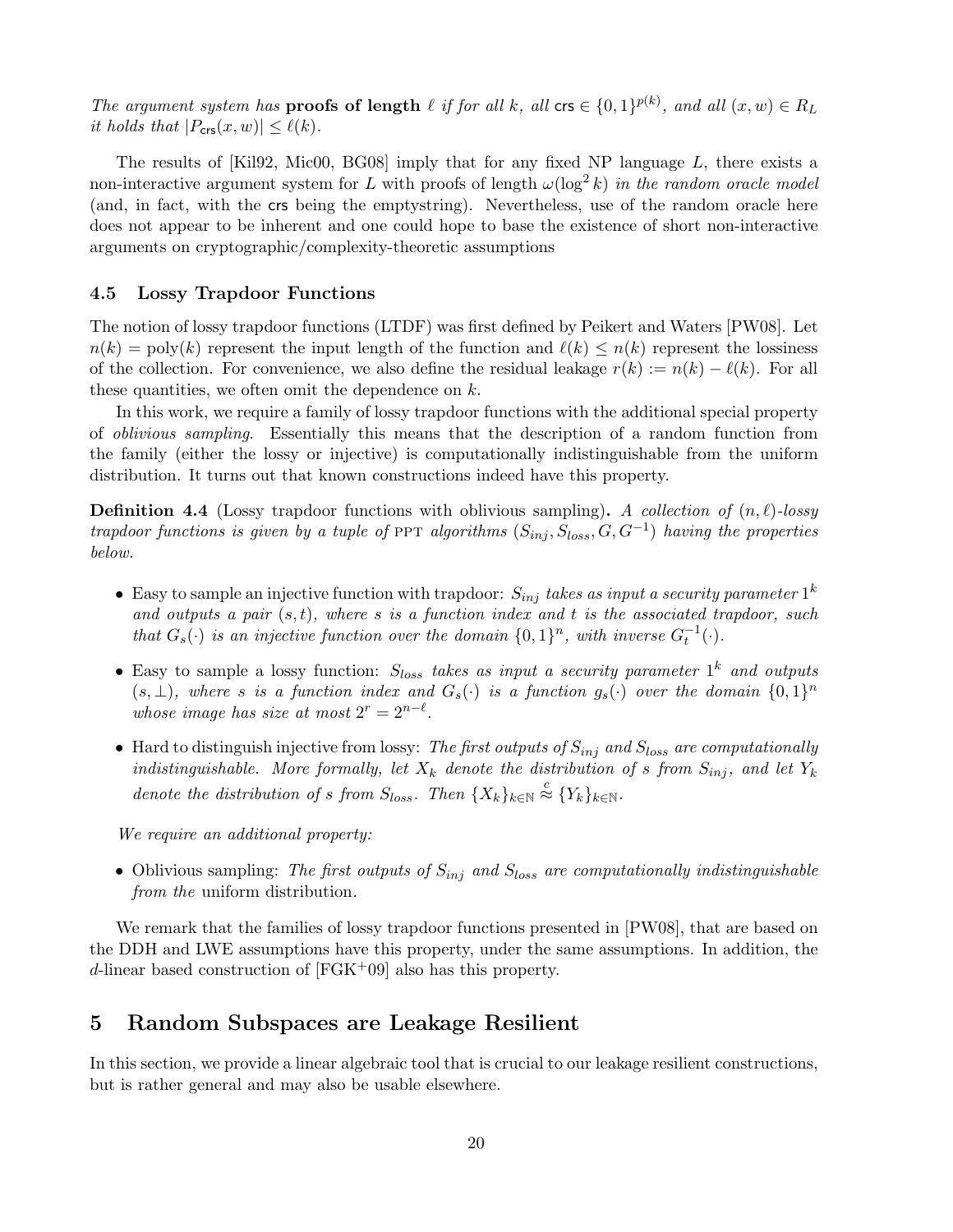The argument system has **proofs of length**  $\ell$  if for all k, all crs  $\in \{0,1\}^{p(k)}$ , and all  $(x, w) \in R_L$ it holds that  $|P_{\text{crs}}(x,w)| \leq \ell(k)$ .

The results of [Kil92, Mic00, BG08] imply that for any fixed NP language L, there exists a non-interactive argument system for L with proofs of length  $\omega(\log^2 k)$  in the random oracle model (and, in fact, with the crs being the emptystring). Nevertheless, use of the random oracle here does not appear to be inherent and one could hope to base the existence of short non-interactive arguments on cryptographic/complexity-theoretic assumptions

## 4.5 Lossy Trapdoor Functions

The notion of lossy trapdoor functions (LTDF) was first defined by Peikert and Waters [PW08]. Let  $n(k) = \text{poly}(k)$  represent the input length of the function and  $\ell(k) \leq n(k)$  represent the lossiness of the collection. For convenience, we also define the residual leakage  $r(k) := n(k) - \ell(k)$ . For all these quantities, we often omit the dependence on  $k$ .

In this work, we require a family of lossy trapdoor functions with the additional special property of oblivious sampling. Essentially this means that the description of a random function from the family (either the lossy or injective) is computationally indistinguishable from the uniform distribution. It turns out that known constructions indeed have this property.

**Definition 4.4** (Lossy trapdoor functions with oblivious sampling). A collection of  $(n, \ell)$ -lossy trapdoor functions is given by a tuple of PPT algorithms  $(S_{inj}, S_{loss}, G, G^{-1})$  having the properties below.

- Easy to sample an injective function with trapdoor:  $S_{inj}$  takes as input a security parameter  $1^k$ and outputs a pair  $(s, t)$ , where s is a function index and t is the associated trapdoor, such that  $G_s(\cdot)$  is an injective function over the domain  $\{0,1\}^n$ , with inverse  $G_t^{-1}(\cdot)$ .
- Easy to sample a lossy function:  $S_{loss}$  takes as input a security parameter  $1^k$  and outputs  $(s, \perp)$ , where s is a function index and  $G_s(\cdot)$  is a function  $g_s(\cdot)$  over the domain  $\{0,1\}^n$ whose image has size at most  $2^r = 2^{n-\ell}$ .
- Hard to distinguish injective from lossy: The first outputs of  $S_{inj}$  and  $S_{loss}$  are computationally indistinguishable. More formally, let  $X_k$  denote the distribution of s from  $S_{inj}$ , and let  $Y_k$ denote the distribution of s from  $S_{loss}$ . Then  $\{X_k\}_{k\in\mathbb{N}} \stackrel{c}{\approx} \{Y_k\}_{k\in\mathbb{N}}$ .

We require an additional property:

• Oblivious sampling: The first outputs of  $S_{inj}$  and  $S_{loss}$  are computationally indistinguishable from the uniform distribution.

We remark that the families of lossy trapdoor functions presented in [PW08], that are based on the DDH and LWE assumptions have this property, under the same assumptions. In addition, the d-linear based construction of  $[FGK^+09]$  also has this property.

## 5 Random Subspaces are Leakage Resilient

In this section, we provide a linear algebraic tool that is crucial to our leakage resilient constructions, but is rather general and may also be usable elsewhere.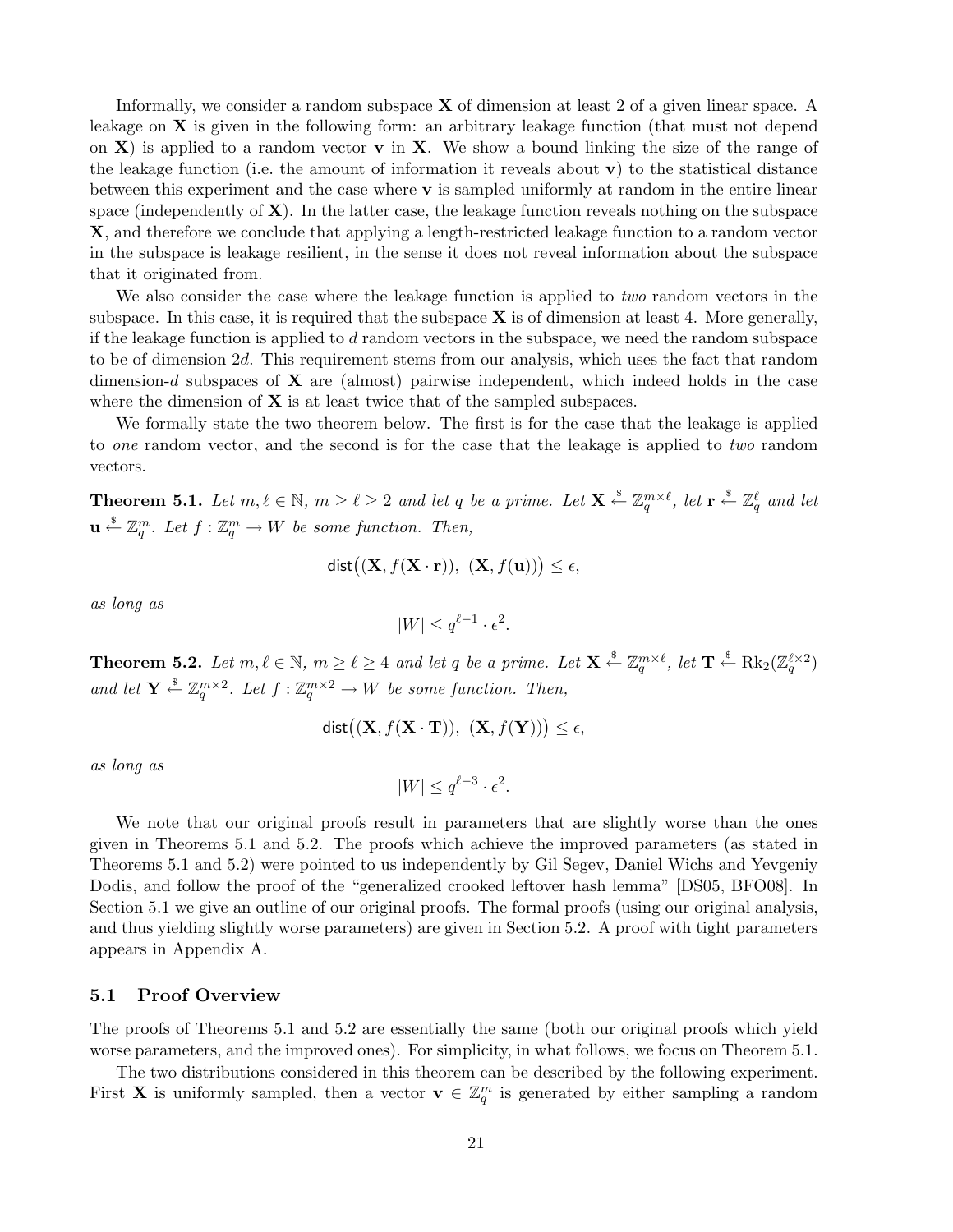Informally, we consider a random subspace  $X$  of dimension at least 2 of a given linear space. A leakage on **X** is given in the following form: an arbitrary leakage function (that must not depend on  $X$ ) is applied to a random vector **v** in X. We show a bound linking the size of the range of the leakage function (i.e. the amount of information it reveals about  $\bf{v}$ ) to the statistical distance between this experiment and the case where v is sampled uniformly at random in the entire linear space (independently of  $X$ ). In the latter case, the leakage function reveals nothing on the subspace X, and therefore we conclude that applying a length-restricted leakage function to a random vector in the subspace is leakage resilient, in the sense it does not reveal information about the subspace that it originated from.

We also consider the case where the leakage function is applied to two random vectors in the subspace. In this case, it is required that the subspace  $X$  is of dimension at least 4. More generally, if the leakage function is applied to  $d$  random vectors in the subspace, we need the random subspace to be of dimension 2d. This requirement stems from our analysis, which uses the fact that random dimension-d subspaces of  $X$  are (almost) pairwise independent, which indeed holds in the case where the dimension of  $X$  is at least twice that of the sampled subspaces.

We formally state the two theorem below. The first is for the case that the leakage is applied to one random vector, and the second is for the case that the leakage is applied to two random vectors.

**Theorem 5.1.** Let  $m, \ell \in \mathbb{N}$ ,  $m \geq \ell \geq 2$  and let q be a prime. Let  $\mathbf{X} \stackrel{\$}{\leftarrow} \mathbb{Z}_q^{m \times \ell}$ , let  $\mathbf{r} \stackrel{\$}{\leftarrow} \mathbb{Z}_q^{\ell}$  and let  $\mathbf{u} \stackrel{\$}{\leftarrow} \mathbb{Z}_q^m$ . Let  $f : \mathbb{Z}_q^m \to W$  be some function. Then,

$$
\text{dist}((\mathbf{X}, f(\mathbf{X} \cdot \mathbf{r})), (\mathbf{X}, f(\mathbf{u}))) \le \epsilon,
$$

as long as

$$
|W| \le q^{\ell-1} \cdot \epsilon^2.
$$

**Theorem 5.2.** Let  $m, \ell \in \mathbb{N}$ ,  $m \geq \ell \geq 4$  and let q be a prime. Let  $\mathbf{X} \stackrel{\$}{\leftarrow} \mathbb{Z}_q^{m \times \ell}$ , let  $\mathbf{T} \stackrel{\$}{\leftarrow} \text{Rk}_2(\mathbb{Z}_q^{\ell \times 2})$ and let  $\mathbf{Y} \stackrel{\$}{\leftarrow} \mathbb{Z}_q^{m \times 2}$ . Let  $f : \mathbb{Z}_q^{m \times 2} \to W$  be some function. Then,

$$
\mathsf{dist}\big((\mathbf{X}, f(\mathbf{X} \cdot \mathbf{T})), (\mathbf{X}, f(\mathbf{Y}))\big) \le \epsilon,
$$

as long as

$$
|W| \le q^{\ell-3} \cdot \epsilon^2.
$$

We note that our original proofs result in parameters that are slightly worse than the ones given in Theorems 5.1 and 5.2. The proofs which achieve the improved parameters (as stated in Theorems 5.1 and 5.2) were pointed to us independently by Gil Segev, Daniel Wichs and Yevgeniy Dodis, and follow the proof of the "generalized crooked leftover hash lemma" [DS05, BFO08]. In Section 5.1 we give an outline of our original proofs. The formal proofs (using our original analysis, and thus yielding slightly worse parameters) are given in Section 5.2. A proof with tight parameters appears in Appendix A.

## 5.1 Proof Overview

The proofs of Theorems 5.1 and 5.2 are essentially the same (both our original proofs which yield worse parameters, and the improved ones). For simplicity, in what follows, we focus on Theorem 5.1.

The two distributions considered in this theorem can be described by the following experiment. First **X** is uniformly sampled, then a vector  $\mathbf{v} \in \mathbb{Z}_q^m$  is generated by either sampling a random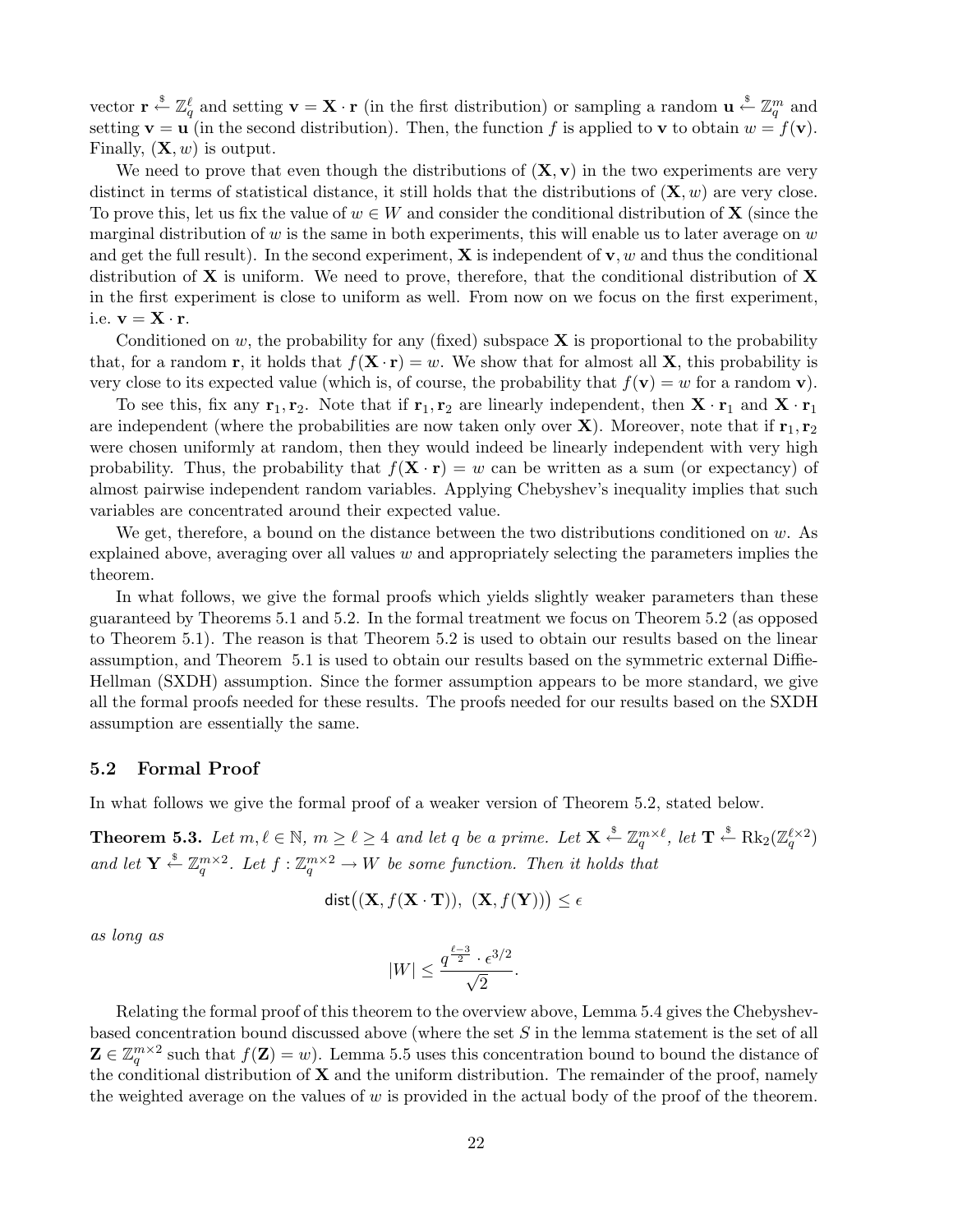vector  $\mathbf{r} \stackrel{\$}{\leftarrow} \mathbb{Z}_q^{\ell}$  and setting  $\mathbf{v} = \mathbf{X} \cdot \mathbf{r}$  (in the first distribution) or sampling a random  $\mathbf{u} \stackrel{\$}{\leftarrow} \mathbb{Z}_q^m$  and setting  $\mathbf{v} = \mathbf{u}$  (in the second distribution). Then, the function f is applied to  $\mathbf{v}$  to obtain  $w = f(\mathbf{v})$ . Finally,  $(\mathbf{X}, w)$  is output.

We need to prove that even though the distributions of  $(X, v)$  in the two experiments are very distinct in terms of statistical distance, it still holds that the distributions of  $(\mathbf{X}, w)$  are very close. To prove this, let us fix the value of  $w \in W$  and consider the conditional distribution of **X** (since the marginal distribution of w is the same in both experiments, this will enable us to later average on  $w$ and get the full result). In the second experiment,  $X$  is independent of  $v, w$  and thus the conditional distribution of  $X$  is uniform. We need to prove, therefore, that the conditional distribution of  $X$ in the first experiment is close to uniform as well. From now on we focus on the first experiment, i.e.  $\mathbf{v} = \mathbf{X} \cdot \mathbf{r}$ .

Conditioned on  $w$ , the probability for any (fixed) subspace  $X$  is proportional to the probability that, for a random **r**, it holds that  $f(\mathbf{X} \cdot \mathbf{r}) = w$ . We show that for almost all **X**, this probability is very close to its expected value (which is, of course, the probability that  $f(\mathbf{v}) = w$  for a random **v**).

To see this, fix any  $r_1, r_2$ . Note that if  $r_1, r_2$  are linearly independent, then  $X \cdot r_1$  and  $X \cdot r_1$ are independent (where the probabilities are now taken only over  $X$ ). Moreover, note that if  $r_1, r_2$ were chosen uniformly at random, then they would indeed be linearly independent with very high probability. Thus, the probability that  $f(\mathbf{X} \cdot \mathbf{r}) = w$  can be written as a sum (or expectancy) of almost pairwise independent random variables. Applying Chebyshev's inequality implies that such variables are concentrated around their expected value.

We get, therefore, a bound on the distance between the two distributions conditioned on  $w$ . As explained above, averaging over all values  $w$  and appropriately selecting the parameters implies the theorem.

In what follows, we give the formal proofs which yields slightly weaker parameters than these guaranteed by Theorems 5.1 and 5.2. In the formal treatment we focus on Theorem 5.2 (as opposed to Theorem 5.1). The reason is that Theorem 5.2 is used to obtain our results based on the linear assumption, and Theorem 5.1 is used to obtain our results based on the symmetric external Diffie-Hellman (SXDH) assumption. Since the former assumption appears to be more standard, we give all the formal proofs needed for these results. The proofs needed for our results based on the SXDH assumption are essentially the same.

## 5.2 Formal Proof

In what follows we give the formal proof of a weaker version of Theorem 5.2, stated below.

**Theorem 5.3.** Let  $m, \ell \in \mathbb{N}$ ,  $m \geq \ell \geq 4$  and let q be a prime. Let  $\mathbf{X} \stackrel{\$}{\leftarrow} \mathbb{Z}_q^{m \times \ell}$ , let  $\mathbf{T} \stackrel{\$}{\leftarrow} \text{Rk}_2(\mathbb{Z}_q^{\ell \times 2})$ and let  $\mathbf{Y} \stackrel{\$}{\leftarrow} \mathbb{Z}_q^{m \times 2}$ . Let  $f : \mathbb{Z}_q^{m \times 2} \to W$  be some function. Then it holds that

$$
dist((\mathbf{X}, f(\mathbf{X} \cdot \mathbf{T})), (\mathbf{X}, f(\mathbf{Y}))) \le \epsilon
$$

as long as

$$
|W| \le \frac{q^{\frac{\ell-3}{2}} \cdot \epsilon^{3/2}}{\sqrt{2}}.
$$

Relating the formal proof of this theorem to the overview above, Lemma 5.4 gives the Chebyshevbased concentration bound discussed above (where the set S in the lemma statement is the set of all  $\mathbf{Z} \in \mathbb{Z}_q^{m \times 2}$  such that  $f(\mathbf{Z}) = w$ ). Lemma 5.5 uses this concentration bound to bound the distance of the conditional distribution of  $X$  and the uniform distribution. The remainder of the proof, namely the weighted average on the values of w is provided in the actual body of the proof of the theorem.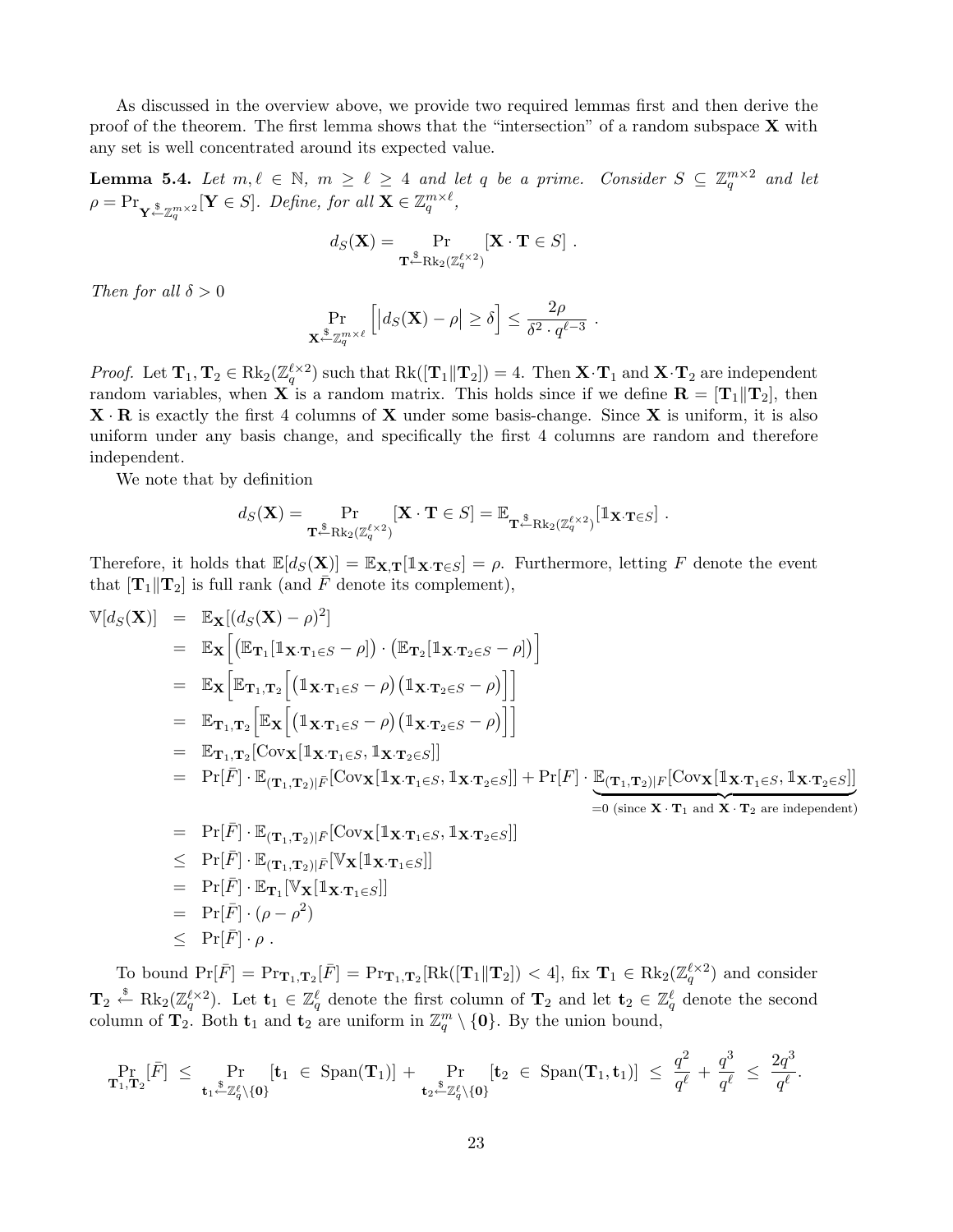As discussed in the overview above, we provide two required lemmas first and then derive the proof of the theorem. The first lemma shows that the "intersection" of a random subspace  $X$  with any set is well concentrated around its expected value.

**Lemma 5.4.** Let  $m, \ell \in \mathbb{N}$ ,  $m \geq \ell \geq 4$  and let q be a prime. Consider  $S \subseteq \mathbb{Z}_q^{m \times 2}$  and let  $\rho = \Pr_{\substack{\mathbf{x} \in \mathbb{Z}_q^{m \times 2}}} [\mathbf{Y} \in S]$ . Define, for all  $\mathbf{X} \in \mathbb{Z}_q^{m \times \ell}$ ,

$$
d_S(\mathbf{X}) = \Pr_{\mathbf{T} \leftarrow \text{Rk}_2(\mathbb{Z}_q^{\ell \times 2})} [\mathbf{X} \cdot \mathbf{T} \in S].
$$

Then for all  $\delta > 0$ 

$$
\Pr_{\mathbf{X} \stackrel{\$}{\sim} \mathbb{Z}_q^{m \times \ell}} \left[ \left| d_S(\mathbf{X}) - \rho \right| \ge \delta \right] \le \frac{2\rho}{\delta^2 \cdot q^{\ell-3}} \ .
$$

*Proof.* Let  $\mathbf{T}_1, \mathbf{T}_2 \in \text{Rk}_2(\mathbb{Z}_q^{\ell \times 2})$  such that  $\text{Rk}([\mathbf{T}_1 \| \mathbf{T}_2]) = 4$ . Then  $\mathbf{X} \cdot \mathbf{T}_1$  and  $\mathbf{X} \cdot \mathbf{T}_2$  are independent random variables, when **X** is a random matrix. This holds since if we define  $\mathbf{R} = [\mathbf{T}_1 || \mathbf{T}_2]$ , then  $\mathbf{X} \cdot \mathbf{R}$  is exactly the first 4 columns of  $\mathbf{X}$  under some basis-change. Since  $\mathbf{X}$  is uniform, it is also uniform under any basis change, and specifically the first 4 columns are random and therefore independent.

We note that by definition

$$
d_S(\mathbf{X}) = \Pr_{\mathbf{T} \stackrel{\$} \leftarrow \text{Rk}_2(\mathbb{Z}_q^{\ell \times 2})} [\mathbf{X} \cdot \mathbf{T} \in S] = \mathbb{E}_{\mathbf{T} \stackrel{\$} \leftarrow \text{Rk}_2(\mathbb{Z}_q^{\ell \times 2})} [\mathbb{1}_{\mathbf{X} \cdot \mathbf{T} \in S}] .
$$

Therefore, it holds that  $\mathbb{E}[d_S(\mathbf{X})] = \mathbb{E}_{\mathbf{X},\mathbf{T}}[\mathbb{1}_{\mathbf{X}\cdot\mathbf{T}\in S}] = \rho$ . Furthermore, letting F denote the event that  $[T_1||T_2]$  is full rank (and F denote its complement),

$$
\mathbb{V}[d_{S}(\mathbf{X})] = \mathbb{E}_{\mathbf{X}}[(d_{S}(\mathbf{X}) - \rho)^{2}]
$$
\n
$$
= \mathbb{E}_{\mathbf{X}}[(\mathbb{E}_{\mathbf{T}_{1}}[\mathbb{1}_{\mathbf{X}\cdot\mathbf{T}_{1}\in S} - \rho]) \cdot (\mathbb{E}_{\mathbf{T}_{2}}[\mathbb{1}_{\mathbf{X}\cdot\mathbf{T}_{2}\in S} - \rho])]
$$
\n
$$
= \mathbb{E}_{\mathbf{X}}[\mathbb{E}_{\mathbf{T}_{1},\mathbf{T}_{2}}[(\mathbb{1}_{\mathbf{X}\cdot\mathbf{T}_{1}\in S} - \rho)(\mathbb{1}_{\mathbf{X}\cdot\mathbf{T}_{2}\in S} - \rho)]]
$$
\n
$$
= \mathbb{E}_{\mathbf{T}_{1},\mathbf{T}_{2}}[\mathbb{E}_{\mathbf{X}}[(\mathbb{1}_{\mathbf{X}\cdot\mathbf{T}_{1}\in S} - \rho)(\mathbb{1}_{\mathbf{X}\cdot\mathbf{T}_{2}\in S} - \rho)]]
$$
\n
$$
= \mathbb{E}_{\mathbf{T}_{1},\mathbf{T}_{2}}[\text{Cov}_{\mathbf{X}}[\mathbb{1}_{\mathbf{X}\cdot\mathbf{T}_{1}\in S}, \mathbb{1}_{\mathbf{X}\cdot\mathbf{T}_{2}\in S}]]
$$
\n
$$
= \Pr[\bar{F}] \cdot \mathbb{E}_{(\mathbf{T}_{1},\mathbf{T}_{2})|\bar{F}}[\text{Cov}_{\mathbf{X}}[\mathbb{1}_{\mathbf{X}\cdot\mathbf{T}_{1}\in S}, \mathbb{1}_{\mathbf{X}\cdot\mathbf{T}_{2}\in S}]] + \Pr[F] \cdot \underbrace{\mathbb{E}_{(\mathbf{T}_{1},\mathbf{T}_{2})|F}[\text{Cov}_{\mathbf{X}}[\mathbb{1}_{\mathbf{X}\cdot\mathbf{T}_{1}\in S}, \mathbb{1}_{\mathbf{X}\cdot\mathbf{T}_{2}\in S}]]
$$
\n
$$
= \Pr[\bar{F}] \cdot \mathbb{E}_{(\mathbf{T}_{1},\mathbf{T}_{2})|\bar{F}}[\text{Cov}_{\mathbf{X}}[\mathbb{1}_{\mathbf{X}\cdot\mathbf{T}_{1}\in S}, \mathbb{1}_{\mathbf{X}\cdot\mathbf{T}_{2}\in S}]]
$$
\n
$$
= \Pr[\bar{F}] \cdot
$$

 $\leq \Pr[\bar{F}] \cdot \rho$ .

To bound  $Pr[\overline{F}] = Pr_{\mathbf{T}_1, \mathbf{T}_2}[\overline{F}] = Pr_{\mathbf{T}_1, \mathbf{T}_2}[\text{Rk}([\mathbf{T}_1 \| \mathbf{T}_2]) < 4]$ , fix  $\mathbf{T}_1 \in \text{Rk}_2(\mathbb{Z}_q^{\ell \times 2})$  and consider  $\mathbf{T}_2 \stackrel{\hspace{0.1em}\mathsf{\scriptscriptstyle\$}}{\leftarrow} \operatorname{Rk}_2(\mathbb{Z}_q^{\ell \times 2})$ . Let  $\mathbf{t}_1 \in \mathbb{Z}_q^{\ell}$  denote the first column of  $\mathbf{T}_2$  and let  $\mathbf{t}_2 \in \mathbb{Z}_q^{\ell}$  denote the second column of  $\mathbf{T}_2$ . Both  $\mathbf{t}_1$  and  $\mathbf{t}_2$  are uniform in  $\mathbb{Z}_q^m \setminus \{\mathbf{0}\}$ . By the union bound,

$$
\Pr_{\mathbf{T}_1,\mathbf{T}_2}[\bar{F}] \;\leq\; \Pr_{\mathbf{t}_1\overset{\$}=\mathbb{Z}_q^\ell\setminus\{\mathbf{0}\}}[\mathbf{t}_1\;\in\;\text{Span}(\mathbf{T}_1)] \;+\; \Pr_{\mathbf{t}_2\overset{\$}=\mathbb{Z}_q^\ell\setminus\{\mathbf{0}\}}[\mathbf{t}_2\;\in\;\text{Span}(\mathbf{T}_1,\mathbf{t}_1)] \;\leq\; \frac{q^2}{q^\ell} \;+\;\frac{q^3}{q^\ell} \;\leq\; \frac{2q^3}{q^\ell}.
$$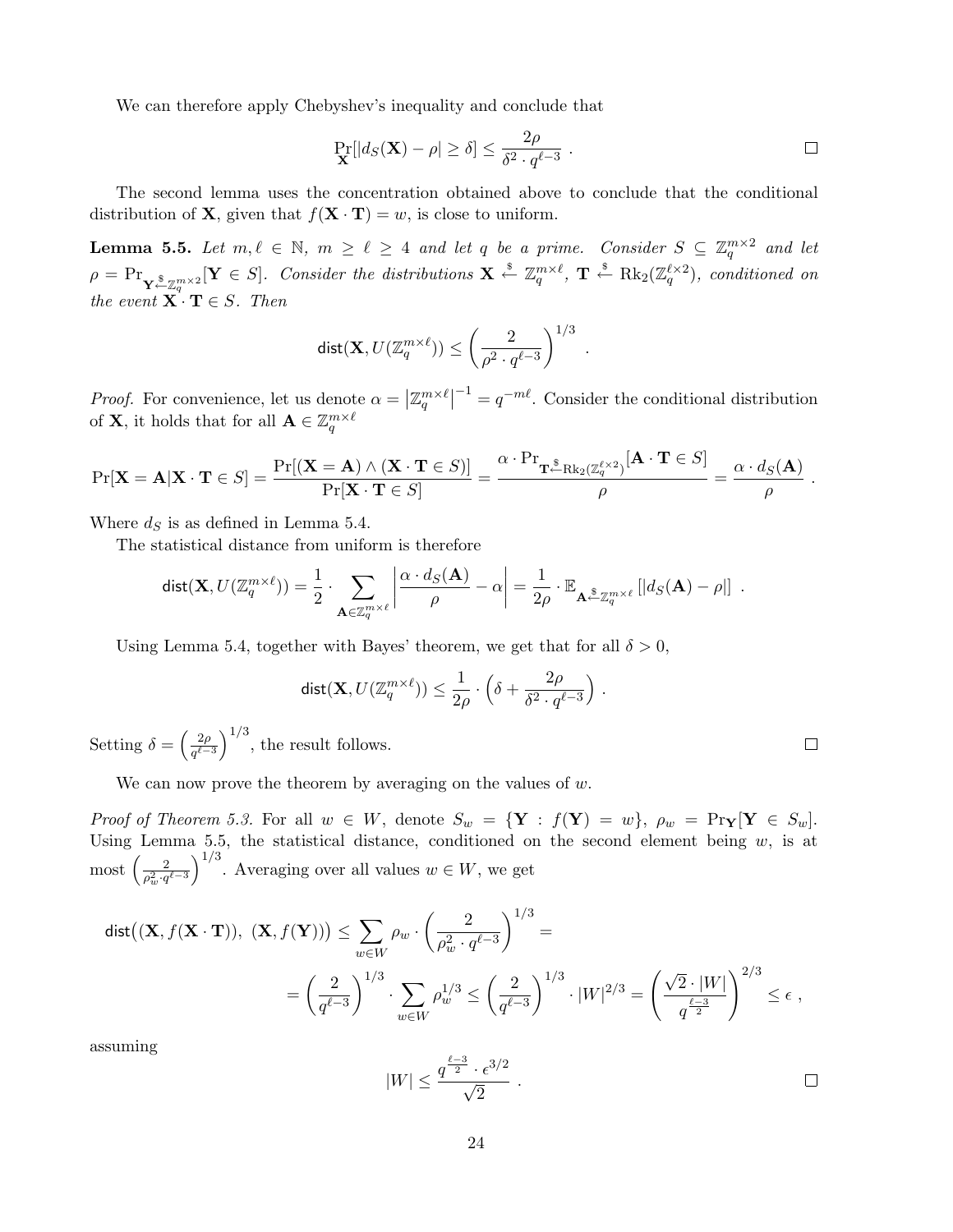We can therefore apply Chebyshev's inequality and conclude that

$$
\Pr_{\mathbf{X}}[|d_S(\mathbf{X}) - \rho| \ge \delta] \le \frac{2\rho}{\delta^2 \cdot q^{\ell - 3}}.
$$

The second lemma uses the concentration obtained above to conclude that the conditional distribution of **X**, given that  $f(\mathbf{X} \cdot \mathbf{T}) = w$ , is close to uniform.

**Lemma 5.5.** Let  $m, \ell \in \mathbb{N}$ ,  $m \geq \ell \geq 4$  and let q be a prime. Consider  $S \subseteq \mathbb{Z}_q^{m \times 2}$  and let  $\rho = \Pr_{\mathbf{Y} \stackrel{\$} \leftarrow \mathbb{Z}_q^{m \times 2}}[\mathbf{Y} \in S].$  Consider the distributions  $\mathbf{X} \stackrel{\$} \leftarrow \mathbb{Z}_q^{m \times \ell}, \ \mathbf{T} \stackrel{\$} \leftarrow \text{Rk}_2(\mathbb{Z}_q^{\ell \times 2})$ , conditioned on the event  $\mathbf{X} \cdot \mathbf{T} \in S$ . Then

$$
\mathsf{dist}(\mathbf{X},U(\mathbb{Z}_q^{m\times \ell}))\leq \left(\frac{2}{\rho^2\cdot q^{\ell-3}}\right)^{1/3}\ .
$$

*Proof.* For convenience, let us denote  $\alpha =$  $\vert \mathbb{Z}_q^{m \times \ell}$  $\vert^{-1} = q^{-m\ell}$ . Consider the conditional distribution of **X**, it holds that for all  $A \in \mathbb{Z}_q^{m \times \ell}$ 

$$
\Pr[\mathbf{X} = \mathbf{A} | \mathbf{X} \cdot \mathbf{T} \in S] = \frac{\Pr[(\mathbf{X} = \mathbf{A}) \wedge (\mathbf{X} \cdot \mathbf{T} \in S)]}{\Pr[\mathbf{X} \cdot \mathbf{T} \in S]} = \frac{\alpha \cdot \Pr_{\mathbf{T}^{\mathcal{S}} \cap \mathbf{R} k_2(\mathbb{Z}_q^{\ell \times 2})}[\mathbf{A} \cdot \mathbf{T} \in S]}{\rho} = \frac{\alpha \cdot d_S(\mathbf{A})}{\rho}.
$$

Where  $d<sub>S</sub>$  is as defined in Lemma 5.4.

The statistical distance from uniform is therefore

$$
\text{dist}(\mathbf{X},U(\mathbb{Z}_q^{m\times \ell}))=\frac{1}{2}\cdot \sum_{\mathbf{A}\in \mathbb{Z}_q^{m\times \ell}}\left|\frac{\alpha\cdot d_S(\mathbf{A})}{\rho}-\alpha\right|=\frac{1}{2\rho}\cdot \mathbb{E}_{\mathbf{A}\stackrel{\$} \leftarrow \mathbb{Z}_q^{m\times \ell}}\left[\left|d_S(\mathbf{A})-\rho\right|\right]\;.
$$

Using Lemma 5.4, together with Bayes' theorem, we get that for all  $\delta > 0$ ,

$$
\mathsf{dist}(\mathbf{X}, U(\mathbb{Z}_q^{m \times \ell})) \leq \frac{1}{2\rho} \cdot \left( \delta + \frac{2\rho}{\delta^2 \cdot q^{\ell-3}} \right) \, .
$$

Setting  $\delta =$  $\frac{2}{\rho}$  $q^{\ell-3}$  $\sqrt{1/3}$ , the result follows.

We can now prove the theorem by averaging on the values of  $w$ .

Proof of Theorem 5.3. For all  $w \in W$ , denote  $S_w = {\mathbf{Y} : f(\mathbf{Y}) = w}$ ,  $\rho_w = \Pr_{\mathbf{Y}}[\mathbf{Y} \in S_w]$ . Using Lemma 5.5, the statistical distance, conditioned on the second element being w, is at most  $\left(\frac{2}{2\epsilon_0^2}\right)^{1/3}$ . Averaging over all values  $w \in W$ , we get  $\rho_w^2 \cdot q^{\ell-3}$  $\frac{1}{\sqrt{1/3}}$ . Averaging over all values  $w \in W$ , we get

$$
\begin{aligned} \textup{dist}\big((\mathbf{X},f(\mathbf{X}\cdot\mathbf{T})),\ (\mathbf{X},f(\mathbf{Y}))\big) & \leq \sum_{w\in W} \rho_w\cdot \left(\frac{2}{\rho_w^2\cdot q^{\ell-3}}\right)^{1/3} = \\ & = \left(\frac{2}{q^{\ell-3}}\right)^{1/3}\cdot \sum_{w\in W} \rho_w^{1/3} \leq \left(\frac{2}{q^{\ell-3}}\right)^{1/3}\cdot |W|^{2/3} = \left(\frac{\sqrt{2}\cdot |W|}{q^{\frac{\ell-3}{2}}}\right)^{2/3} \leq \epsilon\ , \end{aligned}
$$

assuming

$$
|W| \le \frac{q^{\frac{\ell-3}{2}} \cdot \epsilon^{3/2}}{\sqrt{2}} \ .
$$

 $\Box$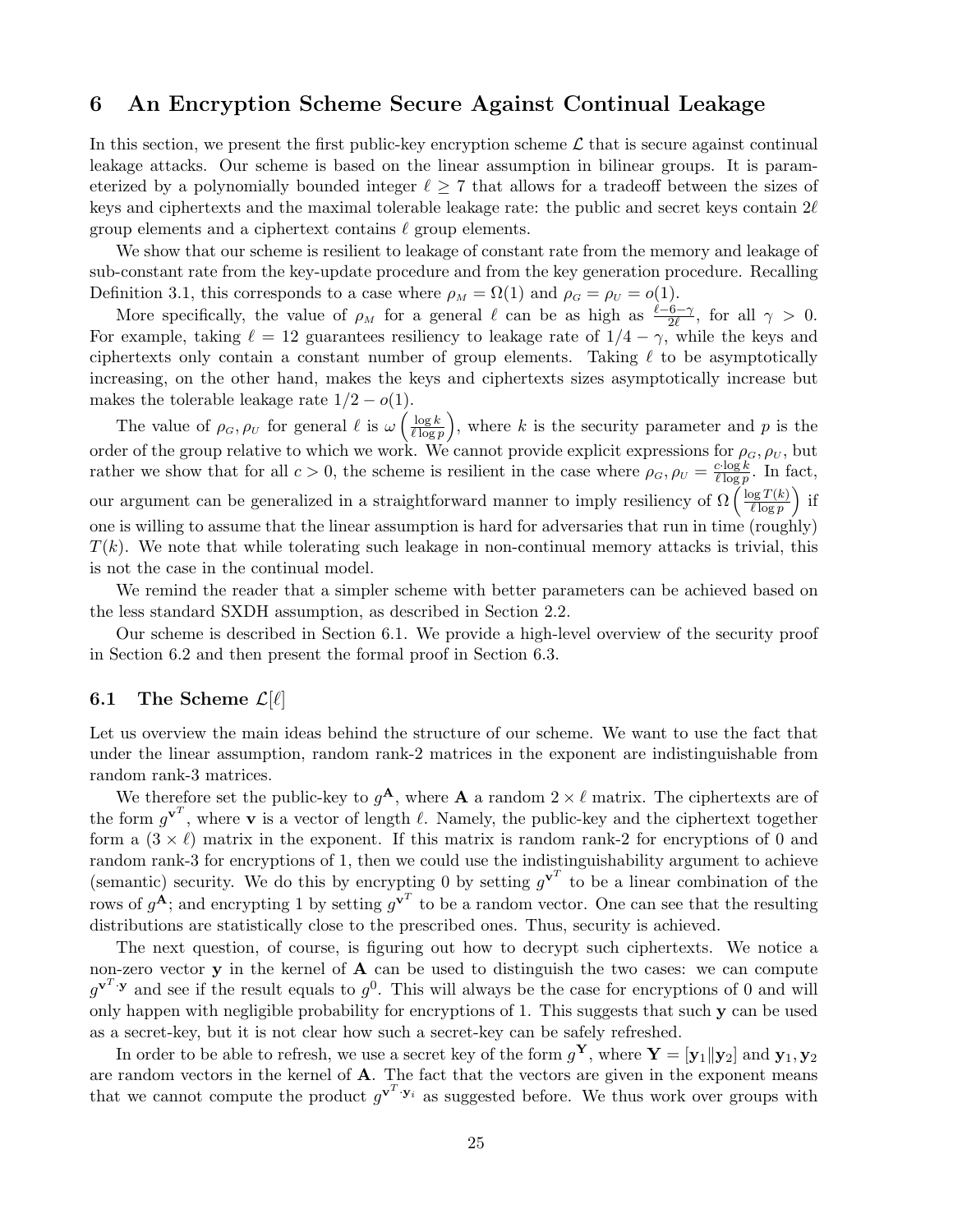# 6 An Encryption Scheme Secure Against Continual Leakage

In this section, we present the first public-key encryption scheme  $\mathcal L$  that is secure against continual leakage attacks. Our scheme is based on the linear assumption in bilinear groups. It is parameterized by a polynomially bounded integer  $\ell \geq 7$  that allows for a tradeoff between the sizes of keys and ciphertexts and the maximal tolerable leakage rate: the public and secret keys contain  $2\ell$ group elements and a ciphertext contains  $\ell$  group elements.

We show that our scheme is resilient to leakage of constant rate from the memory and leakage of sub-constant rate from the key-update procedure and from the key generation procedure. Recalling Definition 3.1, this corresponds to a case where  $\rho_M = \Omega(1)$  and  $\rho_G = \rho_U = o(1)$ .

More specifically, the value of  $\rho_M$  for a general  $\ell$  can be as high as  $\frac{\ell-6-\gamma}{2\ell}$ , for all  $\gamma > 0$ . For example, taking  $\ell = 12$  guarantees resiliency to leakage rate of  $1/4 - \gamma$ , while the keys and ciphertexts only contain a constant number of group elements. Taking  $\ell$  to be asymptotically increasing, on the other hand, makes the keys and ciphertexts sizes asymptotically increase but makes the tolerable leakage rate  $1/2 - o(1)$ . ´

The value of  $\rho_G, \rho_U$  for general  $\ell$  is  $\omega\left(\frac{\log k}{\ell \log n}\right)$  $\ell \log p$ , where  $k$  is the security parameter and  $p$  is the order of the group relative to which we work. We cannot provide explicit expressions for  $\rho_G, \rho_U$ , but rather we show that for all  $c > 0$ , the scheme is resilient in the case where  $\rho_G$ ,  $\rho_U = \frac{c \cdot \log k}{\ell \log n}$  $\frac{c \cdot \log k}{\ell \log p}$ . In fact, our argument can be generalized in a straightforward manner to imply resiliency of  $\Omega\left(\frac{\log T(k)}{\ell\log n}\right)$  $\frac{\log T(k)}{\ell \log p}$  if one is willing to assume that the linear assumption is hard for adversaries that run in time (roughly)  $T(k)$ . We note that while tolerating such leakage in non-continual memory attacks is trivial, this is not the case in the continual model.

We remind the reader that a simpler scheme with better parameters can be achieved based on the less standard SXDH assumption, as described in Section 2.2.

Our scheme is described in Section 6.1. We provide a high-level overview of the security proof in Section 6.2 and then present the formal proof in Section 6.3.

## 6.1 The Scheme  $\mathcal{L}[\ell]$

Let us overview the main ideas behind the structure of our scheme. We want to use the fact that under the linear assumption, random rank-2 matrices in the exponent are indistinguishable from random rank-3 matrices.

We therefore set the public-key to  $g^{\mathbf{A}}$ , where **A** a random  $2 \times \ell$  matrix. The ciphertexts are of the form  $g^{\mathbf{v}^T}$ , where **v** is a vector of length  $\ell$ . Namely, the public-key and the ciphertext together form a  $(3 \times \ell)$  matrix in the exponent. If this matrix is random rank-2 for encryptions of 0 and random rank-3 for encryptions of 1, then we could use the indistinguishability argument to achieve (semantic) security. We do this by encrypting 0 by setting  $g^{\mathbf{v}^T}$  to be a linear combination of the rows of  $g^{\mathbf{A}}$ ; and encrypting 1 by setting  $g^{\mathbf{v}^T}$  to be a random vector. One can see that the resulting distributions are statistically close to the prescribed ones. Thus, security is achieved.

The next question, of course, is figuring out how to decrypt such ciphertexts. We notice a non-zero vector  $\bf{y}$  in the kernel of  $\bf{A}$  can be used to distinguish the two cases: we can compute  $g^{\mathbf{v}^T \cdot \mathbf{y}}$  and see if the result equals to  $g^0$ . This will always be the case for encryptions of 0 and will only happen with negligible probability for encryptions of 1. This suggests that such  $\bf{v}$  can be used as a secret-key, but it is not clear how such a secret-key can be safely refreshed.

In order to be able to refresh, we use a secret key of the form  $g^{\mathbf{Y}},$  where  $\mathbf{Y} = [\mathbf{y}_1 || \mathbf{y}_2]$  and  $\mathbf{y}_1, \mathbf{y}_2$ are random vectors in the kernel of A. The fact that the vectors are given in the exponent means that we cannot compute the product  $g^{\mathbf{v}^T \cdot \mathbf{y}_i}$  as suggested before. We thus work over groups with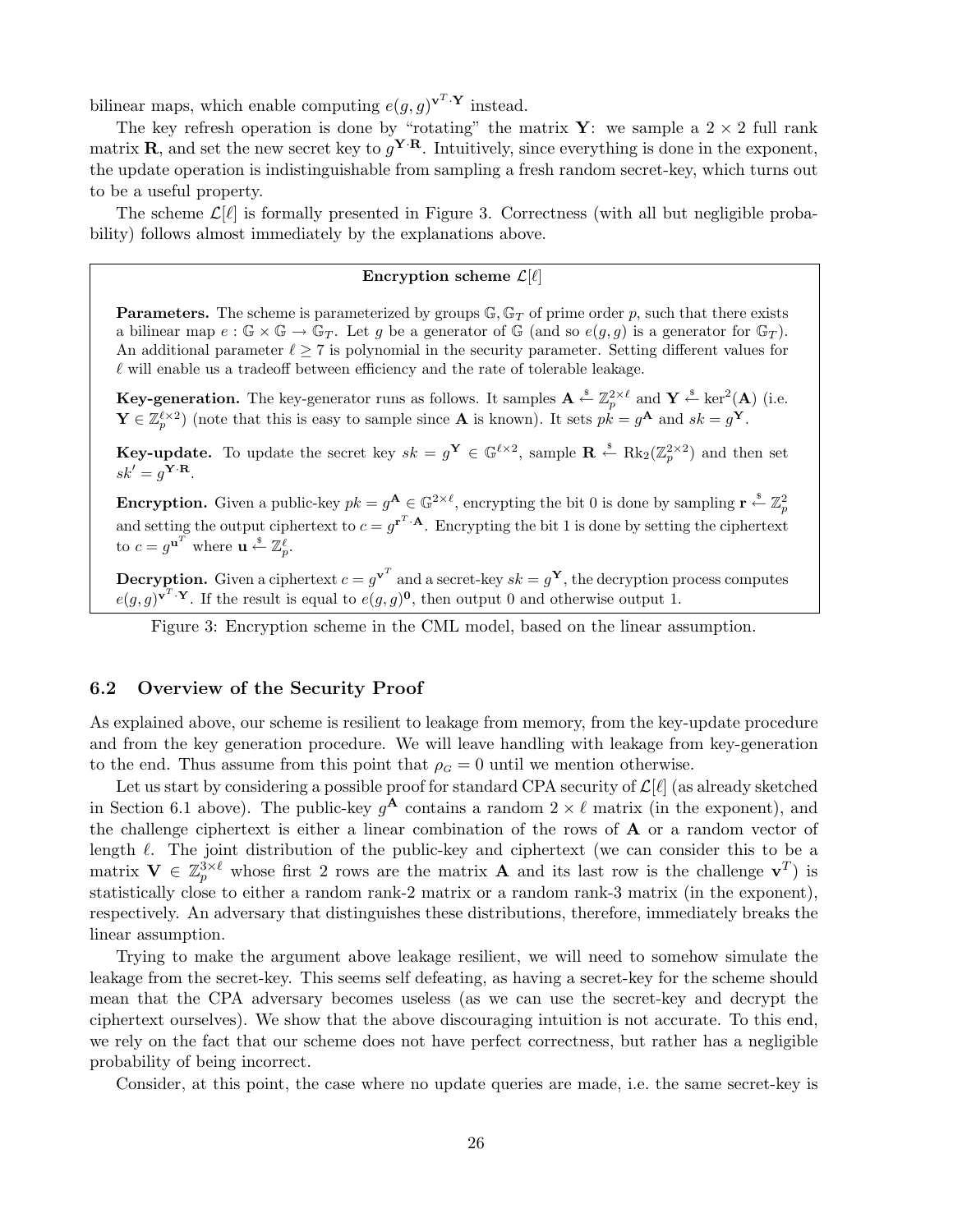bilinear maps, which enable computing  $e(g, g)^{\mathbf{v}^T \cdot \mathbf{Y}}$  instead.

The key refresh operation is done by "rotating" the matrix **Y**: we sample a  $2 \times 2$  full rank matrix **R**, and set the new secret key to  $g^{\mathbf{Y} \cdot \mathbf{R}}$ . Intuitively, since everything is done in the exponent, the update operation is indistinguishable from sampling a fresh random secret-key, which turns out to be a useful property.

The scheme  $\mathcal{L}[\ell]$  is formally presented in Figure 3. Correctness (with all but negligible probability) follows almost immediately by the explanations above.

## Encryption scheme  $\mathcal{L}[\ell]$

**Parameters.** The scheme is parameterized by groups  $\mathbb{G}, \mathbb{G}_T$  of prime order p, such that there exists a bilinear map  $e : \mathbb{G} \times \mathbb{G} \to \mathbb{G}_T$ . Let g be a generator of  $\mathbb{G}$  (and so  $e(g, g)$ ) is a generator for  $\mathbb{G}_T$ ). An additional parameter  $\ell \geq 7$  is polynomial in the security parameter. Setting different values for  $\ell$  will enable us a tradeoff between efficiency and the rate of tolerable leakage.

**Key-generation.** The key-generator runs as follows. It samples  $A \stackrel{\hspace{0.1em}\mathsf{\scriptscriptstyle\$}}{\leftarrow} \mathbb{Z}_p^{2 \times \ell}$  and  $\mathbf{Y} \stackrel{\hspace{0.1em}\mathsf{\scriptscriptstyle\$}}{\leftarrow} \ker^2(A)$  (i.e.  $\mathbf{Y} \in \mathbb{Z}_p^{\ell \times 2}$  (note that this is easy to sample since **A** is known). It sets  $pk = g^{\mathbf{A}}$  and  $sk = g^{\mathbf{Y}}$ .

**Key-update.** To update the secret key  $sk = g^{\mathbf{Y}} \in \mathbb{G}^{\ell \times 2}$ , sample  $\mathbf{R} \stackrel{\text{s}}{\leftarrow} \text{Rk}_2(\mathbb{Z}_p^{2 \times 2})$  and then set  $sk' = g^{\mathbf{Y} \cdot \mathbf{R}}$ .

**Encryption.** Given a public-key  $pk = g^{\mathbf{A}} \in \mathbb{G}^{2 \times \ell}$ , encrypting the bit 0 is done by sampling  $\mathbf{r} \leftarrow \mathbb{Z}_p^2$ and setting the output ciphertext to  $c = g^{r^T \cdot A}$ . Encrypting the bit 1 is done by setting the ciphertext to  $c = g^{\mathbf{u}^T}$  where  $\mathbf{u} \stackrel{\mathbf{\$}}{\leftarrow} \mathbb{Z}_p^{\ell}$ .

**Decryption.** Given a ciphertext  $c = g^{\mathbf{v}^T}$  and a secret-key  $sk = g^{\mathbf{Y}}$ , the decryption process computes  $e(g,g)^{\mathbf{v}^T\cdot\mathbf{Y}}$ . If the result is equal to  $e(g,g)^{\mathbf{0}}$ , then output 0 and otherwise output 1.

Figure 3: Encryption scheme in the CML model, based on the linear assumption.

## 6.2 Overview of the Security Proof

As explained above, our scheme is resilient to leakage from memory, from the key-update procedure and from the key generation procedure. We will leave handling with leakage from key-generation to the end. Thus assume from this point that  $\rho_G = 0$  until we mention otherwise.

Let us start by considering a possible proof for standard CPA security of  $\mathcal{L}[\ell]$  (as already sketched in Section 6.1 above). The public-key  $g^{\mathbf{A}}$  contains a random  $2 \times \ell$  matrix (in the exponent), and the challenge ciphertext is either a linear combination of the rows of  $\bf{A}$  or a random vector of length  $\ell$ . The joint distribution of the public-key and ciphertext (we can consider this to be a matrix  $\mathbf{V} \in \mathbb{Z}_p^{3\times \ell}$  whose first 2 rows are the matrix **A** and its last row is the challenge  $\mathbf{v}^T$ ) is statistically close to either a random rank-2 matrix or a random rank-3 matrix (in the exponent), respectively. An adversary that distinguishes these distributions, therefore, immediately breaks the linear assumption.

Trying to make the argument above leakage resilient, we will need to somehow simulate the leakage from the secret-key. This seems self defeating, as having a secret-key for the scheme should mean that the CPA adversary becomes useless (as we can use the secret-key and decrypt the ciphertext ourselves). We show that the above discouraging intuition is not accurate. To this end, we rely on the fact that our scheme does not have perfect correctness, but rather has a negligible probability of being incorrect.

Consider, at this point, the case where no update queries are made, i.e. the same secret-key is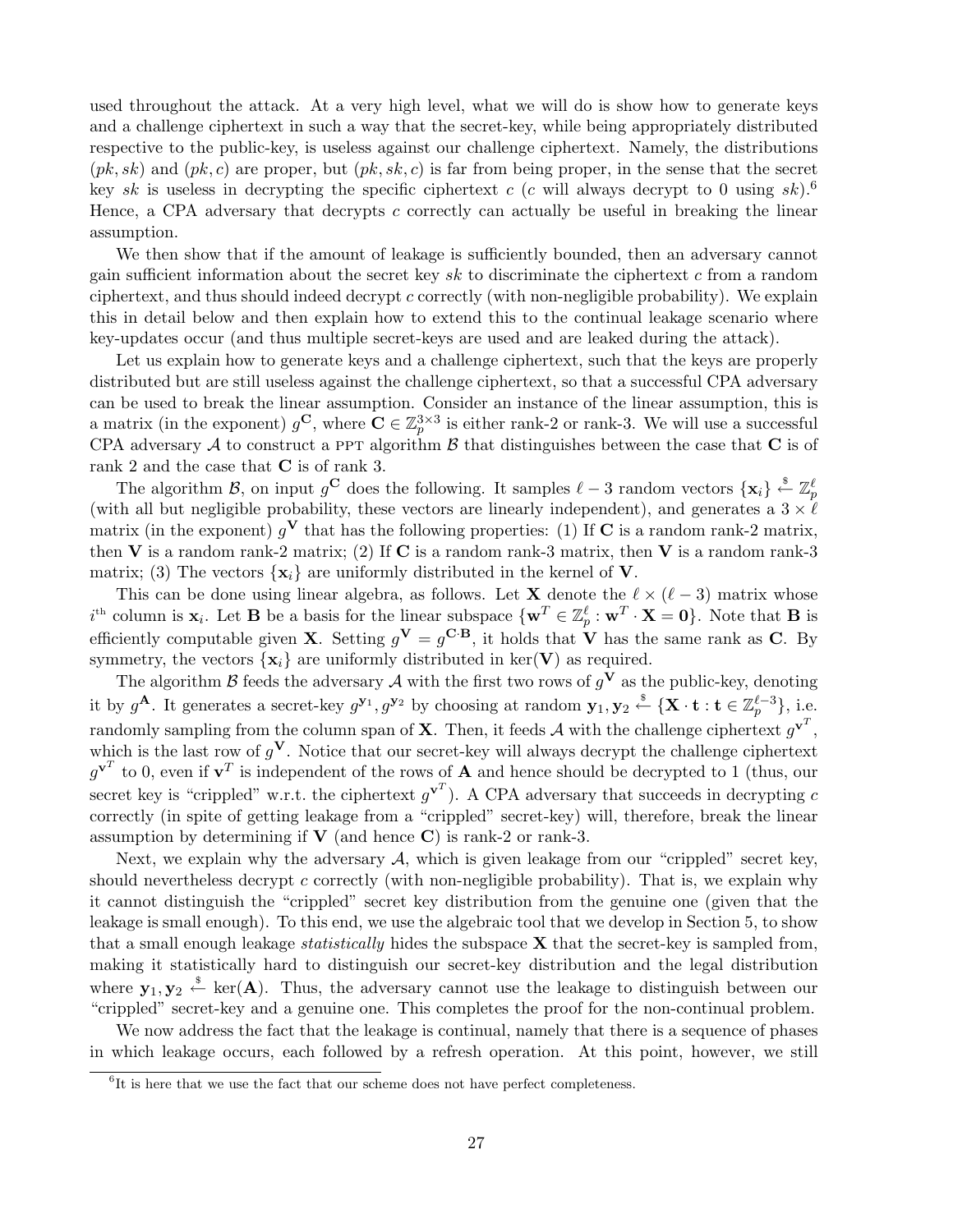used throughout the attack. At a very high level, what we will do is show how to generate keys and a challenge ciphertext in such a way that the secret-key, while being appropriately distributed respective to the public-key, is useless against our challenge ciphertext. Namely, the distributions  $(pk, sk)$  and  $(pk, c)$  are proper, but  $(pk, sk, c)$  is far from being proper, in the sense that the secret key sk is useless in decrypting the specific ciphertext c (c will always decrypt to 0 using sk).<sup>6</sup> Hence, a CPA adversary that decrypts c correctly can actually be useful in breaking the linear assumption.

We then show that if the amount of leakage is sufficiently bounded, then an adversary cannot gain sufficient information about the secret key sk to discriminate the ciphertext c from a random ciphertext, and thus should indeed decrypt c correctly (with non-negligible probability). We explain this in detail below and then explain how to extend this to the continual leakage scenario where key-updates occur (and thus multiple secret-keys are used and are leaked during the attack).

Let us explain how to generate keys and a challenge ciphertext, such that the keys are properly distributed but are still useless against the challenge ciphertext, so that a successful CPA adversary can be used to break the linear assumption. Consider an instance of the linear assumption, this is a matrix (in the exponent)  $g^{\mathbf{C}}$ , where  $\mathbf{C} \in \mathbb{Z}_p^{3 \times 3}$  is either rank-2 or rank-3. We will use a successful CPA adversary A to construct a PPT algorithm  $\beta$  that distinguishes between the case that C is of rank 2 and the case that C is of rank 3.

The algorithm B, on input  $g^{\mathbf{C}}$  does the following. It samples  $\ell - 3$  random vectors  $\{\mathbf{x}_i\} \stackrel{\hspace{0.1em}\mathsf{\scriptscriptstyle\$}}{\leftarrow} \mathbb{Z}_p^{\ell}$ (with all but negligible probability, these vectors are linearly independent), and generates a  $3 \times l$ matrix (in the exponent)  $g<sup>V</sup>$  that has the following properties: (1) If C is a random rank-2 matrix, then V is a random rank-2 matrix; (2) If C is a random rank-3 matrix, then V is a random rank-3 matrix; (3) The vectors  $\{x_i\}$  are uniformly distributed in the kernel of V.

This can be done using linear algebra, as follows. Let **X** denote the  $\ell \times (\ell - 3)$  matrix whose  $i<sup>th</sup>$  column is  $\mathbf{x}_i$ . Let **B** be a basis for the linear subspace  $\{\mathbf{w}^T \in \mathbb{Z}_p^{\ell} : \mathbf{w}^T \cdot \mathbf{X} = \mathbf{0}\}\.$  Note that **B** is efficiently computable given **X**. Setting  $g^{\mathbf{V}} = g^{\mathbf{C} \cdot \mathbf{B}}$ , it holds that **V** has the same rank as **C**. By symmetry, the vectors  $\{x_i\}$  are uniformly distributed in ker(V) as required.

The algorithm  $\beta$  feeds the adversary  $\mathcal A$  with the first two rows of  $g^V$  as the public-key, denoting it by  $g^{\mathbf{A}}$ . It generates a secret-key  $g^{\mathbf{y}_1}, g^{\mathbf{y}_2}$  by choosing at random  $\mathbf{y}_1, \mathbf{y}_2 \stackrel{\$}{\leftarrow} {\{\mathbf{X} \cdot \mathbf{t} : \mathbf{t} \in \mathbb{Z}_p^{\ell-3}\},\$ i.e. randomly sampling from the column span of **X**. Then, it feeds  $\mathcal{A}$  with the challenge ciphertext  $g^{\mathbf{v}^T}$ , which is the last row of  $g<sup>V</sup>$ . Notice that our secret-key will always decrypt the challenge ciphertext  $g^{\mathbf{v}^T}$  to 0, even if  $\mathbf{v}^T$  is independent of the rows of **A** and hence should be decrypted to 1 (thus, our secret key is "crippled" w.r.t. the ciphertext  $g^{\mathbf{v}^T}$ ). A CPA adversary that succeeds in decrypting c correctly (in spite of getting leakage from a "crippled" secret-key) will, therefore, break the linear assumption by determining if  $V$  (and hence C) is rank-2 or rank-3.

Next, we explain why the adversary  $A$ , which is given leakage from our "crippled" secret key, should nevertheless decrypt c correctly (with non-negligible probability). That is, we explain why it cannot distinguish the "crippled" secret key distribution from the genuine one (given that the leakage is small enough). To this end, we use the algebraic tool that we develop in Section 5, to show that a small enough leakage *statistically* hides the subspace  $X$  that the secret-key is sampled from, making it statistically hard to distinguish our secret-key distribution and the legal distribution where  $y_1, y_2 \stackrel{\$}{\leftarrow} \text{ker}(A)$ . Thus, the adversary cannot use the leakage to distinguish between our "crippled" secret-key and a genuine one. This completes the proof for the non-continual problem.

We now address the fact that the leakage is continual, namely that there is a sequence of phases in which leakage occurs, each followed by a refresh operation. At this point, however, we still

<sup>&</sup>lt;sup>6</sup>It is here that we use the fact that our scheme does not have perfect completeness.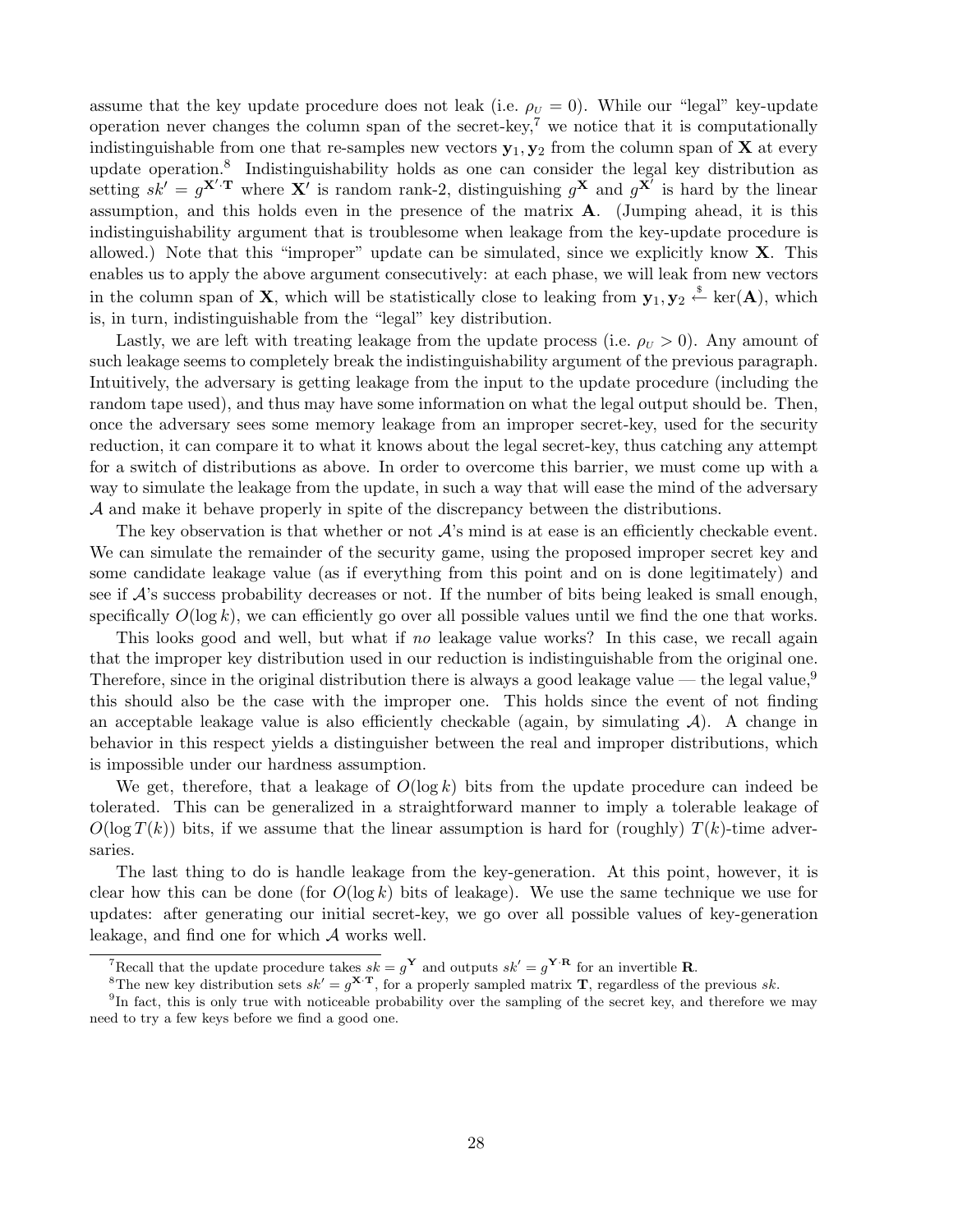assume that the key update procedure does not leak (i.e.  $\rho_U = 0$ ). While our "legal" key-update operation never changes the column span of the secret-key,<sup>7</sup> we notice that it is computationally indistinguishable from one that re-samples new vectors  $y_1, y_2$  from the column span of **X** at every update operation.<sup>8</sup> Indistinguishability holds as one can consider the legal key distribution as setting  $s\hat{k}' = g^{\mathbf{X}'\cdot \mathbf{T}}$  where  $\mathbf{X}'$  is random rank-2, distinguishing  $g^{\mathbf{X}}$  and  $g^{\mathbf{X}'}$  is hard by the linear assumption, and this holds even in the presence of the matrix A. (Jumping ahead, it is this indistinguishability argument that is troublesome when leakage from the key-update procedure is allowed.) Note that this "improper" update can be simulated, since we explicitly know  $X$ . This enables us to apply the above argument consecutively: at each phase, we will leak from new vectors in the column span of **X**, which will be statistically close to leaking from  $y_1, y_2 \stackrel{\$}{\leftarrow} \text{ker}(A)$ , which is, in turn, indistinguishable from the "legal" key distribution.

Lastly, we are left with treating leakage from the update process (i.e.  $\rho_U > 0$ ). Any amount of such leakage seems to completely break the indistinguishability argument of the previous paragraph. Intuitively, the adversary is getting leakage from the input to the update procedure (including the random tape used), and thus may have some information on what the legal output should be. Then, once the adversary sees some memory leakage from an improper secret-key, used for the security reduction, it can compare it to what it knows about the legal secret-key, thus catching any attempt for a switch of distributions as above. In order to overcome this barrier, we must come up with a way to simulate the leakage from the update, in such a way that will ease the mind of the adversary A and make it behave properly in spite of the discrepancy between the distributions.

The key observation is that whether or not  $\mathcal{A}$ 's mind is at ease is an efficiently checkable event. We can simulate the remainder of the security game, using the proposed improper secret key and some candidate leakage value (as if everything from this point and on is done legitimately) and see if  $\mathcal{A}$ 's success probability decreases or not. If the number of bits being leaked is small enough, specifically  $O(\log k)$ , we can efficiently go over all possible values until we find the one that works.

This looks good and well, but what if no leakage value works? In this case, we recall again that the improper key distribution used in our reduction is indistinguishable from the original one. Therefore, since in the original distribution there is always a good leakage value — the legal value,<sup>9</sup> this should also be the case with the improper one. This holds since the event of not finding an acceptable leakage value is also efficiently checkable (again, by simulating  $A$ ). A change in behavior in this respect yields a distinguisher between the real and improper distributions, which is impossible under our hardness assumption.

We get, therefore, that a leakage of  $O(\log k)$  bits from the update procedure can indeed be tolerated. This can be generalized in a straightforward manner to imply a tolerable leakage of  $O(\log T(k))$  bits, if we assume that the linear assumption is hard for (roughly)  $T(k)$ -time adversaries.

The last thing to do is handle leakage from the key-generation. At this point, however, it is clear how this can be done (for  $O(\log k)$  bits of leakage). We use the same technique we use for updates: after generating our initial secret-key, we go over all possible values of key-generation leakage, and find one for which A works well.

<sup>&</sup>lt;sup>7</sup>Recall that the update procedure takes  $sk = g^{\mathbf{Y}}$  and outputs  $sk' = g^{\mathbf{Y} \cdot \mathbf{R}}$  for an invertible **R**.

<sup>&</sup>lt;sup>8</sup>The new key distribution sets  $sk' = g^{X \cdot T}$ , for a properly sampled matrix **T**, regardless of the previous sk.

<sup>&</sup>lt;sup>9</sup>In fact, this is only true with noticeable probability over the sampling of the secret key, and therefore we may need to try a few keys before we find a good one.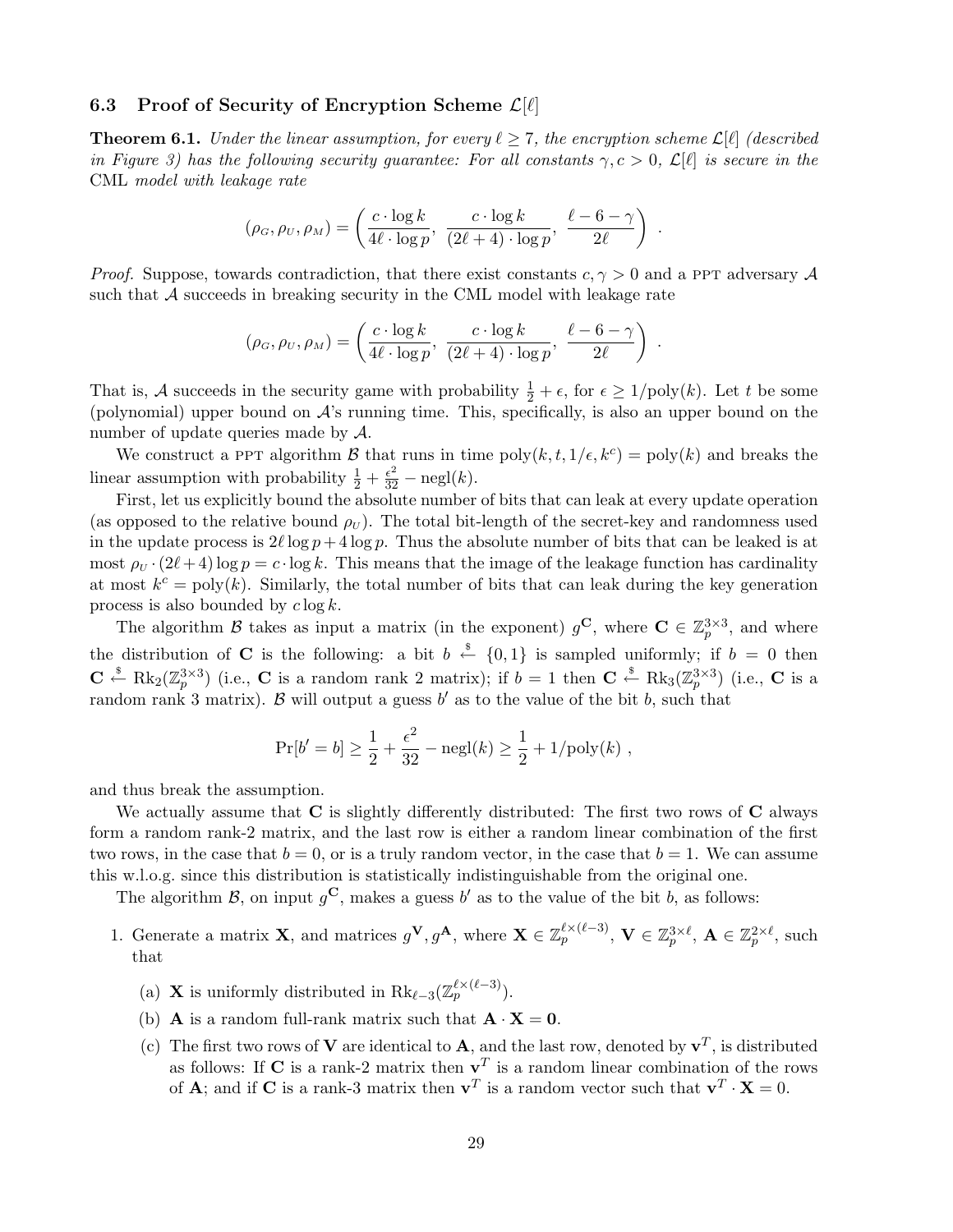## 6.3 Proof of Security of Encryption Scheme  $\mathcal{L}[\ell]$

**Theorem 6.1.** Under the linear assumption, for every  $\ell \geq 7$ , the encryption scheme  $\mathcal{L}[\ell]$  (described in Figure 3) has the following security guarantee: For all constants  $\gamma, c > 0, \mathcal{L}[\ell]$  is secure in the CML model with leakage rate

$$
(\rho_G, \rho_U, \rho_M) = \left(\frac{c \cdot \log k}{4\ell \cdot \log p}, \ \frac{c \cdot \log k}{(2\ell + 4) \cdot \log p}, \ \frac{\ell - 6 - \gamma}{2\ell}\right)
$$

.

*Proof.* Suppose, towards contradiction, that there exist constants  $c, \gamma > 0$  and a ppt adversary A such that  $\mathcal A$  succeeds in breaking security in the CML model with leakage rate

$$
(\rho_G, \rho_U, \rho_M) = \left(\frac{c \cdot \log k}{4\ell \cdot \log p}, \ \frac{c \cdot \log k}{(2\ell + 4) \cdot \log p}, \ \frac{\ell - 6 - \gamma}{2\ell}\right) .
$$

That is, A succeeds in the security game with probability  $\frac{1}{2} + \epsilon$ , for  $\epsilon \geq 1/\text{poly}(k)$ . Let t be some (polynomial) upper bound on  $\mathcal{A}$ 's running time. This, specifically, is also an upper bound on the number of update queries made by  $\mathcal{A}$ .

We construct a PPT algorithm B that runs in time  $\text{poly}(k, t, 1/\epsilon, k^c) = \text{poly}(k)$  and breaks the linear assumption with probability  $\frac{1}{2} + \frac{\epsilon^2}{32} - \text{negl}(k)$ .

First, let us explicitly bound the absolute number of bits that can leak at every update operation (as opposed to the relative bound  $\rho_U$ ). The total bit-length of the secret-key and randomness used in the update process is  $2\ell \log p + 4 \log p$ . Thus the absolute number of bits that can be leaked is at most  $\rho_U \cdot (2\ell + 4) \log p = c \cdot \log k$ . This means that the image of the leakage function has cardinality at most  $k^c = \text{poly}(k)$ . Similarly, the total number of bits that can leak during the key generation process is also bounded by  $c \log k$ .

The algorithm B takes as input a matrix (in the exponent)  $g^{\mathbf{C}}$ , where  $\mathbf{C} \in \mathbb{Z}_p^{3 \times 3}$ , and where the distribution of C is the following: a bit  $b \stackrel{\$}{\leftarrow} \{0,1\}$  is sampled uniformly; if  $b = 0$  then  $\mathbf{C} \stackrel{\$}{\leftarrow} \text{Rk}_2(\mathbb{Z}_p^{3\times3})$  (i.e.,  $\mathbf{C}$  is a random rank 2 matrix); if  $b=1$  then  $\mathbf{C} \stackrel{\$}{\leftarrow} \text{Rk}_3(\mathbb{Z}_p^{3\times3})$  (i.e.,  $\mathbf{C}$  is a random rank 3 matrix). B will output a guess  $b'$  as to the value of the bit b, such that

$$
\Pr[b' = b] \ge \frac{1}{2} + \frac{\epsilon^2}{32} - \text{negl}(k) \ge \frac{1}{2} + 1/\text{poly}(k) ,
$$

and thus break the assumption.

We actually assume that  $C$  is slightly differently distributed: The first two rows of  $C$  always form a random rank-2 matrix, and the last row is either a random linear combination of the first two rows, in the case that  $b = 0$ , or is a truly random vector, in the case that  $b = 1$ . We can assume this w.l.o.g. since this distribution is statistically indistinguishable from the original one.

The algorithm B, on input  $g^{\mathbf{C}}$ , makes a guess b' as to the value of the bit b, as follows:

- 1. Generate a matrix **X**, and matrices  $g^{\mathbf{V}}, g^{\mathbf{A}}$ , where  $\mathbf{X} \in \mathbb{Z}_p^{\ell \times (\ell-3)}$ ,  $\mathbf{V} \in \mathbb{Z}_p^{3 \times \ell}$ ,  $\mathbf{A} \in \mathbb{Z}_p^{2 \times \ell}$ , such that
	- (a) **X** is uniformly distributed in  $\text{Rk}_{\ell-3}(\mathbb{Z}_p^{\ell \times (\ell-3)})$ .
	- (b) **A** is a random full-rank matrix such that  $\mathbf{A} \cdot \mathbf{X} = 0$ .
	- (c) The first two rows of **V** are identical to **A**, and the last row, denoted by  $\mathbf{v}^T$ , is distributed as follows: If C is a rank-2 matrix then  $v^T$  is a random linear combination of the rows of **A**; and if **C** is a rank-3 matrix then  $v^T$  is a random vector such that  $v^T \cdot X = 0$ .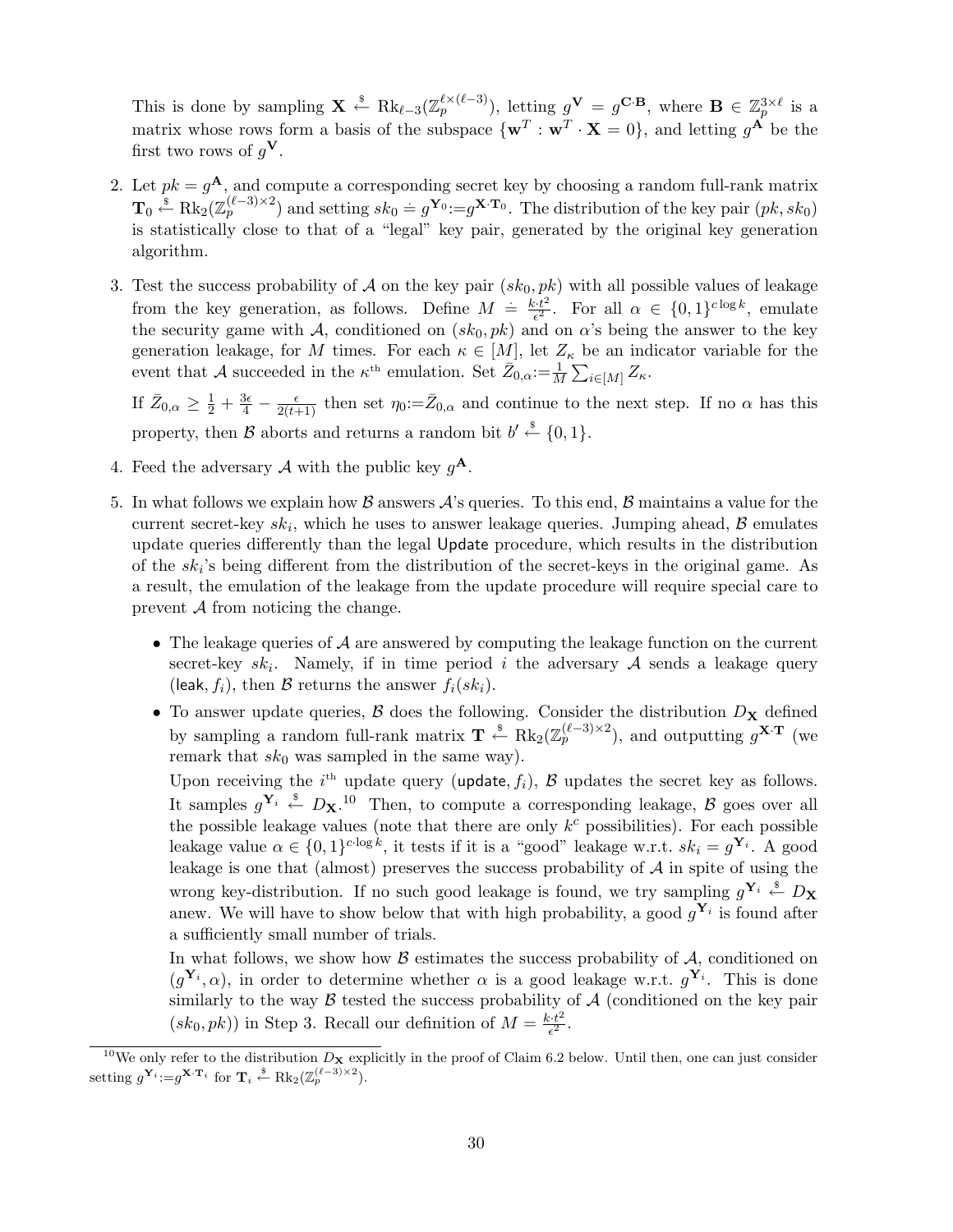This is done by sampling  $\mathbf{X} \stackrel{\$}{\leftarrow} \text{Rk}_{\ell-3}(\mathbb{Z}_{p}^{\ell \times (\ell-3)})$ , letting  $g^{\mathbf{V}} = g^{\mathbf{C} \cdot \mathbf{B}}$ , where  $\mathbf{B} \in \mathbb{Z}_{p}^{3 \times \ell}$  is a matrix whose rows form a basis of the subspace  $\{ \mathbf{w}^T : \mathbf{w}^T \cdot \mathbf{X} = 0 \}$ , and letting  $g^{\mathbf{A}}$  be the first two rows of  $g^{\mathbf{V}}$ .

- 2. Let  $pk = g^{A}$ , and compute a corresponding secret key by choosing a random full-rank matrix  $\mathbf{T}_0 \stackrel{\$}{\leftarrow} \text{Rk}_2(\mathbb{Z}_p^{(\ell-3)\times 2})$  and setting  $sk_0 = g^{\mathbf{Y}_0} = g^{\mathbf{X} \cdot \mathbf{T}_0}$ . The distribution of the key pair  $(pk, sk_0)$ is statistically close to that of a "legal" key pair, generated by the original key generation algorithm.
- 3. Test the success probability of A on the key pair  $(sk<sub>0</sub>, pk)$  with all possible values of leakage from the key generation, as follows. Define  $M = \frac{k \cdot t^2}{c^2}$  $\frac{c \cdot t^2}{\epsilon^2}$ . For all  $\alpha \in \{0,1\}^{c \log k}$ , emulate the security game with A, conditioned on  $(sk_0, pk)$  and on  $\alpha$ 's being the answer to the key generation leakage, for M times. For each  $\kappa \in [M]$ , let  $Z_{\kappa}$  be an indicator variable for the event that A succeeded in the  $\kappa^{\text{th}}$  emulation. Set  $\bar{Z}_{0,\alpha} := \frac{1}{M} \sum_{i \in [M]} Z_{\kappa}$ .

If  $\bar{Z}_{0,\alpha} \geq \frac{1}{2} + \frac{3\epsilon}{4} - \frac{\epsilon}{2(t+1)}$  then set  $\eta_0 := \bar{Z}_{0,\alpha}$  and continue to the next step. If no  $\alpha$  has this property, then B aborts and returns a random bit  $b' \stackrel{\$}{\leftarrow} \{0,1\}.$ 

- 4. Feed the adversary A with the public key  $g^{\mathbf{A}}$ .
- 5. In what follows we explain how  $\beta$  answers  $\mathcal{A}$ 's queries. To this end,  $\beta$  maintains a value for the current secret-key  $sk_i$ , which he uses to answer leakage queries. Jumping ahead,  $\beta$  emulates update queries differently than the legal Update procedure, which results in the distribution of the  $sk_i$ 's being different from the distribution of the secret-keys in the original game. As a result, the emulation of the leakage from the update procedure will require special care to prevent  $A$  from noticing the change.
	- The leakage queries of  $A$  are answered by computing the leakage function on the current secret-key  $sk_i$ . Namely, if in time period i the adversary A sends a leakage query (leak,  $f_i$ ), then B returns the answer  $f_i(sk_i)$ .
	- To answer update queries,  $\beta$  does the following. Consider the distribution  $D_{\mathbf{X}}$  defined by sampling a random full-rank matrix  $\mathbf{T} \stackrel{\$}{\leftarrow} \text{Rk}_2(\mathbb{Z}_p^{(\ell-3)\times2})$ , and outputting  $g^{\mathbf{X}\cdot\mathbf{T}}$  (we remark that  $sk_0$  was sampled in the same way).

Upon receiving the  $i<sup>th</sup>$  update query (update,  $f_i$ ),  $\beta$  updates the secret key as follows. It samples  $g^{\mathbf{Y}_i} \stackrel{\$}{\leftarrow} D_{\mathbf{X}}$ .<sup>10</sup> Then, to compute a corresponding leakage, B goes over all the possible leakage values (note that there are only  $k^c$  possibilities). For each possible leakage value  $\alpha \in \{0,1\}^{c \cdot \log k}$ , it tests if it is a "good" leakage w.r.t.  $sk_i = g^{\mathbf{Y}_i}$ . A good leakage is one that (almost) preserves the success probability of  $A$  in spite of using the wrong key-distribution. If no such good leakage is found, we try sampling  $g^{\mathbf{Y}_i} \stackrel{\hspace{0.1em}\mathsf{\scriptscriptstyle\$}}{\leftarrow} D_{\mathbf{X}}$ anew. We will have to show below that with high probability, a good  $g^{\mathbf{Y}_i}$  is found after a sufficiently small number of trials.

In what follows, we show how  $\beta$  estimates the success probability of  $\mathcal{A}$ , conditioned on  $(g^{\mathbf{Y}_i}, \alpha)$ , in order to determine whether  $\alpha$  is a good leakage w.r.t.  $g^{\mathbf{Y}_i}$ . This is done similarly to the way  $\beta$  tested the success probability of  $\mathcal A$  (conditioned on the key pair  $(sk_0, pk)$  in Step 3. Recall our definition of  $M = \frac{k \cdot t^2}{\epsilon^2}$  $\frac{e^{it^2}}{\epsilon^2}$ .

<sup>&</sup>lt;sup>10</sup>We only refer to the distribution  $D_x$  explicitly in the proof of Claim 6.2 below. Until then, one can just consider setting  $g^{\mathbf{Y}_i} := g^{\mathbf{X} \cdot \mathbf{T}_i}$  for  $\mathbf{T}_i \stackrel{\$}{\leftarrow} \text{Rk}_2(\mathbb{Z}_p^{(\ell-3) \times 2})$ .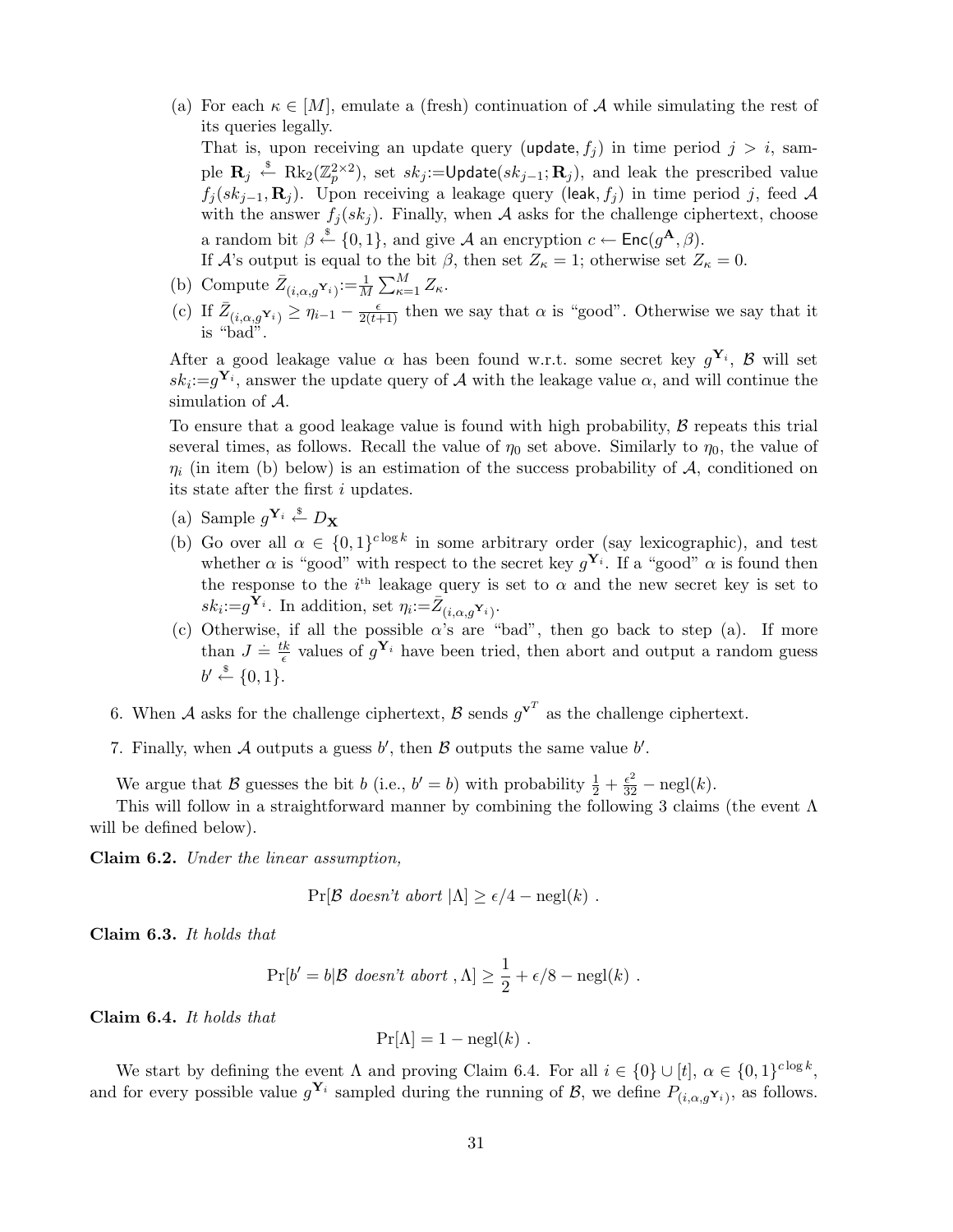(a) For each  $\kappa \in [M]$ , emulate a (fresh) continuation of A while simulating the rest of its queries legally.

That is, upon receiving an update query (update,  $f_i$ ) in time period  $j > i$ , sample  $\mathbf{R}_j \stackrel{\hspace{0.1em}\mathsf{\scriptscriptstyle\$}}{\leftarrow} \text{Rk}_2(\mathbb{Z}_p^{2\times 2}),$  set  $sk_j := \textsf{Update}(sk_{j-1}; \mathbf{R}_j),$  and leak the prescribed value  $f_j (sk_{j-1}, \mathbf{R}_j)$ . Upon receiving a leakage query (leak,  $f_j$ ) in time period j, feed A with the answer  $f_i(sk_i)$ . Finally, when A asks for the challenge ciphertext, choose a random bit  $\beta \stackrel{\$}{\leftarrow} \{0,1\}$ , and give A an encryption  $c \leftarrow \mathsf{Enc}(g^{\mathbf{A}}, \beta)$ .

If A's output is equal to the bit  $\beta$ , then set  $Z_{\kappa} = 1$ ; otherwise set  $Z_{\kappa} = 0$ .

- (b) Compute  $\bar{Z}_{(i,\alpha,g}\mathbf{Y}_i):=\frac{1}{M}$  $\sum_{i=1}^{n} M_i$  $\frac{M}{\kappa=1} Z_{\kappa}.$
- (c) If  $\bar{Z}_{(i,\alpha,g^{\mathbf{Y}_i})} \geq \eta_{i-1} \frac{\epsilon}{2(t+1)}$  then we say that  $\alpha$  is "good". Otherwise we say that it is "bad".

After a good leakage value  $\alpha$  has been found w.r.t. some secret key  $g^{\mathbf{Y}_i}$ ,  $\beta$  will set  $sk_i:=g^{\mathbf{Y}_i}$ , answer the update query of A with the leakage value  $\alpha$ , and will continue the simulation of A.

To ensure that a good leakage value is found with high probability,  $\beta$  repeats this trial several times, as follows. Recall the value of  $\eta_0$  set above. Similarly to  $\eta_0$ , the value of  $\eta_i$  (in item (b) below) is an estimation of the success probability of A, conditioned on its state after the first i updates.

- (a) Sample  $g^{\mathbf{Y}_i} \stackrel{\$}{\leftarrow} D_{\mathbf{X}}$
- (b) Go over all  $\alpha \in \{0,1\}^{c \log k}$  in some arbitrary order (say lexicographic), and test whether  $\alpha$  is "good" with respect to the secret key  $g^{\mathbf{Y}_i}$ . If a "good"  $\alpha$  is found then the response to the  $i<sup>th</sup>$  leakage query is set to  $\alpha$  and the new secret key is set to  $sk_i:=g^{\tilde{\mathbf{Y}}_i}$ . In addition, set  $\eta_i:=\bar{Z}_{(i,\alpha,g^{\mathbf{Y}}_i)}$ .
- (c) Otherwise, if all the possible  $\alpha$ 's are "bad", then go back to step (a). If more than  $J = \frac{ik}{\epsilon}$  $\frac{k}{\epsilon}$  values of  $g^{\mathbf{Y}_i}$  have been tried, then abort and output a random guess  $b' \stackrel{\$}{\leftarrow} \{0,1\}.$
- 6. When A asks for the challenge ciphertext, B sends  $g^{\mathbf{v}^T}$  as the challenge ciphertext.
- 7. Finally, when A outputs a guess  $b'$ , then B outputs the same value  $b'$ .

We argue that B guesses the bit b (i.e.,  $b' = b$ ) with probability  $\frac{1}{2} + \frac{\epsilon^2}{32} - \text{negl}(k)$ .

This will follow in a straightforward manner by combining the following 3 claims (the event  $\Lambda$ will be defined below).

Claim 6.2. Under the linear assumption,

$$
Pr[\mathcal{B} \text{ doesn't abort} | \Lambda] \ge \epsilon/4 - negl(k).
$$

Claim 6.3. It holds that

$$
Pr[b' = b | \mathcal{B} \text{ doesn't abort}, \Lambda] \geq \frac{1}{2} + \epsilon/8 - negl(k) .
$$

Claim 6.4. It holds that

$$
Pr[\Lambda] = 1 - negl(k) .
$$

We start by defining the event  $\Lambda$  and proving Claim 6.4. For all  $i \in \{0\} \cup [t], \alpha \in \{0,1\}^{c \log k}$ , and for every possible value  $g^{\mathbf{Y}_i}$  sampled during the running of  $\mathcal{B}$ , we define  $P_{(i,\alpha,g^{\mathbf{Y}_i})}$ , as follows.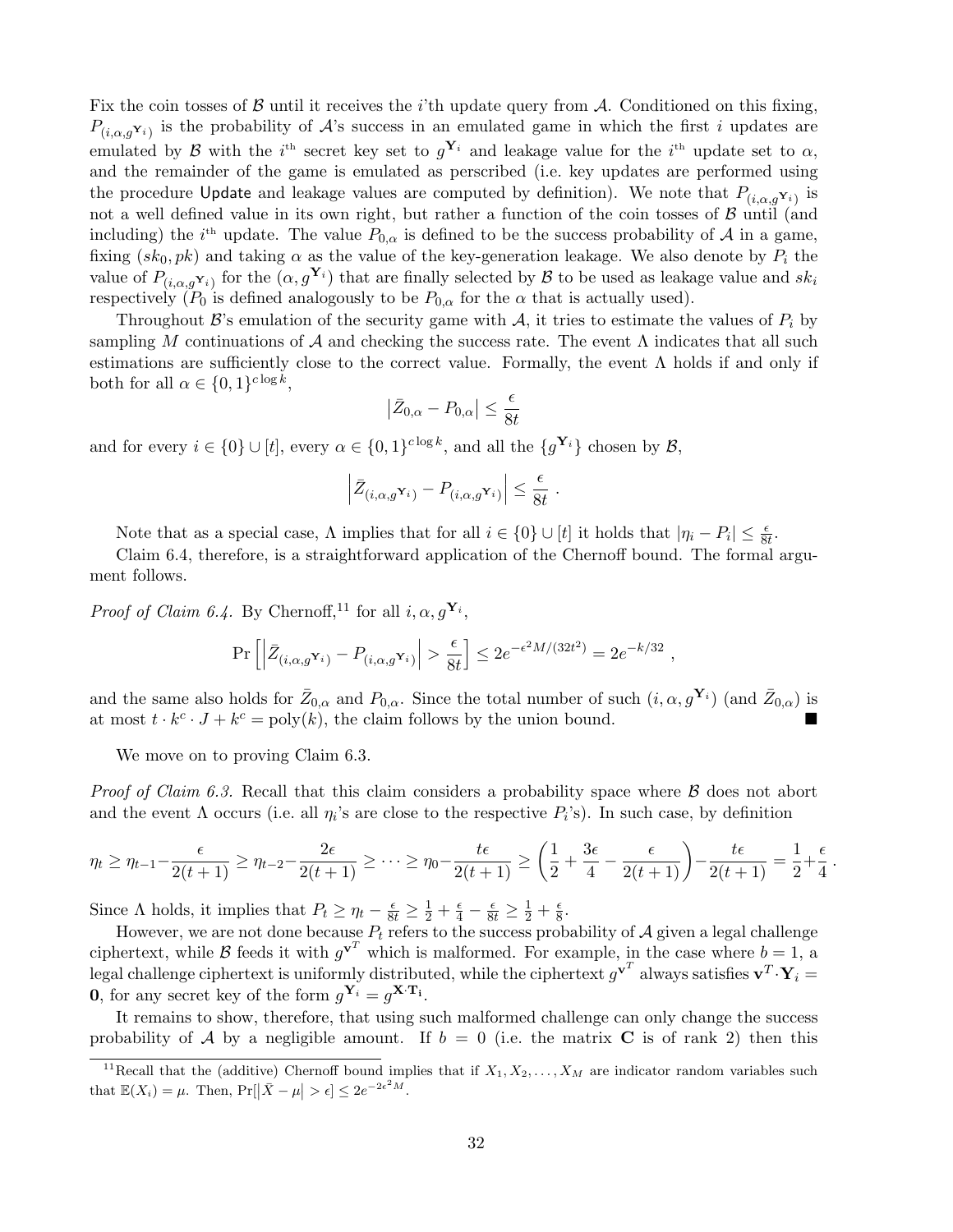Fix the coin tosses of  $\beta$  until it receives the *i*'th update query from  $\mathcal{A}$ . Conditioned on this fixing,  $P_{(i,\alpha,g^{\mathbf{Y}_i})}$  is the probability of A's success in an emulated game in which the first i updates are emulated by B with the i<sup>th</sup> secret key set to  $g^{\mathbf{Y}_i}$  and leakage value for the i<sup>th</sup> update set to  $\alpha$ , and the remainder of the game is emulated as perscribed (i.e. key updates are performed using the procedure Update and leakage values are computed by definition). We note that  $P_{(i,\alpha,g^{\mathbf{Y}_i})}$  is not a well defined value in its own right, but rather a function of the coin tosses of  $\beta$  until (and including) the *i*<sup>th</sup> update. The value  $P_{0,\alpha}$  is defined to be the success probability of A in a game, fixing  $(sk_0, pk)$  and taking  $\alpha$  as the value of the key-generation leakage. We also denote by  $P_i$  the value of  $P_{(i,\alpha,g^{\mathbf{Y}_i})}$  for the  $(\alpha,g^{\mathbf{Y}_i})$  that are finally selected by  $\mathcal B$  to be used as leakage value and  $sk_i$ respectively ( $P_0$  is defined analogously to be  $P_{0,\alpha}$  for the  $\alpha$  that is actually used).

Throughout  $\mathcal{B}$ 's emulation of the security game with  $\mathcal{A}$ , it tries to estimate the values of  $P_i$  by sampling M continuations of A and checking the success rate. The event  $\Lambda$  indicates that all such estimations are sufficiently close to the correct value. Formally, the event  $\Lambda$  holds if and only if both for all  $\alpha \in \{0,1\}^{c \log k}$ ,  $\overline{a}$ 

$$
\left|\bar{Z}_{0,\alpha} - P_{0,\alpha}\right| \le \frac{\epsilon}{8t}
$$

and for every  $i \in \{0\} \cup [t]$ , every  $\alpha \in \{0,1\}^{c \log k}$ , and all the  $\{g^{\mathbf{Y}_i}\}\)$  chosen by  $\mathcal{B}$ ,

$$
\left| \bar{Z}_{(i,\alpha,g} \mathbf{Y}_i) - P_{(i,\alpha,g} \mathbf{Y}_i) \right| \leq \frac{\epsilon}{8t} .
$$

Note that as a special case,  $\Lambda$  implies that for all  $i \in \{0\} \cup [t]$  it holds that  $|\eta_i - P_i| \leq \frac{\epsilon}{8t}$ .

Claim 6.4, therefore, is a straightforward application of the Chernoff bound. The formal argument follows.

*Proof of Claim 6.4.* By Chernoff,<sup>11</sup> for all  $i, \alpha, g^{\mathbf{Y}_i}$ ,

$$
\Pr\left[\left|\bar{Z}_{(i,\alpha,g}\mathbf{Y}_i) - P_{(i,\alpha,g}\mathbf{Y}_i)\right| > \frac{\epsilon}{8t}\right] \le 2e^{-\epsilon^2 M/(32t^2)} = 2e^{-k/32} \;,
$$

and the same also holds for  $\bar{Z}_{0,\alpha}$  and  $P_{0,\alpha}$ . Since the total number of such  $(i, \alpha, g^{\mathbf{Y}_i})$  (and  $\bar{Z}_{0,\alpha}$ ) is at most  $t \cdot k^c \cdot J + k^c = \text{poly}(k)$ , the claim follows by the union bound.

We move on to proving Claim 6.3.

*Proof of Claim 6.3.* Recall that this claim considers a probability space where  $\beta$  does not abort and the event  $\Lambda$  occurs (i.e. all  $\eta_i$ 's are close to the respective  $P_i$ 's). In such case, by definition

$$
\eta_t \geq \eta_{t-1} - \frac{\epsilon}{2(t+1)} \geq \eta_{t-2} - \frac{2\epsilon}{2(t+1)} \geq \cdots \geq \eta_0 - \frac{t\epsilon}{2(t+1)} \geq \left(\frac{1}{2} + \frac{3\epsilon}{4} - \frac{\epsilon}{2(t+1)}\right) - \frac{t\epsilon}{2(t+1)} = \frac{1}{2} + \frac{\epsilon}{4}.
$$

Since  $\Lambda$  holds, it implies that  $P_t \geq \eta_t - \frac{\epsilon}{8t} \geq \frac{1}{2} + \frac{\epsilon}{4} - \frac{\epsilon}{8t} \geq \frac{1}{2} + \frac{\epsilon}{8}$  $\frac{\epsilon}{8}$ .

However, we are not done because  $P_t$  refers to the success probability of  $\mathcal A$  given a legal challenge ciphertext, while B feeds it with  $g^{\mathbf{v}^T}$  which is malformed. For example, in the case where  $b=1$ , a legal challenge ciphertext is uniformly distributed, while the ciphertext  $g^{\mathbf{v}^T}$  always satisfies  $\mathbf{v}^T\!\cdot\!\mathbf{Y}_i =$ **0**, for any secret key of the form  $g^{\mathbf{Y}_i} = g^{\mathbf{X} \cdot \mathbf{T_i}}$ .

It remains to show, therefore, that using such malformed challenge can only change the success probability of A by a negligible amount. If  $b = 0$  (i.e. the matrix C is of rank 2) then this

<sup>&</sup>lt;sup>11</sup>Recall that the (additive) Chernoff bound implies that if  $X_1, X_2, \ldots, X_M$  are indicator random variables such that  $\mathbb{E}(X_i) = \mu$ . Then,  $\Pr[\left|\bar{X} - \mu\right| > \epsilon] \leq 2e^{-2\epsilon^2 M}$ .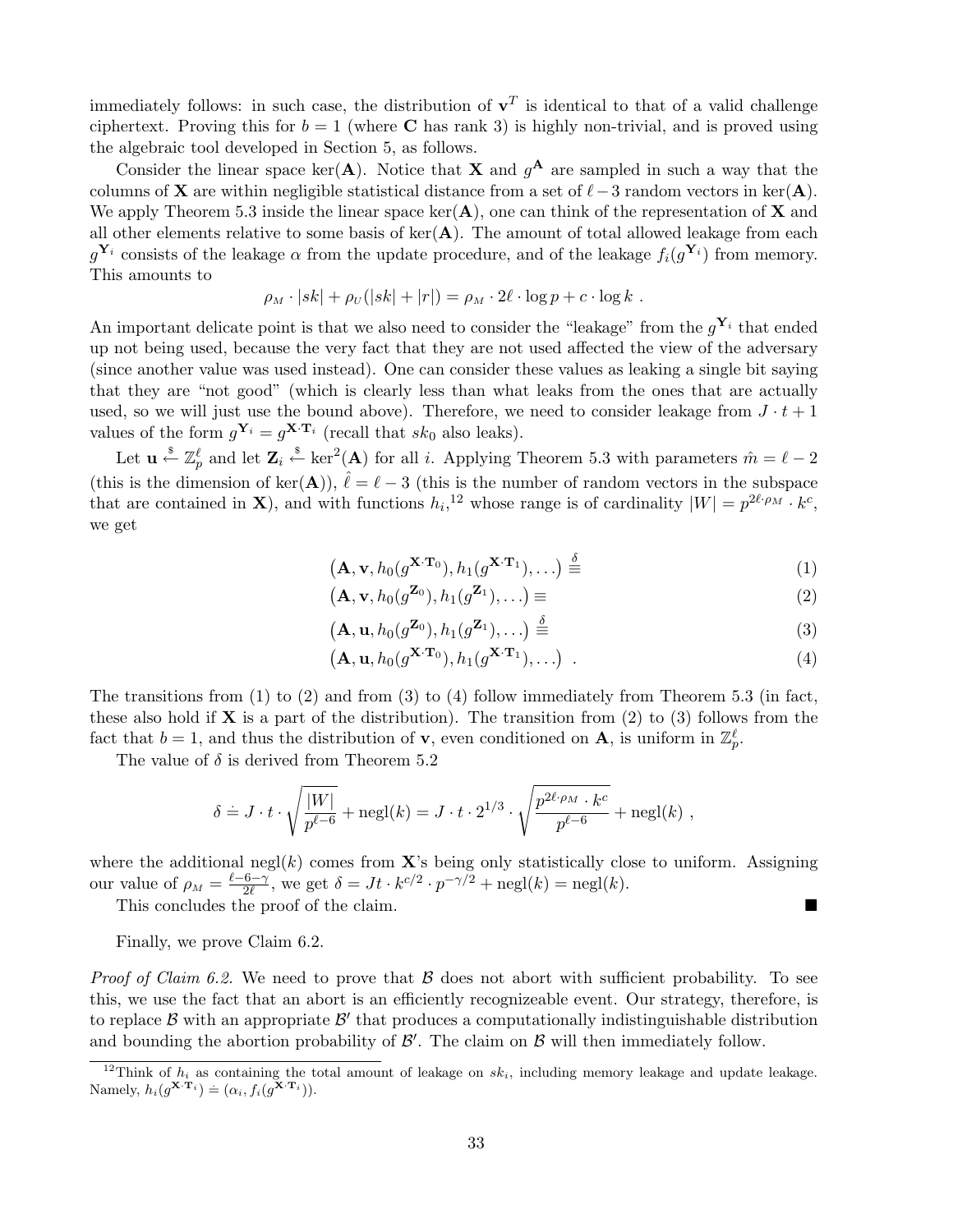immediately follows: in such case, the distribution of  $v<sup>T</sup>$  is identical to that of a valid challenge ciphertext. Proving this for  $b = 1$  (where C has rank 3) is highly non-trivial, and is proved using the algebraic tool developed in Section 5, as follows.

Consider the linear space ker(A). Notice that **X** and  $g^{\mathbf{A}}$  are sampled in such a way that the columns of **X** are within negligible statistical distance from a set of  $\ell$  −3 random vectors in ker(**A**). We apply Theorem 5.3 inside the linear space ker( $\bf{A}$ ), one can think of the representation of  $\bf{X}$  and all other elements relative to some basis of  $\ker(A)$ . The amount of total allowed leakage from each  $g^{\mathbf{Y}_i}$  consists of the leakage  $\alpha$  from the update procedure, and of the leakage  $f_i(g^{\mathbf{Y}_i})$  from memory. This amounts to

$$
\rho_M \cdot |sk| + \rho_U(|sk| + |r|) = \rho_M \cdot 2\ell \cdot \log p + c \cdot \log k.
$$

An important delicate point is that we also need to consider the "leakage" from the  $g^{\mathbf{Y}_i}$  that ended up not being used, because the very fact that they are not used affected the view of the adversary (since another value was used instead). One can consider these values as leaking a single bit saying that they are "not good" (which is clearly less than what leaks from the ones that are actually used, so we will just use the bound above). Therefore, we need to consider leakage from  $J \cdot t + 1$ values of the form  $g^{\mathbf{Y}_i} = g^{\mathbf{X} \cdot \mathbf{T}_i}$  (recall that  $sk_0$  also leaks).

Let  $\mathbf{u} \overset{\hspace{0.1em}\mathsf{\scriptscriptstyle\$}}{\leftarrow} \mathbb{Z}_p^\ell$  and let  $\mathbf{Z}_i \overset{\hspace{0.1em}\mathsf{\scriptscriptstyle\$}}{\leftarrow} \ker^2(\mathbf{A})$  for all i. Applying Theorem 5.3 with parameters  $\hat{m} = \ell - 2$ (this is the dimension of ker(A)),  $\hat{\ell} = \ell - 3$  (this is the number of random vectors in the subspace that are contained in **X**), and with functions  $h_i$ ,<sup>12</sup> whose range is of cardinality  $|W| = p^{2\ell \cdot \rho_M} \cdot k^c$ , we get

$$
(\mathbf{A}, \mathbf{v}, h_0(g^{\mathbf{X} \cdot \mathbf{T}_0}), h_1(g^{\mathbf{X} \cdot \mathbf{T}_1}), \ldots) \stackrel{\delta}{\equiv} \tag{1}
$$

$$
(\mathbf{A}, \mathbf{v}, h_0(g^{\mathbf{Z}_0}), h_1(g^{\mathbf{Z}_1}), \ldots) \equiv (2)
$$

$$
(\mathbf{A}, \mathbf{u}, h_0(g^{\mathbf{Z}_0}), h_1(g^{\mathbf{Z}_1}), \ldots) \stackrel{\delta}{\equiv} \tag{3}
$$

$$
(\mathbf{A}, \mathbf{u}, h_0(g^{\mathbf{X} \cdot \mathbf{T}_0}), h_1(g^{\mathbf{X} \cdot \mathbf{T}_1}), \dots) \tag{4}
$$

The transitions from  $(1)$  to  $(2)$  and from  $(3)$  to  $(4)$  follow immediately from Theorem 5.3 (in fact, these also hold if  $X$  is a part of the distribution). The transition from (2) to (3) follows from the fact that  $b = 1$ , and thus the distribution of **v**, even conditioned on **A**, is uniform in  $\mathbb{Z}_p^{\ell}$ .

The value of  $\delta$  is derived from Theorem 5.2

$$
\delta = J \cdot t \cdot \sqrt{\frac{|W|}{p^{\ell-6}}} + \mathrm{negl}(k) = J \cdot t \cdot 2^{1/3} \cdot \sqrt{\frac{p^{2\ell \cdot \rho_M} \cdot k^c}{p^{\ell-6}}} + \mathrm{negl}(k) ,
$$

where the additional negl(k) comes from  $X$ 's being only statistically close to uniform. Assigning our value of  $\rho_M = \frac{\ell - 6 - \gamma}{2\ell}$  $\frac{6-\gamma}{2\ell}$ , we get  $\delta = Jt \cdot k^{c/2} \cdot p^{-\gamma/2} + \text{negl}(k) = \text{negl}(k)$ .

This concludes the proof of the claim.

Finally, we prove Claim 6.2.

*Proof of Claim 6.2.* We need to prove that  $\beta$  does not abort with sufficient probability. To see this, we use the fact that an abort is an efficiently recognizeable event. Our strategy, therefore, is to replace  $\beta$  with an appropriate  $\beta'$  that produces a computationally indistinguishable distribution and bounding the abortion probability of  $\mathcal{B}'$ . The claim on  $\mathcal{B}$  will then immediately follow.

<sup>&</sup>lt;sup>12</sup>Think of  $h_i$  as containing the total amount of leakage on  $sk_i$ , including memory leakage and update leakage. Namely,  $h_i(g^{\mathbf{X} \cdot \mathbf{T}_i}) \doteq (\alpha_i, f_i(g^{\mathbf{X} \cdot \mathbf{T}_i})).$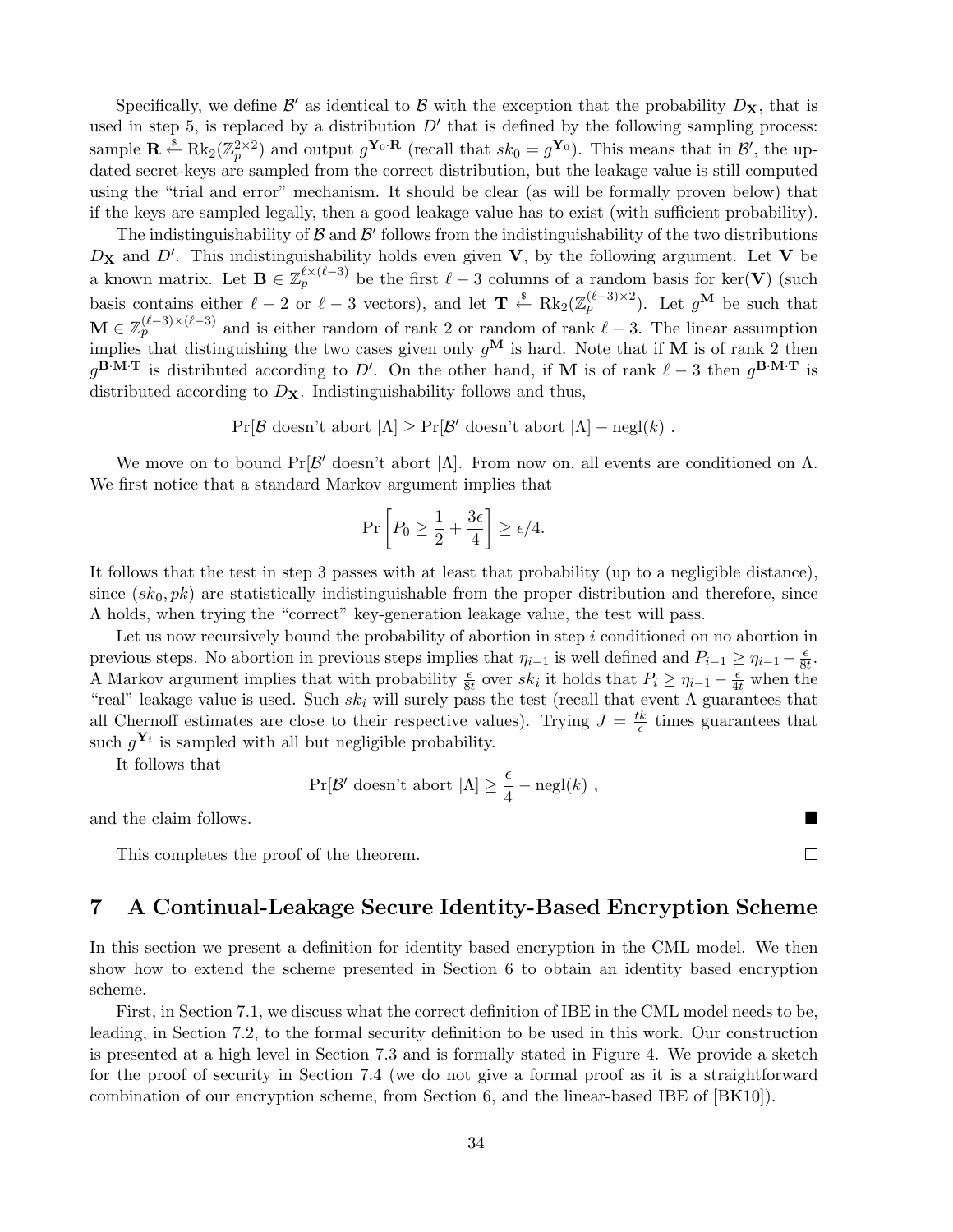Specifically, we define  $\mathcal{B}'$  as identical to  $\mathcal B$  with the exception that the probability  $D_{\mathbf{X}}$ , that is used in step 5, is replaced by a distribution  $D'$  that is defined by the following sampling process: sample  $\mathbf{R} \stackrel{\$}{\leftarrow} \text{Rk}_2(\mathbb{Z}_p^{2\times 2})$  and output  $g^{\mathbf{Y}_0 \cdot \mathbf{R}}$  (recall that  $sk_0 = g^{\mathbf{Y}_0}$ ). This means that in  $\mathcal{B}'$ , the updated secret-keys are sampled from the correct distribution, but the leakage value is still computed using the "trial and error" mechanism. It should be clear (as will be formally proven below) that if the keys are sampled legally, then a good leakage value has to exist (with sufficient probability).

The indistinguishability of  $\beta$  and  $\beta'$  follows from the indistinguishability of the two distributions  $D_{\mathbf{X}}$  and  $D'$ . This indistinguishability holds even given  $\mathbf{V}$ , by the following argument. Let  $\mathbf{V}$  be a known matrix. Let  $\mathbf{B} \in \mathbb{Z}_p^{\ell \times (\ell-3)}$  be the first  $\ell-3$  columns of a random basis for ker(V) (such basis contains either  $\ell - 2$  or  $\ell - 3$  vectors), and let  $\mathbf{T} \stackrel{\$}{\leftarrow} \text{Rk}_2(\mathbb{Z}_p^{(\ell-3)\times 2})$ . Let  $g^{\mathbf{M}}$  be such that  $\mathbf{M} \in \mathbb{Z}_p^{(\ell-3)\times (\ell-3)}$  and is either random of rank 2 or random of rank  $\ell-3$ . The linear assumption implies that distinguishing the two cases given only  $g^{\mathbf{M}}$  is hard. Note that if **M** is of rank 2 then  $g^{B \cdot M \cdot T}$  is distributed according to D'. On the other hand, if M is of rank  $\ell - 3$  then  $g^{B \cdot M \cdot T}$  is distributed according to  $D_{\mathbf{X}}$ . Indistinguishability follows and thus,

 $Pr[\mathcal{B} \text{ doesn't abort} | \Lambda] \geq Pr[\mathcal{B}' \text{ doesn't abort} | \Lambda] - negl(k)$ .

We move on to bound  $Pr[\mathcal{B}]$  doesn't abort  $|\Lambda|$ . From now on, all events are conditioned on  $\Lambda$ . We first notice that a standard Markov argument implies that

$$
\Pr\left[P_0 \ge \frac{1}{2} + \frac{3\epsilon}{4}\right] \ge \epsilon/4.
$$

It follows that the test in step 3 passes with at least that probability (up to a negligible distance), since  $(s_k, pk)$  are statistically indistinguishable from the proper distribution and therefore, since  $\Lambda$  holds, when trying the "correct" key-generation leakage value, the test will pass.

Let us now recursively bound the probability of abortion in step i conditioned on no abortion in previous steps. No abortion in previous steps implies that  $\eta_{i-1}$  is well defined and  $P_{i-1} \ge \eta_{i-1} - \frac{\epsilon}{8i}$  $\frac{\epsilon}{8t}$ . A Markov argument implies that with probability  $\frac{\epsilon}{8t}$  over  $sk_i$  it holds that  $P_i \geq \eta_{i-1} - \frac{\epsilon}{4t}$  when the "real" leakage value is used. Such  $sk_i$  will surely pass the test (recall that event  $\Lambda$  guarantees that all Chernoff estimates are close to their respective values). Trying  $J = \frac{tk}{\epsilon}$  $\frac{k}{\epsilon}$  times guarantees that such  $g^{\mathbf{Y}_i}$  is sampled with all but negligible probability.

It follows that

$$
Pr[\mathcal{B'} \text{ doesn't abort } |\Lambda] \ge \frac{\epsilon}{4} - \text{negl}(k) ,
$$

and the claim follows.

This completes the proof of the theorem.

# 7 A Continual-Leakage Secure Identity-Based Encryption Scheme

In this section we present a definition for identity based encryption in the CML model. We then show how to extend the scheme presented in Section 6 to obtain an identity based encryption scheme.

First, in Section 7.1, we discuss what the correct definition of IBE in the CML model needs to be, leading, in Section 7.2, to the formal security definition to be used in this work. Our construction is presented at a high level in Section 7.3 and is formally stated in Figure 4. We provide a sketch for the proof of security in Section 7.4 (we do not give a formal proof as it is a straightforward combination of our encryption scheme, from Section 6, and the linear-based IBE of [BK10]).

 $\Box$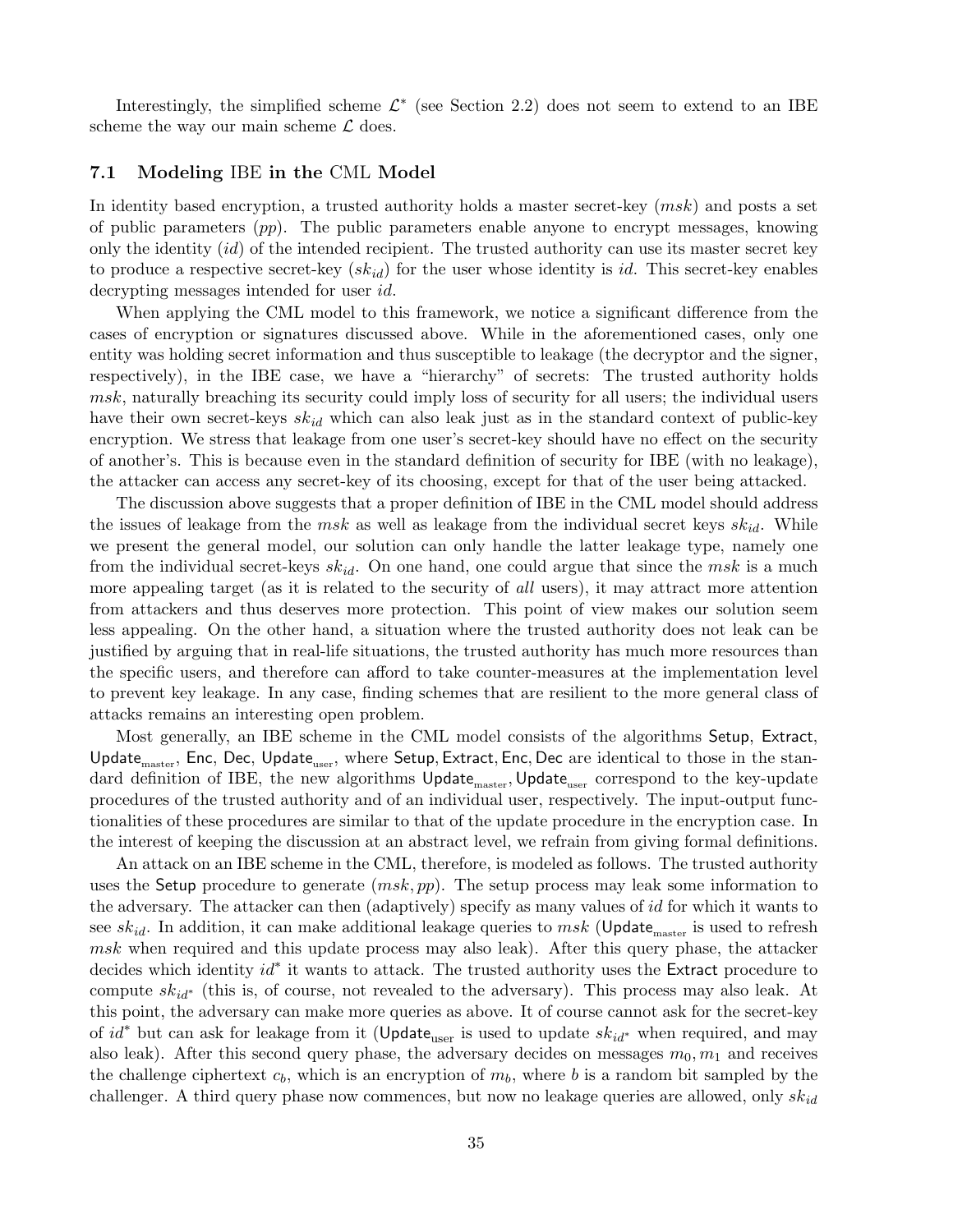Interestingly, the simplified scheme  $\mathcal{L}^*$  (see Section 2.2) does not seem to extend to an IBE scheme the way our main scheme  $\mathcal L$  does.

## 7.1 Modeling IBE in the CML Model

In identity based encryption, a trusted authority holds a master secret-key (msk) and posts a set of public parameters  $(pp)$ . The public parameters enable anyone to encrypt messages, knowing only the identity  $(id)$  of the intended recipient. The trusted authority can use its master secret key to produce a respective secret-key  $(sk_{id})$  for the user whose identity is id. This secret-key enables decrypting messages intended for user id.

When applying the CML model to this framework, we notice a significant difference from the cases of encryption or signatures discussed above. While in the aforementioned cases, only one entity was holding secret information and thus susceptible to leakage (the decryptor and the signer, respectively), in the IBE case, we have a "hierarchy" of secrets: The trusted authority holds msk, naturally breaching its security could imply loss of security for all users; the individual users have their own secret-keys  $sk_{id}$  which can also leak just as in the standard context of public-key encryption. We stress that leakage from one user's secret-key should have no effect on the security of another's. This is because even in the standard definition of security for IBE (with no leakage), the attacker can access any secret-key of its choosing, except for that of the user being attacked.

The discussion above suggests that a proper definition of IBE in the CML model should address the issues of leakage from the msk as well as leakage from the individual secret keys  $sk_{id}$ . While we present the general model, our solution can only handle the latter leakage type, namely one from the individual secret-keys  $sk_{id}$ . On one hand, one could argue that since the msk is a much more appealing target (as it is related to the security of all users), it may attract more attention from attackers and thus deserves more protection. This point of view makes our solution seem less appealing. On the other hand, a situation where the trusted authority does not leak can be justified by arguing that in real-life situations, the trusted authority has much more resources than the specific users, and therefore can afford to take counter-measures at the implementation level to prevent key leakage. In any case, finding schemes that are resilient to the more general class of attacks remains an interesting open problem.

Most generally, an IBE scheme in the CML model consists of the algorithms Setup, Extract, Update<sub>master</sub>, Enc, Dec, Update<sub>user</sub>, where Setup, Extract, Enc, Dec are identical to those in the standard definition of IBE, the new algorithms  $Update_{\text{master}}$ ,  $Update_{\text{user}}$  correspond to the key-update procedures of the trusted authority and of an individual user, respectively. The input-output functionalities of these procedures are similar to that of the update procedure in the encryption case. In the interest of keeping the discussion at an abstract level, we refrain from giving formal definitions.

An attack on an IBE scheme in the CML, therefore, is modeled as follows. The trusted authority uses the Setup procedure to generate  $(msk, pp)$ . The setup process may leak some information to the adversary. The attacker can then (adaptively) specify as many values of id for which it wants to see sk<sub>id</sub>. In addition, it can make additional leakage queries to msk (Update<sub>master</sub> is used to refresh msk when required and this update process may also leak). After this query phase, the attacker decides which identity *id*<sup>\*</sup> it wants to attack. The trusted authority uses the Extract procedure to compute  $sk_{id}$ <sup>\*</sup> (this is, of course, not revealed to the adversary). This process may also leak. At this point, the adversary can make more queries as above. It of course cannot ask for the secret-key of  $id^*$  but can ask for leakage from it (Update<sub>user</sub> is used to update  $sk_{id^*}$  when required, and may also leak). After this second query phase, the adversary decides on messages  $m_0, m_1$  and receives the challenge ciphertext  $c_b$ , which is an encryption of  $m_b$ , where b is a random bit sampled by the challenger. A third query phase now commences, but now no leakage queries are allowed, only  $sk_{id}$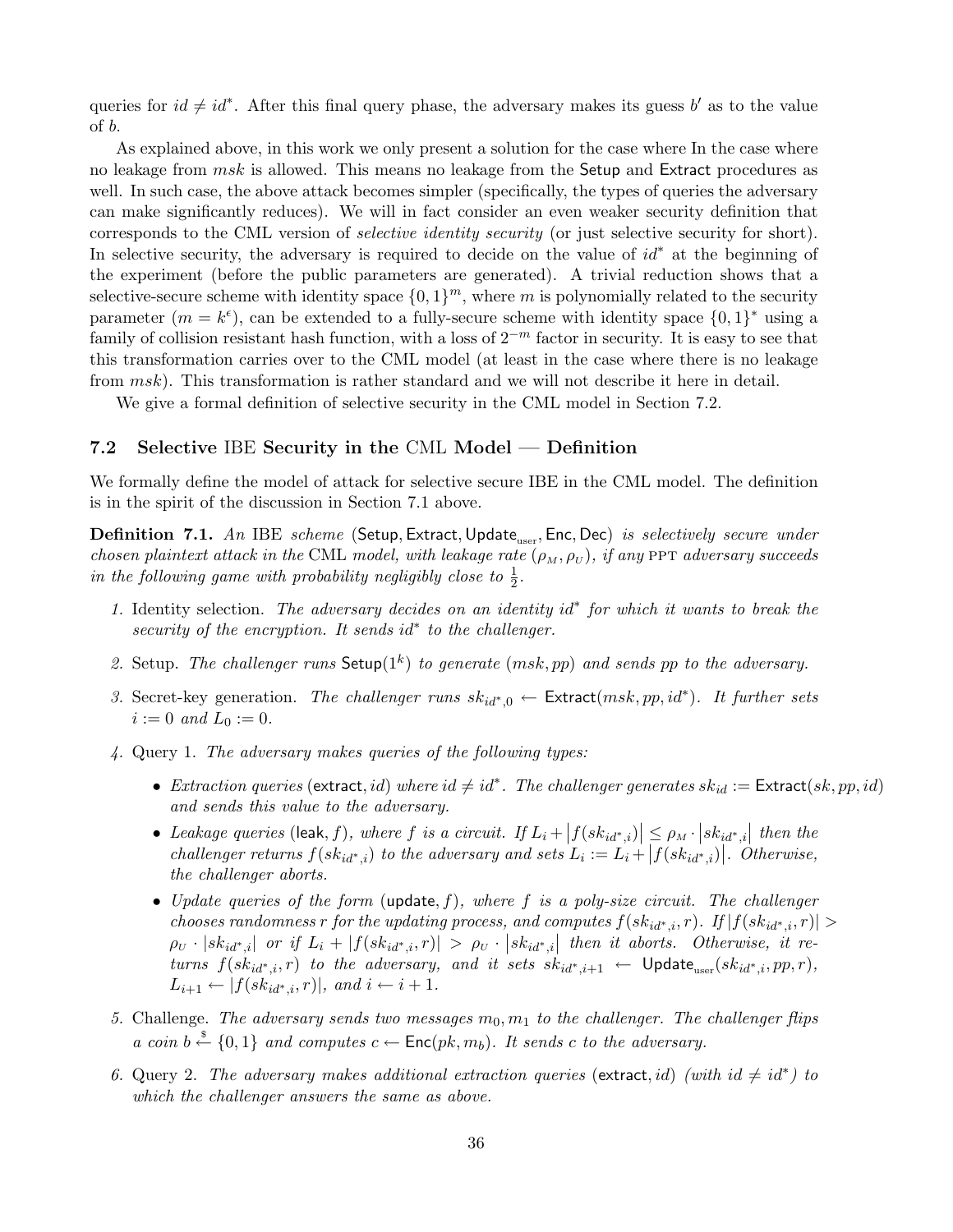queries for  $id \neq id^*$ . After this final query phase, the adversary makes its guess b' as to the value of b.

As explained above, in this work we only present a solution for the case where In the case where no leakage from  $msk$  is allowed. This means no leakage from the Setup and Extract procedures as well. In such case, the above attack becomes simpler (specifically, the types of queries the adversary can make significantly reduces). We will in fact consider an even weaker security definition that corresponds to the CML version of selective identity security (or just selective security for short). In selective security, the adversary is required to decide on the value of  $id^*$  at the beginning of the experiment (before the public parameters are generated). A trivial reduction shows that a selective-secure scheme with identity space  $\{0,1\}^m$ , where m is polynomially related to the security parameter  $(m = k^{\epsilon})$ , can be extended to a fully-secure scheme with identity space  $\{0, 1\}^*$  using a family of collision resistant hash function, with a loss of  $2^{-m}$  factor in security. It is easy to see that this transformation carries over to the CML model (at least in the case where there is no leakage from msk). This transformation is rather standard and we will not describe it here in detail.

We give a formal definition of selective security in the CML model in Section 7.2.

## 7.2 Selective IBE Security in the CML Model — Definition

We formally define the model of attack for selective secure IBE in the CML model. The definition is in the spirit of the discussion in Section 7.1 above.

Definition 7.1. An IBE scheme (Setup, Extract, Update<sub>user</sub>, Enc, Dec) is selectively secure under chosen plaintext attack in the CML model, with leakage rate  $(\rho_M, \rho_U)$ , if any PPT adversary succeeds in the following game with probability negligibly close to  $\frac{1}{2}$ .

- 1. Identity selection. The adversary decides on an identity id<sup>∗</sup> for which it wants to break the security of the encryption. It sends id<sup>\*</sup> to the challenger.
- 2. Setup. The challenger runs Setup( $1^k$ ) to generate (msk, pp) and sends pp to the adversary.
- 3. Secret-key generation. The challenger runs  $sk_{id^*,0} \leftarrow$  Extract $(msk, pp, id^*)$ . It further sets  $i := 0$  and  $L_0 := 0$ .
- 4. Query 1. The adversary makes queries of the following types:
	- Extraction queries (extract, id) where  $id \neq id^*$ . The challenger generates  $sk_{id} :=$  Extract $(sk, pp, id)$ and sends this value to the adversary.
	- Leakage queries (leak, f), where f is a circuit. If  $L_i$  +  $\left|f(s k_{id^*,i})\right|$  $\vert \leq \rho_M \cdot \vert sk_{id^*,i}$  $\leq \rho_M \cdot |sk_{id^*,i}|$  then the challenger returns  $f(sk_{id^*,i})$  to the adversary and sets  $L_i := L_i + |f(sk_{id^*,i})|$ . Otherwise, the challenger aborts.
	- Update queries of the form (update, f), where f is a poly-size circuit. The challenger chooses randomness r for the updating process, and computes  $f(s k_{id^*,i}, r)$ . If  $|f(s k_{id^*,i}, r)| >$  $\rho_U \cdot |sk_{id^*,i}|$  or if  $L_i + |f(sk_{id^*,i},r)| > \rho_U \cdot |sk_{id^*,i}|$  then it aborts. Otherwise, it returns  $f(sk_{id^*,i}, r)$  to the adversary, and it sets  $sk_{id^*,i+1} \leftarrow$  Update<sub>user</sub> $(sk_{id^*,i}, pp, r)$ ,  $L_{i+1} \leftarrow |f(sk_{id^*,i}, r)|$ , and  $i \leftarrow i+1$ .
- 5. Challenge. The adversary sends two messages  $m_0, m_1$  to the challenger. The challenger flips a coin  $b \stackrel{\$}{\leftarrow} \{0,1\}$  and computes  $c \leftarrow \mathsf{Enc}(pk, m_b)$ . It sends c to the adversary.
- 6. Query 2. The adversary makes additional extraction queries (extract, id) (with  $id \neq id^*$ ) to which the challenger answers the same as above.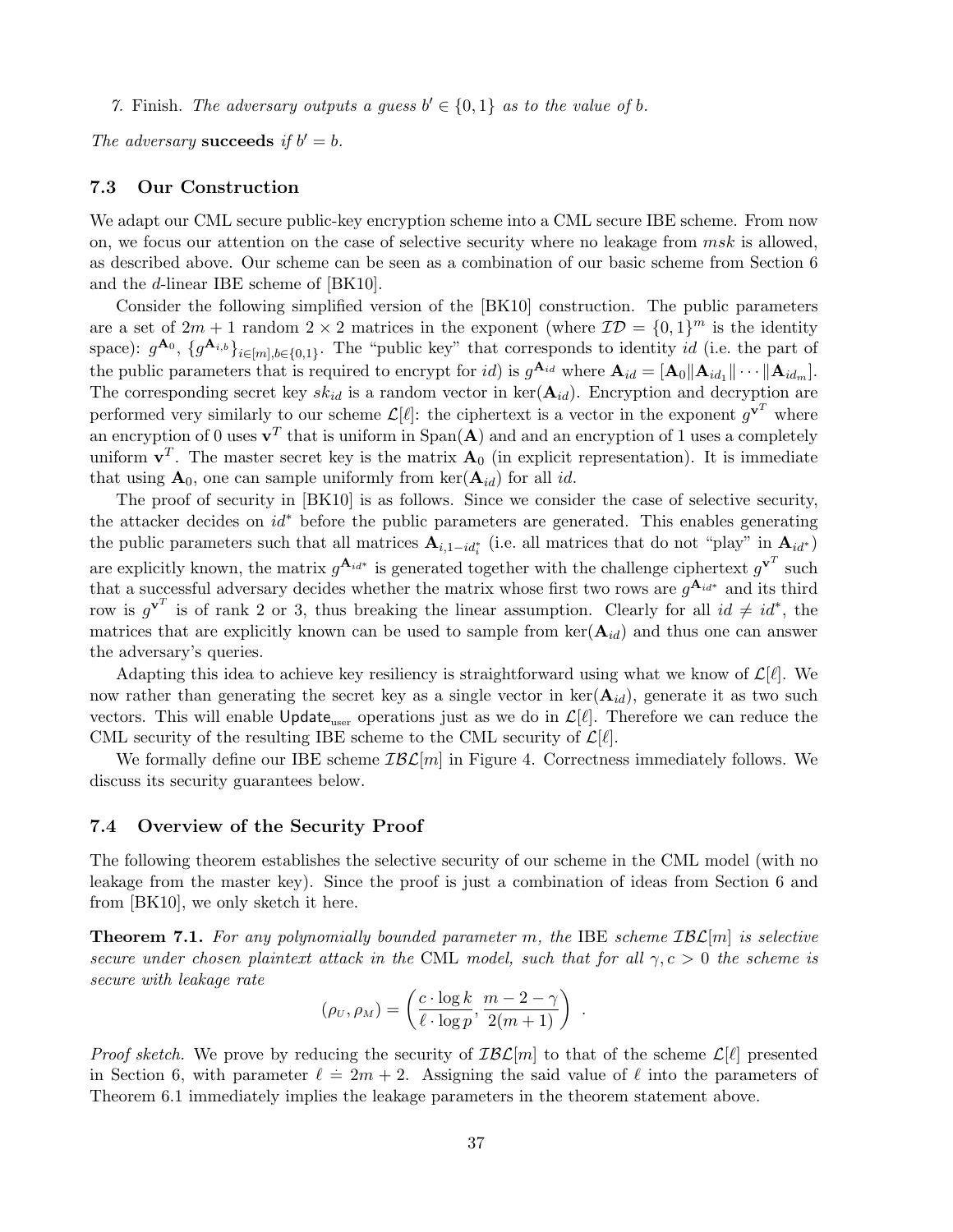7. Finish. The adversary outputs a guess  $b' \in \{0,1\}$  as to the value of b.

The adversary succeeds if  $b' = b$ .

## 7.3 Our Construction

We adapt our CML secure public-key encryption scheme into a CML secure IBE scheme. From now on, we focus our attention on the case of selective security where no leakage from  $msk$  is allowed, as described above. Our scheme can be seen as a combination of our basic scheme from Section 6 and the d-linear IBE scheme of [BK10].

Consider the following simplified version of the [BK10] construction. The public parameters are a set of  $2m + 1$  random  $2 \times 2$  matrices in the exponent (where  $\mathcal{ID} = \{0, 1\}^m$  is the identity space):  $g^{A_0}$ ,  $\{g^{A_{i,b}}\}_{i \in [m], b \in \{0,1\}}$ . The "public key" that corresponds to identity id (i.e. the part of the public parameters that is required to encrypt for *id*) is  $g^{\mathbf{A}_{id}}$  where  $\mathbf{A}_{id} = [\mathbf{A}_0 || \mathbf{A}_{id_1} || \cdots || \mathbf{A}_{id_m}]$ . The corresponding secret key  $sk_{id}$  is a random vector in ker $(\mathbf{A}_{id})$ . Encryption and decryption are performed very similarly to our scheme  $\mathcal{L}[\ell]$ : the ciphertext is a vector in the exponent  $g^{\mathbf{v}^T}$  where an encryption of 0 uses  $\mathbf{v}^T$  that is uniform in Span(A) and and an encryption of 1 uses a completely uniform  $v^T$ . The master secret key is the matrix  $A_0$  (in explicit representation). It is immediate that using  $\mathbf{A}_0$ , one can sample uniformly from ker $(\mathbf{A}_{id})$  for all id.

The proof of security in [BK10] is as follows. Since we consider the case of selective security, the attacker decides on id<sup>∗</sup> before the public parameters are generated. This enables generating the public parameters such that all matrices  $A_{i,1-i d_i^*}$  (i.e. all matrices that do not "play" in  $A_{id^*}$ ) are explicitly known, the matrix  $g^{\mathbf{A}_{id^*}}$  is generated together with the challenge ciphertext  $g^{\mathbf{v}^T}$  such that a successful adversary decides whether the matrix whose first two rows are  $g^{\mathbf{A}_{id^*}}$  and its third row is  $g^{\mathbf{v}^T}$  is of rank 2 or 3, thus breaking the linear assumption. Clearly for all  $id \neq id^*$ , the matrices that are explicitly known can be used to sample from  $\text{ker}(\mathbf{A}_{id})$  and thus one can answer the adversary's queries.

Adapting this idea to achieve key resiliency is straightforward using what we know of  $\mathcal{L}[\ell]$ . We now rather than generating the secret key as a single vector in  $\text{ker}(\mathbf{A}_{id})$ , generate it as two such vectors. This will enable Update<sub>user</sub> operations just as we do in  $\mathcal{L}[\ell]$ . Therefore we can reduce the CML security of the resulting IBE scheme to the CML security of  $\mathcal{L}[\ell].$ 

We formally define our IBE scheme  $IBL[m]$  in Figure 4. Correctness immediately follows. We discuss its security guarantees below.

#### 7.4 Overview of the Security Proof

The following theorem establishes the selective security of our scheme in the CML model (with no leakage from the master key). Since the proof is just a combination of ideas from Section 6 and from [BK10], we only sketch it here.

**Theorem 7.1.** For any polynomially bounded parameter m, the IBE scheme  $IBL[m]$  is selective secure under chosen plaintext attack in the CML model, such that for all  $\gamma, c > 0$  the scheme is secure with leakage rate

$$
(\rho_U, \rho_M) = \left(\frac{c \cdot \log k}{\ell \cdot \log p}, \frac{m-2-\gamma}{2(m+1)}\right) .
$$

*Proof sketch.* We prove by reducing the security of  $IBL[m]$  to that of the scheme  $L[\ell]$  presented in Section 6, with parameter  $\ell = 2m + 2$ . Assigning the said value of  $\ell$  into the parameters of Theorem 6.1 immediately implies the leakage parameters in the theorem statement above.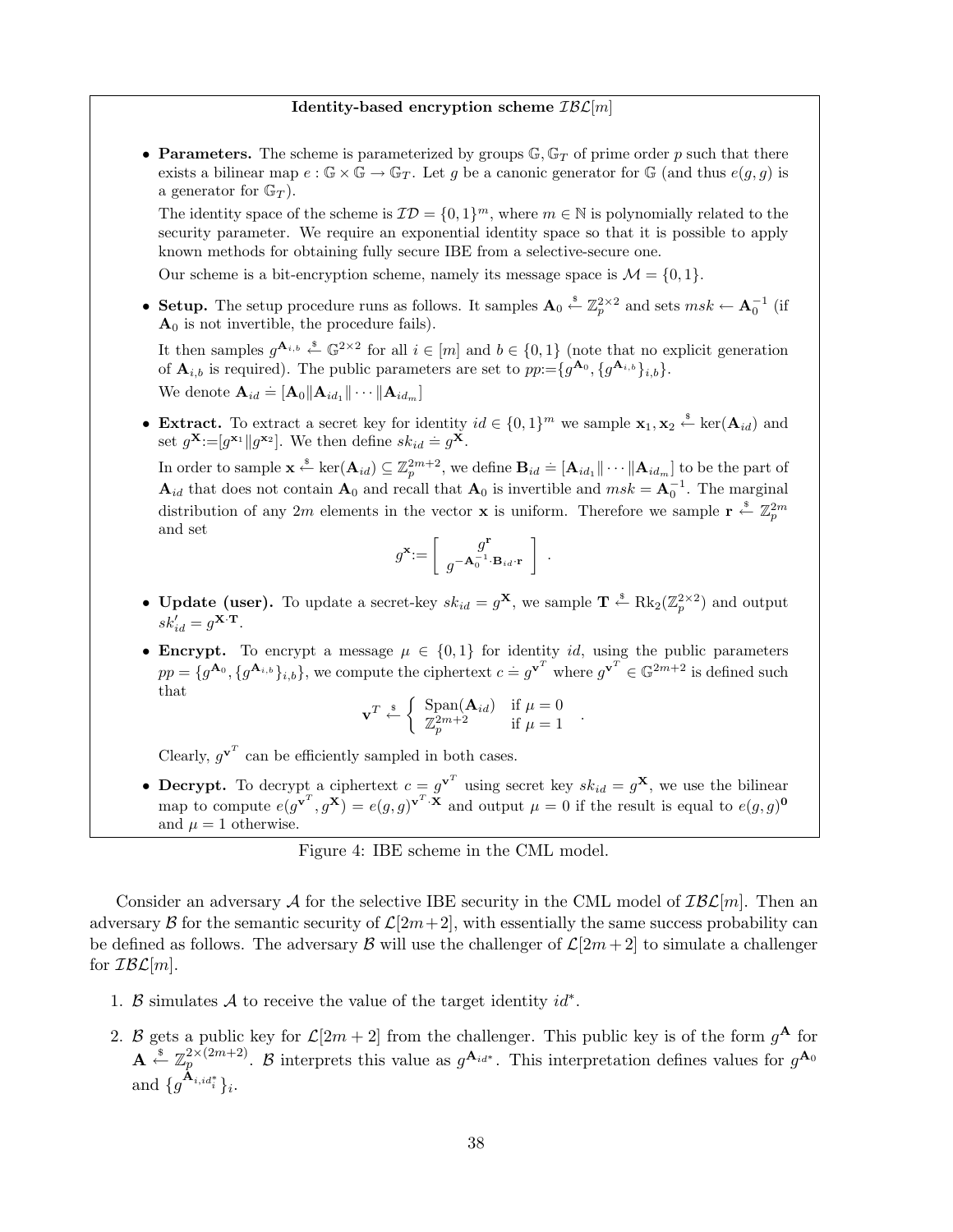#### Identity-based encryption scheme  $IBL[m]$

• Parameters. The scheme is parameterized by groups  $\mathbb{G}, \mathbb{G}_T$  of prime order p such that there exists a bilinear map  $e : \mathbb{G} \times \mathbb{G} \to \mathbb{G}_T$ . Let g be a canonic generator for  $\mathbb{G}$  (and thus  $e(g, g)$ ) is a generator for  $\mathbb{G}_T$ ).

The identity space of the scheme is  $\mathcal{ID} = \{0,1\}^m$ , where  $m \in \mathbb{N}$  is polynomially related to the security parameter. We require an exponential identity space so that it is possible to apply known methods for obtaining fully secure IBE from a selective-secure one.

Our scheme is a bit-encryption scheme, namely its message space is  $\mathcal{M} = \{0, 1\}$ .

• Setup. The setup procedure runs as follows. It samples  $\mathbf{A}_0 \stackrel{\hspace{0.1em}\mathsf{\scriptscriptstyle\$}}{\leftarrow} \mathbb{Z}_p^{2\times 2}$  and sets  $msk \leftarrow \mathbf{A}_0^{-1}$  (if  $A_0$  is not invertible, the procedure fails).

It then samples  $g^{\mathbf{A}_{i,b}} \stackrel{s}{\leftarrow} \mathbb{G}^{2\times 2}$  for all  $i \in [m]$  and  $b \in \{0,1\}$  (note that no explicit generation of  $\mathbf{A}_{i,b}$  is required). The public parameters are set to  $pp = \{g^{\mathbf{A}_0}, \{g^{\mathbf{A}_{i,b}}\}_{i,b}\}.$ We denote  $\mathbf{A}_{id} \doteq [\mathbf{A}_0 || \mathbf{A}_{id_1} || \cdots || \mathbf{A}_{id_m}]$ 

• Extract. To extract a secret key for identity  $id \in \{0,1\}^m$  we sample  $\mathbf{x}_1, \mathbf{x}_2 \stackrel{\$}{\leftarrow} \ker(\mathbf{A}_{id})$  and set  $g^{\mathbf{X}} := [g^{\mathbf{x}_1} || g^{\mathbf{x}_2}].$  We then define  $sk_{id} = g^{\mathbf{X}}$ .

In order to sample  $\mathbf{x} \stackrel{\ast}{\leftarrow} \text{ker}(\mathbf{A}_{id}) \subseteq \mathbb{Z}_p^{2m+2}$ , we define  $\mathbf{B}_{id} \doteq [\mathbf{A}_{id_1} \|\cdots \|\mathbf{A}_{id_m}]$  to be the part of  $\mathbf{A}_{id}$  that does not contain  $\mathbf{A}_0$  and recall that  $\mathbf{A}_0$  is invertible and  $msk = \mathbf{A}_0^{-1}$ . The marginal distribution of any 2m elements in the vector **x** is uniform. Therefore we sample  $\mathbf{r} \stackrel{\text{s}}{\leftarrow} \mathbb{Z}_p^{2m}$ and set  $\overline{a}$ 

$$
g^{\mathbf{x}}\hspace{-2pt}:=\hspace{-2pt}\left[\begin{array}{c}g^{\mathbf{r}}\\g^{-\mathbf{A}_0^{-1}\cdot\mathbf{B}_{id}\cdot\mathbf{r}}\end{array}\right]
$$

.

- **Update (user).** To update a secret-key  $sk_{id} = g^{\mathbf{X}}$ , we sample  $\mathbf{T} \stackrel{\text{s}}{\leftarrow} \text{Rk}_2(\mathbb{Z}_p^{2\times 2})$  and output  $sk'_{id} = g^{\mathbf{X} \cdot \mathbf{T}}.$
- Encrypt. To encrypt a message  $\mu \in \{0,1\}$  for identity id, using the public parameters  $pp = \{g^{\mathbf{A}_0}, \{g^{\mathbf{A}_{i,b}}\}_{i,b}\}\,$ , we compute the ciphertext  $c = g^{\mathbf{v}^T}$  where  $g^{\mathbf{v}^T} \in \mathbb{G}^{2m+2}$  is defined such that ½

$$
\mathbf{v}^T \stackrel{\hspace{0.1em}\mathbf{s}}{\leftarrow} \left\{ \begin{array}{ll} \text{Span}(\mathbf{A}_{id}) & \text{if } \mu = 0 \\ \mathbb{Z}_p^{2m+2} & \text{if } \mu = 1 \end{array} \right. .
$$

Clearly,  $g^{\mathbf{v}^T}$  can be efficiently sampled in both cases.

• Decrypt. To decrypt a ciphertext  $c = g^{\mathbf{v}^T}$  using secret key  $sk_{id} = g^{\mathbf{X}}$ , we use the bilinear map to compute  $e(g^{\mathbf{v}^T}, g^{\mathbf{X}}) = e(g, g)^{\mathbf{v}^T \cdot \mathbf{X}}$  and output  $\mu = 0$  if the result is equal to  $e(g, g)^{\mathbf{0}}$ and  $\mu = 1$  otherwise.

## Figure 4: IBE scheme in the CML model.

Consider an adversary A for the selective IBE security in the CML model of  $IBL[m]$ . Then an adversary B for the semantic security of  $\mathcal{L}[2m+2]$ , with essentially the same success probability can be defined as follows. The adversary B will use the challenger of  $\mathcal{L}[2m+2]$  to simulate a challenger for  $IBL[m]$ .

- 1. B simulates A to receive the value of the target identity  $id^*$ .
- 2. B gets a public key for  $\mathcal{L}[2m+2]$  from the challenger. This public key is of the form  $g^{\mathbf{A}}$  for  $\mathbf{A} \stackrel{\hspace{0.1em}\mathsf{\scriptscriptstyle\$}}{\leftarrow} \mathbb{Z}_p^{2 \times (2m+2)}$ . B interprets this value as  $g^{\mathbf{A}_{id^*}}$ . This interpretation defines values for  $g^{\mathbf{A}_0}$ and  $\{g^{\mathbf{A}_{i,id_i^*}}\}_i$ .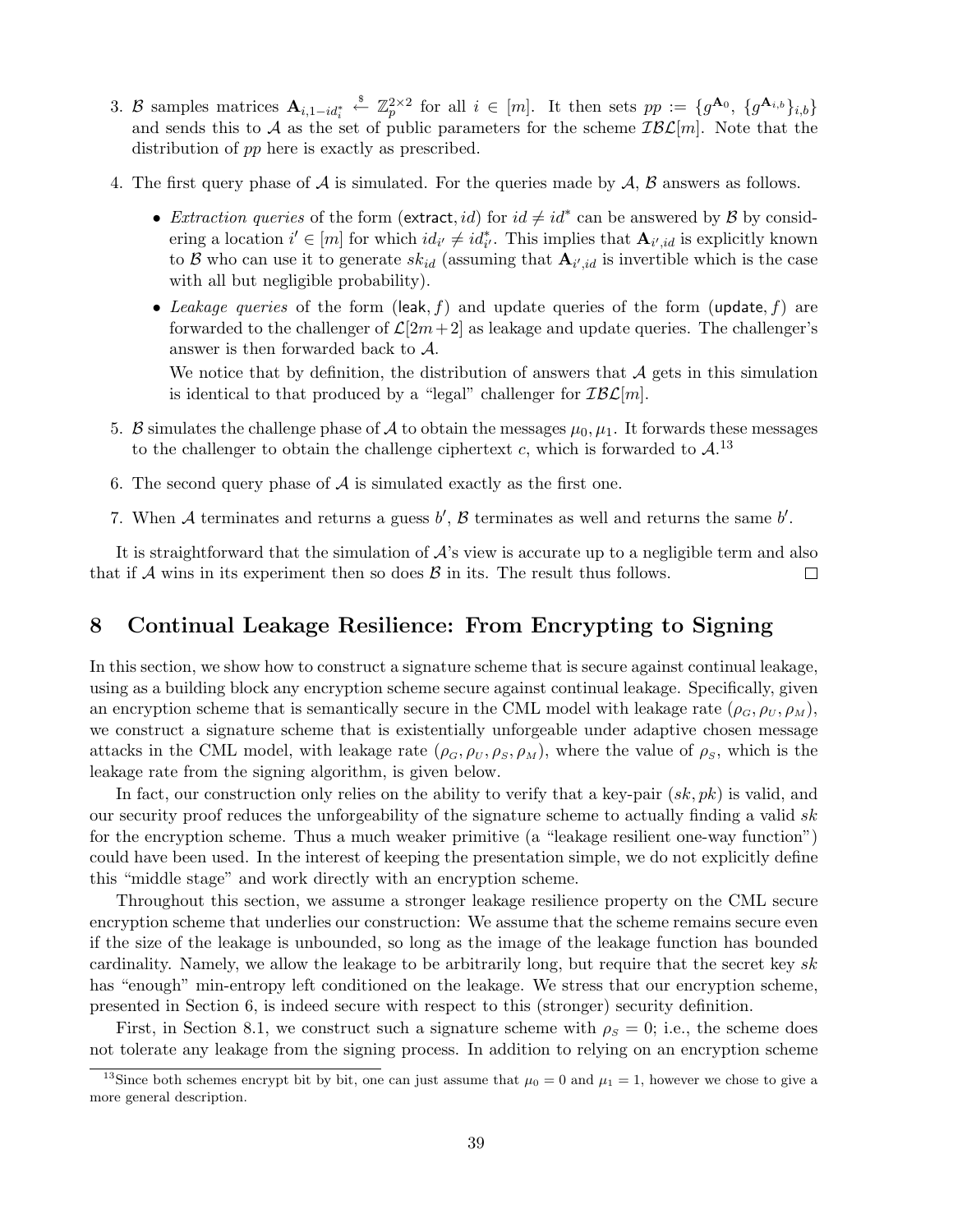- 3. B samples matrices  $\mathbf{A}_{i,1-id_i^*} \stackrel{\$}{\leftarrow} \mathbb{Z}_p^{2\times 2}$  for all  $i \in [m]$ . It then sets  $pp := \{g^{\mathbf{A}_0}, \{g^{\mathbf{A}_{i,b}}\}_{i,b}\}\$ and sends this to A as the set of public parameters for the scheme  $IBL[m]$ . Note that the distribution of pp here is exactly as prescribed.
- 4. The first query phase of  $A$  is simulated. For the queries made by  $A$ ,  $B$  answers as follows.
	- Extraction queries of the form (extract, id) for  $id \neq id^*$  can be answered by  $\mathcal{B}$  by considering a location  $i' \in [m]$  for which  $id_{i'} \neq id_{i'}^*$ . This implies that  $\mathbf{A}_{i',id}$  is explicitly known to B who can use it to generate  $sk_{id}$  (assuming that  $\mathbf{A}_{i',id}$  is invertible which is the case with all but negligible probability).
	- Leakage queries of the form (leak, f) and update queries of the form (update, f) are forwarded to the challenger of  $\mathcal{L}[2m+2]$  as leakage and update queries. The challenger's answer is then forwarded back to A.

We notice that by definition, the distribution of answers that  $\mathcal A$  gets in this simulation is identical to that produced by a "legal" challenger for  $IBL[m]$ .

- 5. B simulates the challenge phase of A to obtain the messages  $\mu_0, \mu_1$ . It forwards these messages to the challenger to obtain the challenge ciphertext c, which is forwarded to  $\mathcal{A}^{13}$
- 6. The second query phase of  $A$  is simulated exactly as the first one.
- 7. When A terminates and returns a guess  $b'$ ,  $\beta$  terminates as well and returns the same  $b'$ .

It is straightforward that the simulation of  $\mathcal{A}$ 's view is accurate up to a negligible term and also that if  $A$  wins in its experiment then so does  $B$  in its. The result thus follows.  $\Box$ 

# 8 Continual Leakage Resilience: From Encrypting to Signing

In this section, we show how to construct a signature scheme that is secure against continual leakage, using as a building block any encryption scheme secure against continual leakage. Specifically, given an encryption scheme that is semantically secure in the CML model with leakage rate  $(\rho_G, \rho_U, \rho_M)$ , we construct a signature scheme that is existentially unforgeable under adaptive chosen message attacks in the CML model, with leakage rate  $(\rho_G, \rho_U, \rho_S, \rho_M)$ , where the value of  $\rho_S$ , which is the leakage rate from the signing algorithm, is given below.

In fact, our construction only relies on the ability to verify that a key-pair  $(s_k, pk)$  is valid, and our security proof reduces the unforgeability of the signature scheme to actually finding a valid sk for the encryption scheme. Thus a much weaker primitive (a "leakage resilient one-way function") could have been used. In the interest of keeping the presentation simple, we do not explicitly define this "middle stage" and work directly with an encryption scheme.

Throughout this section, we assume a stronger leakage resilience property on the CML secure encryption scheme that underlies our construction: We assume that the scheme remains secure even if the size of the leakage is unbounded, so long as the image of the leakage function has bounded cardinality. Namely, we allow the leakage to be arbitrarily long, but require that the secret key sk has "enough" min-entropy left conditioned on the leakage. We stress that our encryption scheme, presented in Section 6, is indeed secure with respect to this (stronger) security definition.

First, in Section 8.1, we construct such a signature scheme with  $\rho_s = 0$ ; i.e., the scheme does not tolerate any leakage from the signing process. In addition to relying on an encryption scheme

<sup>&</sup>lt;sup>13</sup>Since both schemes encrypt bit by bit, one can just assume that  $\mu_0 = 0$  and  $\mu_1 = 1$ , however we chose to give a more general description.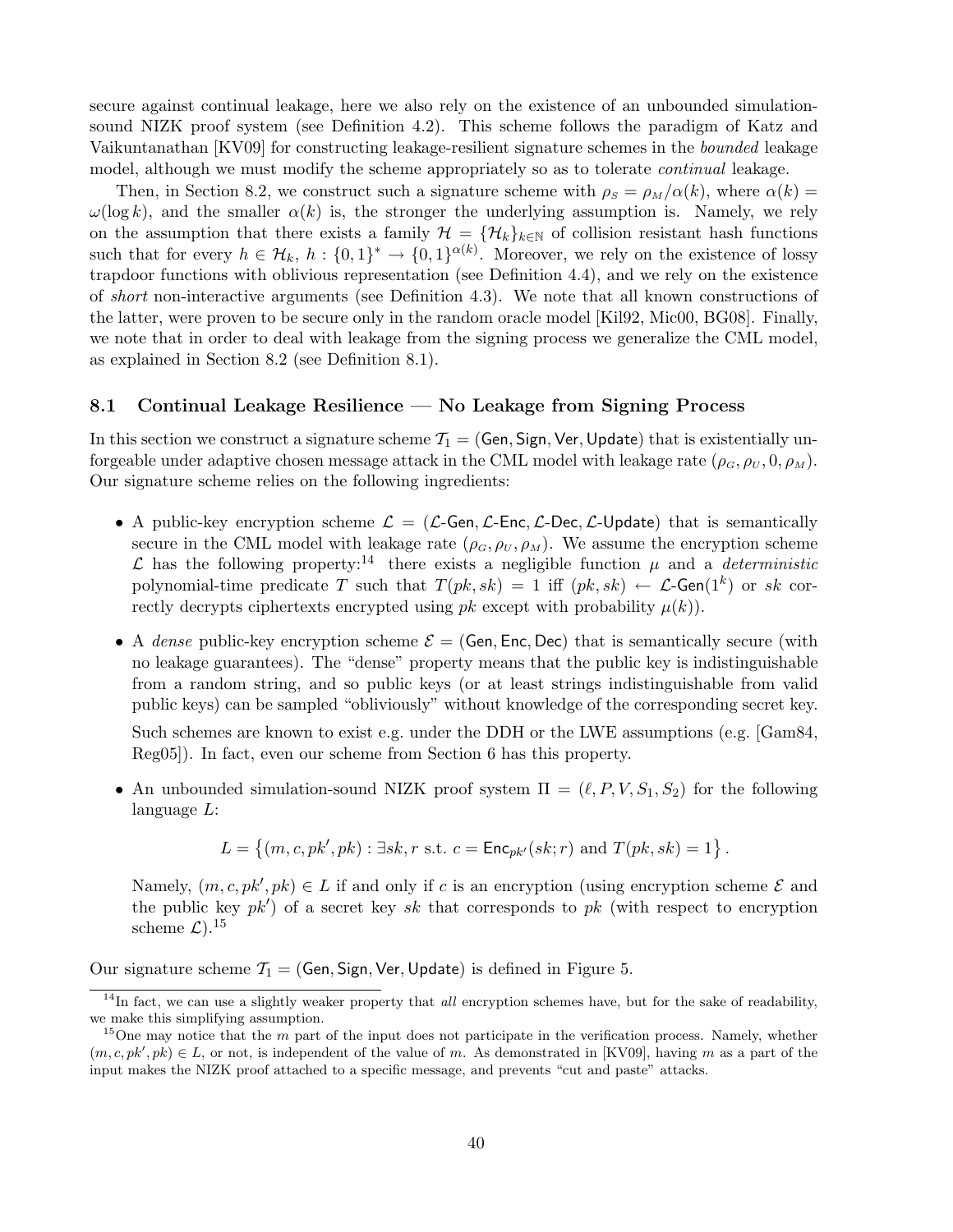secure against continual leakage, here we also rely on the existence of an unbounded simulationsound NIZK proof system (see Definition 4.2). This scheme follows the paradigm of Katz and Vaikuntanathan [KV09] for constructing leakage-resilient signature schemes in the bounded leakage model, although we must modify the scheme appropriately so as to tolerate *continual* leakage.

Then, in Section 8.2, we construct such a signature scheme with  $\rho_S = \rho_M/\alpha(k)$ , where  $\alpha(k)$  =  $\omega(\log k)$ , and the smaller  $\alpha(k)$  is, the stronger the underlying assumption is. Namely, we rely on the assumption that there exists a family  $\mathcal{H} = {\mathcal{H}_k}_{k\in\mathbb{N}}$  of collision resistant hash functions such that for every  $h \in \mathcal{H}_k$ ,  $h: \{0,1\}^* \to \{0,1\}^{\alpha(k)}$ . Moreover, we rely on the existence of lossy trapdoor functions with oblivious representation (see Definition 4.4), and we rely on the existence of short non-interactive arguments (see Definition 4.3). We note that all known constructions of the latter, were proven to be secure only in the random oracle model [Kil92, Mic00, BG08]. Finally, we note that in order to deal with leakage from the signing process we generalize the CML model, as explained in Section 8.2 (see Definition 8.1).

## 8.1 Continual Leakage Resilience — No Leakage from Signing Process

In this section we construct a signature scheme  $\mathcal{T}_1 = (Gen, Sign, Ver, Update)$  that is existentially unforgeable under adaptive chosen message attack in the CML model with leakage rate  $(\rho_G, \rho_U, 0, \rho_M)$ . Our signature scheme relies on the following ingredients:

- A public-key encryption scheme  $\mathcal{L} = (\mathcal{L}\text{-Gen}, \mathcal{L}\text{-Enc}, \mathcal{L}\text{-Dec}, \mathcal{L}\text{-Update})$  that is semantically secure in the CML model with leakage rate  $(\rho_G, \rho_U, \rho_M)$ . We assume the encryption scheme  $\mathcal L$  has the following property:<sup>14</sup> there exists a negligible function  $\mu$  and a *deterministic* polynomial-time predicate T such that  $T(pk, sk) = 1$  iff  $(pk, sk) \leftarrow \mathcal{L}$ -Gen $(1^k)$  or sk correctly decrypts ciphertexts encrypted using  $pk$  except with probability  $\mu(k)$ ).
- A dense public-key encryption scheme  $\mathcal{E} = (Gen, Enc, Dec)$  that is semantically secure (with no leakage guarantees). The "dense" property means that the public key is indistinguishable from a random string, and so public keys (or at least strings indistinguishable from valid public keys) can be sampled "obliviously" without knowledge of the corresponding secret key.

Such schemes are known to exist e.g. under the DDH or the LWE assumptions (e.g. [Gam84, Reg05]). In fact, even our scheme from Section 6 has this property.

• An unbounded simulation-sound NIZK proof system  $\Pi = (\ell, P, V, S_1, S_2)$  for the following language L:

$$
L = \{(m, c, pk', pk) : \exists sk, r \text{ s.t. } c = \mathsf{Enc}_{pk'}(sk; r) \text{ and } T(pk, sk) = 1\}.
$$

Namely,  $(m, c, pk', pk) \in L$  if and only if c is an encryption (using encryption scheme  $\mathcal{E}$  and the public key  $pk'$  of a secret key sk that corresponds to pk (with respect to encryption scheme  $\mathcal{L}$ ).<sup>15</sup>

Our signature scheme  $T_1 = (Gen, Sign, Ver, Update)$  is defined in Figure 5.

 $14$ In fact, we can use a slightly weaker property that *all* encryption schemes have, but for the sake of readability, we make this simplifying assumption.

 $15$ One may notice that the m part of the input does not participate in the verification process. Namely, whether  $(m, c, pk', pk) \in L$ , or not, is independent of the value of m. As demonstrated in [KV09], having m as a part of the input makes the NIZK proof attached to a specific message, and prevents "cut and paste" attacks.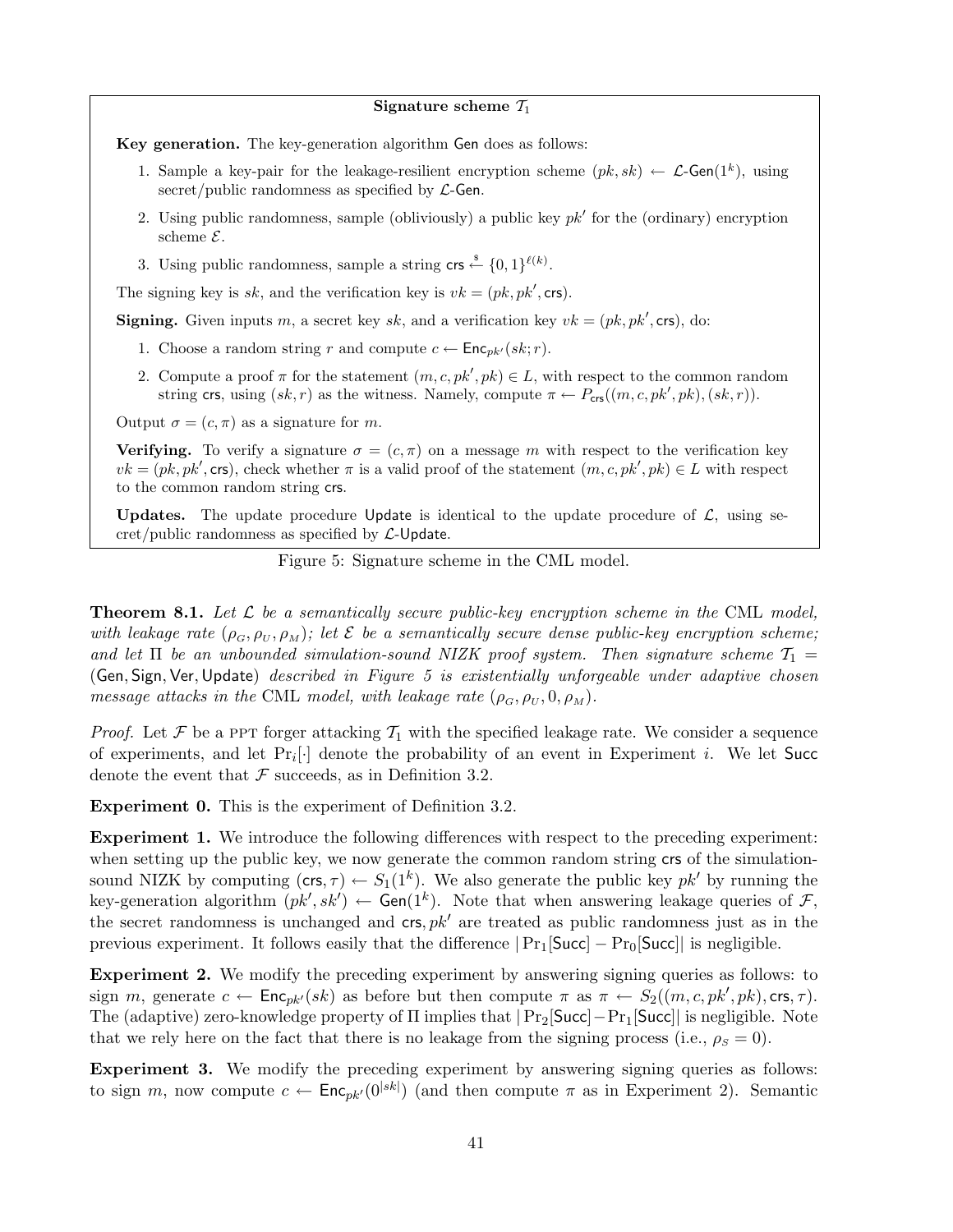Signature scheme  $\mathcal{T}_1$ 

Key generation. The key-generation algorithm Gen does as follows:

- 1. Sample a key-pair for the leakage-resilient encryption scheme  $(pk, sk) \leftarrow \mathcal{L}$ -Gen $(1^k)$ , using secret/public randomness as specified by  $\mathcal{L}\text{-Gen}$ .
- 2. Using public randomness, sample (obliviously) a public key  $pk'$  for the (ordinary) encryption scheme  $\mathcal{E}.$
- 3. Using public randomness, sample a string crs  $\stackrel{\text{s}}{\leftarrow} \{0,1\}^{\ell(k)}$ .

The signing key is sk, and the verification key is  $vk = (pk, pk', \text{crs})$ .

**Signing.** Given inputs m, a secret key sk, and a verification key  $vk = (pk, pk', \text{crs})$ , do:

- 1. Choose a random string r and compute  $c \leftarrow \mathsf{Enc}_{pk'}(sk; r)$ .
- 2. Compute a proof  $\pi$  for the statement  $(m, c, pk', pk) \in L$ , with respect to the common random string crs, using  $(sk, r)$  as the witness. Namely, compute  $\pi \leftarrow P_{\text{crs}}((m, c, pk', pk), (sk, r)).$

Output  $\sigma = (c, \pi)$  as a signature for m.

**Verifying.** To verify a signature  $\sigma = (c, \pi)$  on a message m with respect to the verification key  $vk = (pk, pk', \text{crs})$ , check whether  $\pi$  is a valid proof of the statement  $(m, c, pk', pk) \in L$  with respect to the common random string crs.

Updates. The update procedure Update is identical to the update procedure of  $\mathcal{L}$ , using secret/public randomness as specified by  $\mathcal{L}\text{-}\mathsf{Update}$ .

Figure 5: Signature scheme in the CML model.

**Theorem 8.1.** Let  $\mathcal{L}$  be a semantically secure public-key encryption scheme in the CML model, with leakage rate  $(\rho_G, \rho_U, \rho_M)$ ; let  $\mathcal E$  be a semantically secure dense public-key encryption scheme; and let  $\Pi$  be an unbounded simulation-sound NIZK proof system. Then signature scheme  $\mathcal{T}_1 =$ (Gen, Sign, Ver,Update) described in Figure 5 is existentially unforgeable under adaptive chosen message attacks in the CML model, with leakage rate  $(\rho_G, \rho_U, 0, \rho_M)$ .

*Proof.* Let  $\mathcal F$  be a PPT forger attacking  $\mathcal T_1$  with the specified leakage rate. We consider a sequence of experiments, and let  $Pr_i[\cdot]$  denote the probability of an event in Experiment i. We let Succ denote the event that  $\mathcal F$  succeeds, as in Definition 3.2.

Experiment 0. This is the experiment of Definition 3.2.

Experiment 1. We introduce the following differences with respect to the preceding experiment: when setting up the public key, we now generate the common random string crs of the simulationsound NIZK by computing  $(\text{crs}, \tau) \leftarrow S_1(1^k)$ . We also generate the public key  $pk'$  by running the key-generation algorithm  $(pk', sk') \leftarrow Gen(1^k)$ . Note that when answering leakage queries of F, the secret randomness is unchanged and  $\textsf{crs}, p k'$  are treated as public randomness just as in the previous experiment. It follows easily that the difference  $|Pr_1[\text{Succ}] - Pr_0[\text{Succ}]|$  is negligible.

Experiment 2. We modify the preceding experiment by answering signing queries as follows: to sign m, generate  $c \leftarrow \mathsf{Enc}_{pk'}(sk)$  as before but then compute  $\pi$  as  $\pi \leftarrow S_2((m, c, pk', pk), \text{crs}, \tau)$ . The (adaptive) zero-knowledge property of Π implies that |Pr2[Succ]−Pr1[Succ]| is negligible. Note that we rely here on the fact that there is no leakage from the signing process (i.e.,  $\rho_s = 0$ ).

Experiment 3. We modify the preceding experiment by answering signing queries as follows: to sign m, now compute  $c \leftarrow \mathsf{Enc}_{pk'}(0^{|sk|})$  (and then compute  $\pi$  as in Experiment 2). Semantic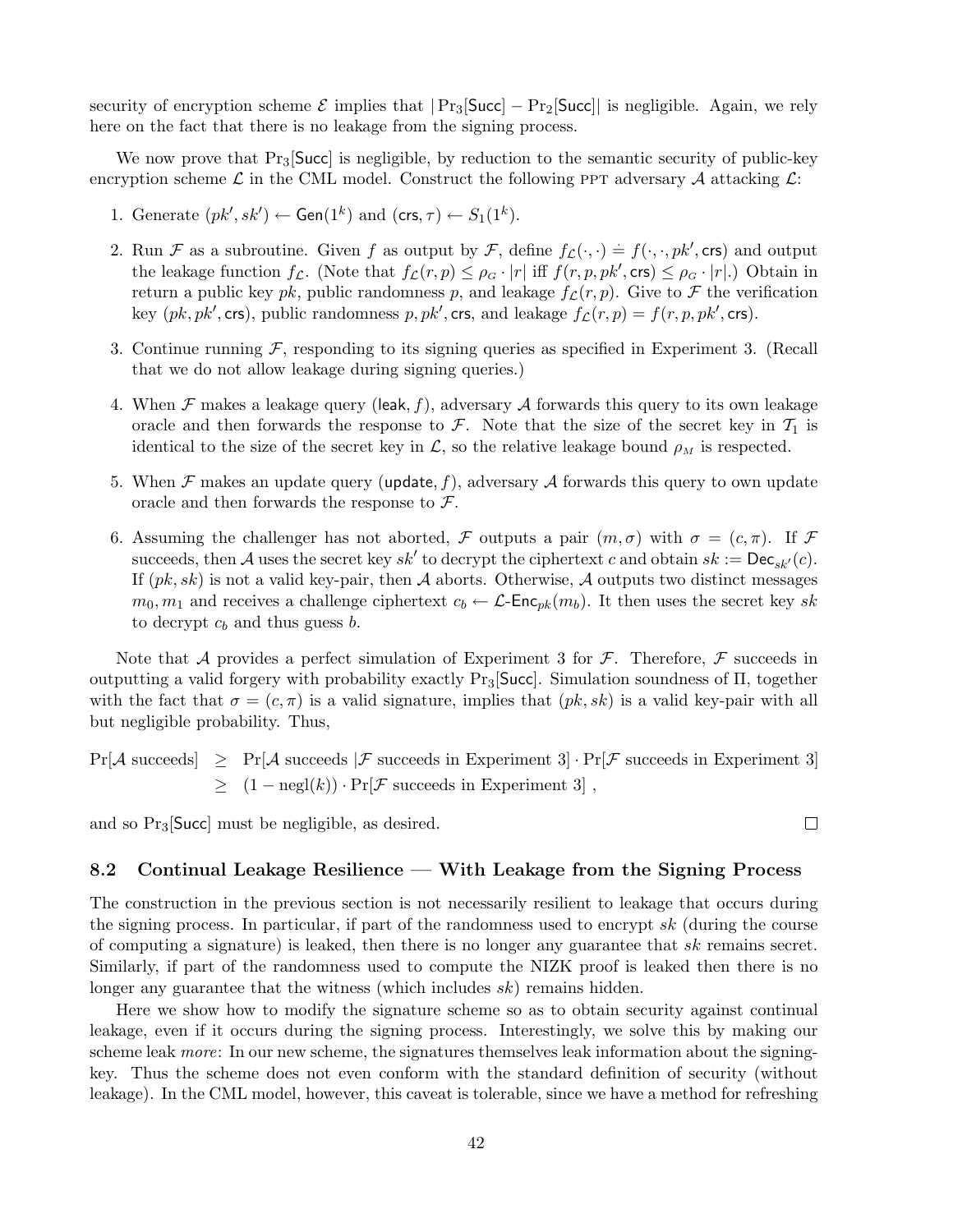security of encryption scheme  $\mathcal E$  implies that  $|\Pr_3[\text{Succ}] - \Pr_2[\text{Succ}]$  is negligible. Again, we rely here on the fact that there is no leakage from the signing process.

We now prove that  $Pr_3$ [Succ] is negligible, by reduction to the semantic security of public-key encryption scheme  $\mathcal L$  in the CML model. Construct the following PPT adversary  $\mathcal A$  attacking  $\mathcal L$ :

- 1. Generate  $(pk', sk') \leftarrow \textsf{Gen}(1^k)$  and  $(\textsf{crs}, \tau) \leftarrow S_1(1^k)$ .
- 2. Run F as a subroutine. Given f as output by F, define  $f_{\mathcal{L}}(\cdot, \cdot) = f(\cdot, \cdot, pk', \text{crs})$  and output the leakage function  $f_{\mathcal{L}}$ . (Note that  $f_{\mathcal{L}}(r,p) \leq \rho_G \cdot |r|$  iff  $f(r,p,pk',\text{crs}) \leq \rho_G \cdot |r|$ .) Obtain in return a public key pk, public randomness p, and leakage  $f_{\mathcal{L}}(r, p)$ . Give to F the verification key  $(pk, pk', \text{crs})$ , public randomness  $p, pk', \text{crs}$ , and leakage  $f_{\mathcal{L}}(r, p) = f(r, p, pk', \text{crs})$ .
- 3. Continue running  $\mathcal F$ , responding to its signing queries as specified in Experiment 3. (Recall that we do not allow leakage during signing queries.)
- 4. When  $\mathcal F$  makes a leakage query (leak, f), adversary  $\mathcal A$  forwards this query to its own leakage oracle and then forwards the response to F. Note that the size of the secret key in  $\mathcal{T}_1$  is identical to the size of the secret key in  $\mathcal{L}$ , so the relative leakage bound  $\rho_M$  is respected.
- 5. When  $\mathcal F$  makes an update query (update, f), adversary  $\mathcal A$  forwards this query to own update oracle and then forwards the response to  $\mathcal{F}$ .
- 6. Assuming the challenger has not aborted, F outputs a pair  $(m, \sigma)$  with  $\sigma = (c, \pi)$ . If F succeeds, then A uses the secret key  $sk'$  to decrypt the ciphertext c and obtain  $sk := \mathsf{Dec}_{sk'}(c)$ . If  $(pk, sk)$  is not a valid key-pair, then A aborts. Otherwise, A outputs two distinct messages  $m_0, m_1$  and receives a challenge ciphertext  $c_b \leftarrow \mathcal{L}\text{-Enc}_{pk}(m_b)$ . It then uses the secret key sk to decrypt  $c_b$  and thus guess  $b$ .

Note that A provides a perfect simulation of Experiment 3 for  $\mathcal F$ . Therefore,  $\mathcal F$  succeeds in outputting a valid forgery with probability exactly Pr3[Succ]. Simulation soundness of Π, together with the fact that  $\sigma = (c, \pi)$  is a valid signature, implies that  $(pk, sk)$  is a valid key-pair with all but negligible probability. Thus,

 $Pr[\mathcal{A} \text{ succeeds}] \geq Pr[\mathcal{A} \text{ succeeds } | \mathcal{F} \text{ succeeds in Experiment 3}]\cdot Pr[\mathcal{F} \text{ succeeds in Experiment 3}]$  $\geq (1 - \text{negl}(k)) \cdot \Pr[\mathcal{F} \text{ succeeds in Experiment 3}],$ 

and so  $Pr_3$ [Succ] must be negligible, as desired.

#### 8.2 Continual Leakage Resilience — With Leakage from the Signing Process

The construction in the previous section is not necessarily resilient to leakage that occurs during the signing process. In particular, if part of the randomness used to encrypt sk (during the course of computing a signature) is leaked, then there is no longer any guarantee that  $sk$  remains secret. Similarly, if part of the randomness used to compute the NIZK proof is leaked then there is no longer any guarantee that the witness (which includes sk) remains hidden.

Here we show how to modify the signature scheme so as to obtain security against continual leakage, even if it occurs during the signing process. Interestingly, we solve this by making our scheme leak *more*: In our new scheme, the signatures themselves leak information about the signingkey. Thus the scheme does not even conform with the standard definition of security (without leakage). In the CML model, however, this caveat is tolerable, since we have a method for refreshing

 $\Box$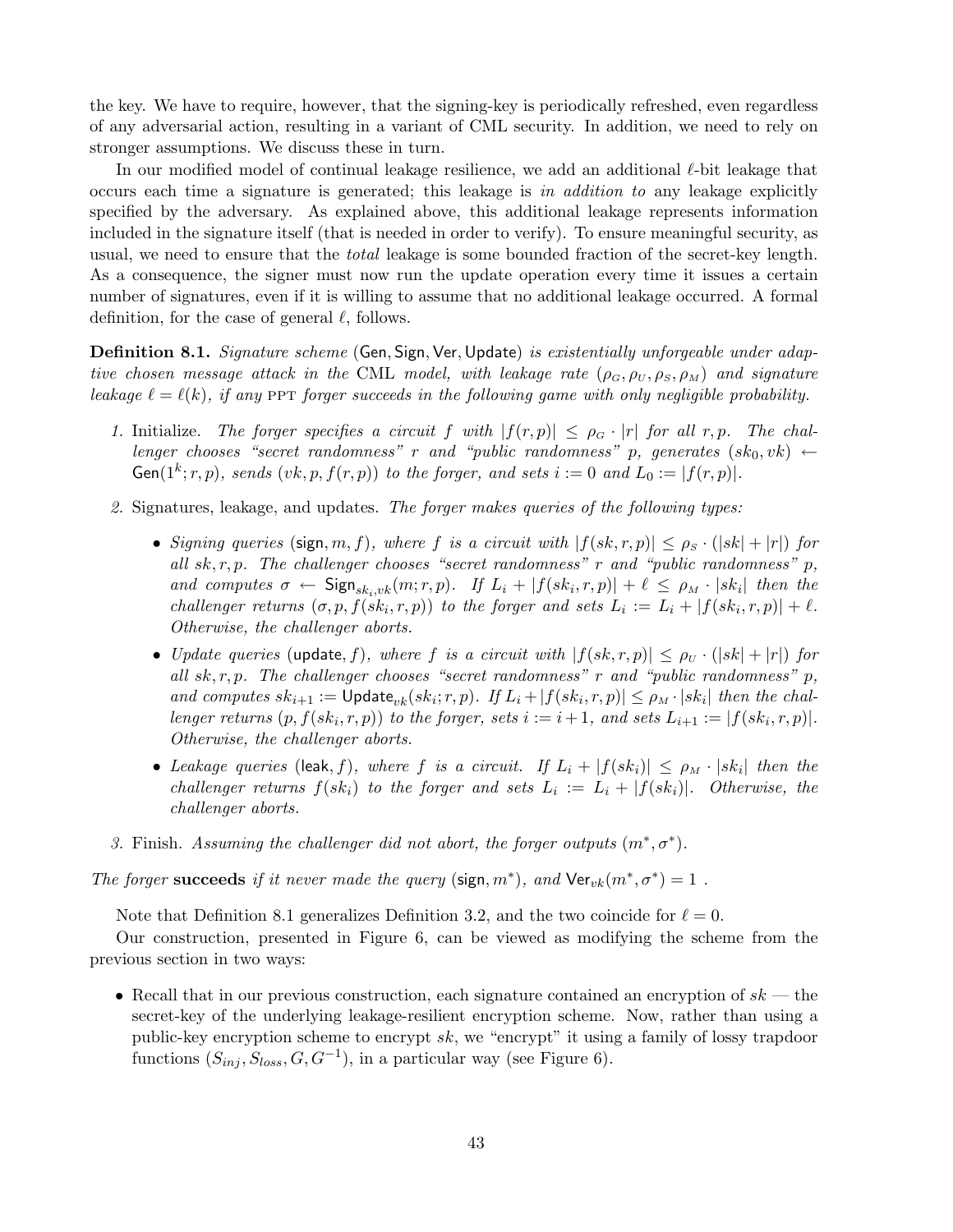the key. We have to require, however, that the signing-key is periodically refreshed, even regardless of any adversarial action, resulting in a variant of CML security. In addition, we need to rely on stronger assumptions. We discuss these in turn.

In our modified model of continual leakage resilience, we add an additional  $\ell$ -bit leakage that occurs each time a signature is generated; this leakage is in addition to any leakage explicitly specified by the adversary. As explained above, this additional leakage represents information included in the signature itself (that is needed in order to verify). To ensure meaningful security, as usual, we need to ensure that the *total* leakage is some bounded fraction of the secret-key length. As a consequence, the signer must now run the update operation every time it issues a certain number of signatures, even if it is willing to assume that no additional leakage occurred. A formal definition, for the case of general  $\ell$ , follows.

**Definition 8.1.** Signature scheme (Gen, Sign, Ver, Update) is existentially unforgeable under adaptive chosen message attack in the CML model, with leakage rate  $(\rho_G, \rho_U, \rho_S, \rho_M)$  and signature leakage  $\ell = \ell(k)$ , if any ppt forger succeeds in the following game with only negligible probability.

- 1. Initialize. The forger specifies a circuit f with  $|f(r, p)| \leq \rho_G \cdot |r|$  for all r, p. The challenger chooses "secret randomness" r and "public randomness" p, generates  $(s k_0, v k) \leftarrow$ Gen(1<sup>k</sup>; r, p), sends (vk, p,  $f(r, p)$ ) to the forger, and sets  $i := 0$  and  $L_0 := |f(r, p)|$ .
- 2. Signatures, leakage, and updates. The forger makes queries of the following types:
	- Signing queries (sign, m, f), where f is a circuit with  $|f(sk, r, p)| \leq \rho_s \cdot (|sk| + |r|)$  for all  $sk, r, p$ . The challenger chooses "secret randomness" r and "public randomness" p, and computes  $\sigma \leftarrow \mathsf{Sign}_{sk_i,vk}(m;r,p)$ . If  $L_i + |f(sk_i,r,p)| + \ell \leq \rho_M \cdot |sk_i|$  then the challenger returns  $(\sigma, p, f(sk_i, r, p))$  to the forger and sets  $L_i := L_i + |f(sk_i, r, p)| + \ell$ . Otherwise, the challenger aborts.
	- Update queries (update, f), where f is a circuit with  $|f(sk, r, p)| \le \rho_U \cdot (|sk| + |r|)$  for all  $sk, r, p$ . The challenger chooses "secret randomness" r and "public randomness" p, and computes  $sk_{i+1} := \text{Update}_{vk}(sk_i; r, p)$ . If  $L_i + |f(sk_i, r, p)| \leq \rho_M \cdot |sk_i|$  then the challenger returns  $(p, f(sk_i, r, p))$  to the forger, sets  $i := i + 1$ , and sets  $L_{i+1} := |f(sk_i, r, p)|$ . Otherwise, the challenger aborts.
	- Leakage queries (leak, f), where f is a circuit. If  $L_i + |f(sk_i)| \le \rho_M \cdot |sk_i|$  then the challenger returns  $f(sk_i)$  to the forger and sets  $L_i := L_i + |f(sk_i)|$ . Otherwise, the challenger aborts.
- 3. Finish. Assuming the challenger did not abort, the forger outputs  $(m^*, \sigma^*)$ .

The forger succeeds if it never made the query (sign,  $m^*$ ), and  $\text{Ver}_{vk}(m^*, \sigma^*) = 1$ .

Note that Definition 8.1 generalizes Definition 3.2, and the two coincide for  $\ell = 0$ .

Our construction, presented in Figure 6, can be viewed as modifying the scheme from the previous section in two ways:

• Recall that in our previous construction, each signature contained an encryption of  $sk$  — the secret-key of the underlying leakage-resilient encryption scheme. Now, rather than using a public-key encryption scheme to encrypt sk, we "encrypt" it using a family of lossy trapdoor functions  $(S_{inj}, S_{loss}, G, G^{-1})$ , in a particular way (see Figure 6).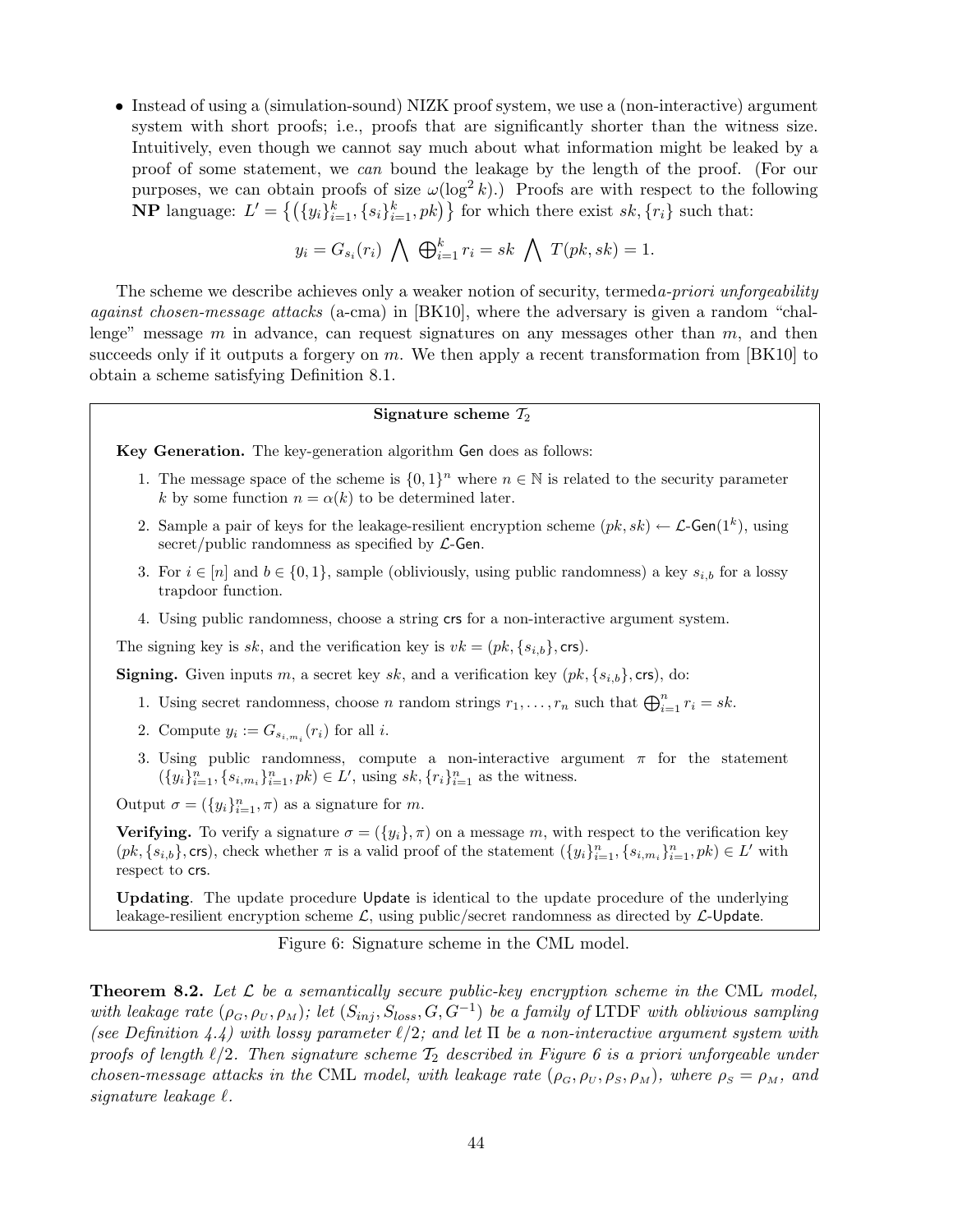• Instead of using a (simulation-sound) NIZK proof system, we use a (non-interactive) argument system with short proofs; i.e., proofs that are significantly shorter than the witness size. Intuitively, even though we cannot say much about what information might be leaked by a proof of some statement, we can bound the leakage by the length of the proof. (For our purposes, we can obtain proofs of size  $\omega(\log^2 k)$ .) Proofs are with respect to the following purposes, we can obtain proofs of size  $\omega(\log k)$ . Proofs are with respect to the i<br> **NP** language:  $L' = \{ (\{y_i\}_{i=1}^k, \{s_i\}_{i=1}^k, pk) \}$  for which there exist  $sk, \{r_i\}$  such that:

$$
y_i = G_{s_i}(r_i) \bigwedge \bigoplus_{i=1}^k r_i = sk \bigwedge T(pk, sk) = 1.
$$

The scheme we describe achieves only a weaker notion of security, termed *a-priori unforgeability* against chosen-message attacks (a-cma) in [BK10], where the adversary is given a random "challenge" message  $m$  in advance, can request signatures on any messages other than  $m$ , and then succeeds only if it outputs a forgery on  $m$ . We then apply a recent transformation from [BK10] to obtain a scheme satisfying Definition 8.1.

## Signature scheme  $\mathcal{T}_2$

Key Generation. The key-generation algorithm Gen does as follows:

- 1. The message space of the scheme is  $\{0,1\}^n$  where  $n \in \mathbb{N}$  is related to the security parameter k by some function  $n = \alpha(k)$  to be determined later.
- 2. Sample a pair of keys for the leakage-resilient encryption scheme  $(pk, sk) \leftarrow \mathcal{L}$ -Gen $(1^k)$ , using secret/public randomness as specified by  $\mathcal{L}\text{-Gen}$ .
- 3. For  $i \in [n]$  and  $b \in \{0,1\}$ , sample (obliviously, using public randomness) a key  $s_{i,b}$  for a lossy trapdoor function.
- 4. Using public randomness, choose a string crs for a non-interactive argument system.

The signing key is sk, and the verification key is  $vk = (pk, \{s_{i,b}\}, \text{crs}).$ 

**Signing.** Given inputs m, a secret key sk, and a verification key  $(pk, \{s_{i,b}\}, \text{crs})$ , do:

- 1. Using secret randomness, choose *n* random strings  $r_1, \ldots, r_n$  such that  $\bigoplus_{i=1}^n r_i = sk$ .
- 2. Compute  $y_i := G_{s_{i,m_i}}(r_i)$  for all *i*.
- 3. Using public randomness, compute a non-interactive argument  $\pi$  for the statement  $({y_i}_{i=1}^n, {s_{i,m_i}}_{i=1}^n, pk) \in L',$  using  $sk, {r_i}_{i=1}^n$  as the witness.

Output  $\sigma = (\{y_i\}_{i=1}^n, \pi)$  as a signature for m.

**Verifying.** To verify a signature  $\sigma = (\{y_i\}, \pi)$  on a message m, with respect to the verification key  $(pk, \{s_{i,b}\}, \text{crs})$ , check whether  $\pi$  is a valid proof of the statement  $(\{y_i\}_{i=1}^n, \{s_{i,m_i}\}_{i=1}^n, pk) \in L'$  with respect to crs.

Updating. The update procedure Update is identical to the update procedure of the underlying leakage-resilient encryption scheme  $\mathcal{L}$ , using public/secret randomness as directed by  $\mathcal{L}\text{-}$ Update.

#### Figure 6: Signature scheme in the CML model.

**Theorem 8.2.** Let  $\mathcal{L}$  be a semantically secure public-key encryption scheme in the CML model, with leakage rate  $(\rho_G, \rho_U, \rho_M)$ ; let  $(S_{inj}, S_{loss}, G, G^{-1})$  be a family of LTDF with oblivious sampling (see Definition 4.4) with lossy parameter  $\ell/2$ ; and let  $\Pi$  be a non-interactive argument system with proofs of length  $\ell/2$ . Then signature scheme  $\mathcal{T}_2$  described in Figure 6 is a priori unforgeable under chosen-message attacks in the CML model, with leakage rate  $(\rho_G, \rho_U, \rho_S, \rho_M)$ , where  $\rho_S = \rho_M$ , and signature leakage  $\ell$ .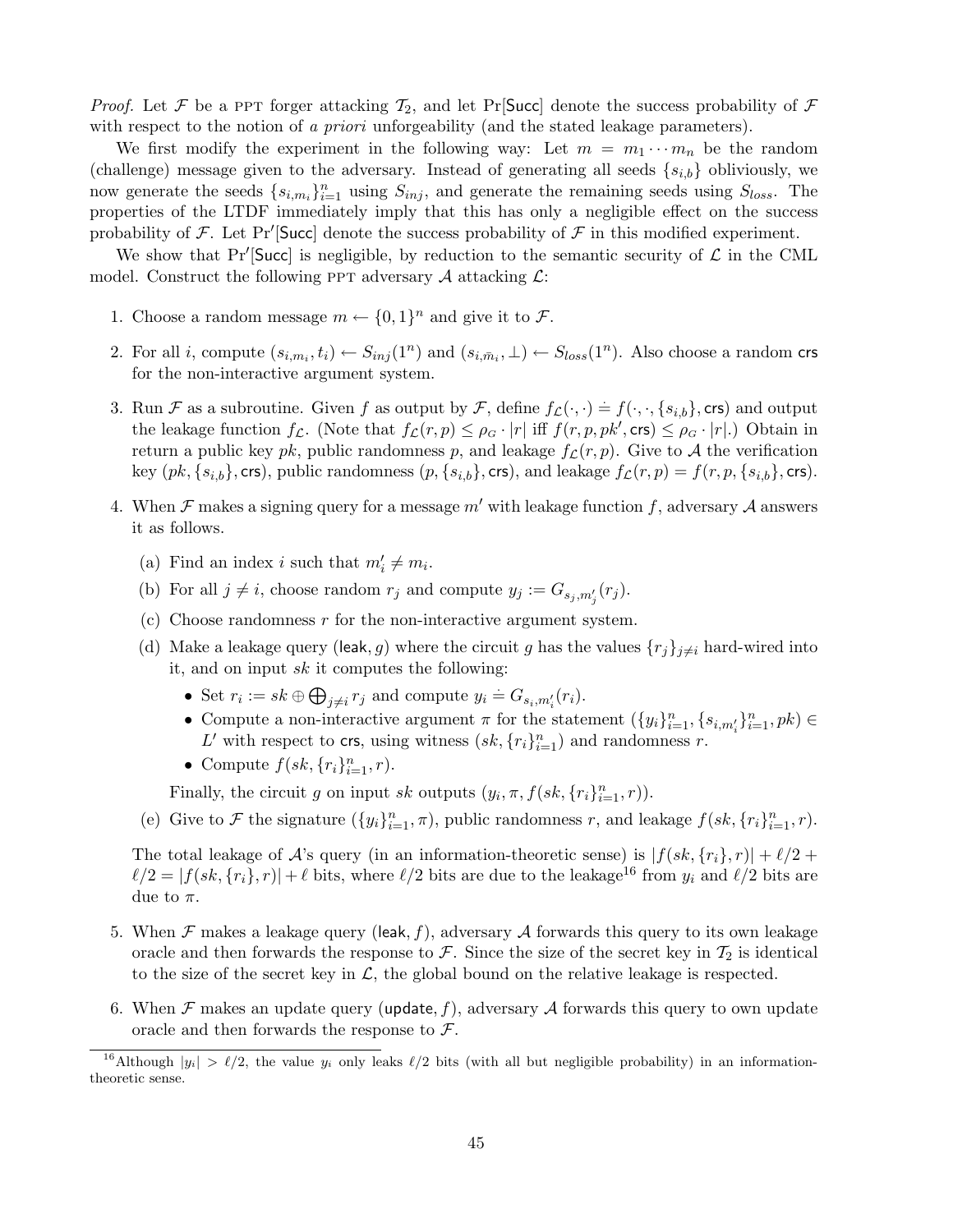*Proof.* Let F be a PPT forger attacking  $\mathcal{T}_2$ , and let Pr Succ] denote the success probability of F with respect to the notion of a priori unforgeability (and the stated leakage parameters).

We first modify the experiment in the following way: Let  $m = m_1 \cdots m_n$  be the random (challenge) message given to the adversary. Instead of generating all seeds  $\{s_{i,b}\}$  obliviously, we now generate the seeds  $\{s_{i,m_i}\}_{i=1}^n$  using  $S_{inj}$ , and generate the remaining seeds using  $S_{loss}$ . The properties of the LTDF immediately imply that this has only a negligible effect on the success probability of F. Let Pr' [Succ] denote the success probability of F in this modified experiment.

We show that Pr<sup> $\prime$ </sup>[Succ] is negligible, by reduction to the semantic security of  $\mathcal L$  in the CML model. Construct the following PPT adversary  $A$  attacking  $\mathcal{L}$ :

- 1. Choose a random message  $m \leftarrow \{0,1\}^n$  and give it to  $\mathcal{F}$ .
- 2. For all *i*, compute  $(s_{i,m_i}, t_i) \leftarrow S_{inj}(1^n)$  and  $(s_{i,m_i}, \perp) \leftarrow S_{loss}(1^n)$ . Also choose a random crs for the non-interactive argument system.
- 3. Run F as a subroutine. Given f as output by F, define  $f_{\mathcal{L}}(\cdot,\cdot) = f(\cdot,\cdot,\{s_{i,b}\},\text{crs})$  and output the leakage function  $f_{\mathcal{L}}$ . (Note that  $f_{\mathcal{L}}(r,p) \leq \rho_G \cdot |r|$  iff  $f(r,p,pk',\text{crs}) \leq \rho_G \cdot |r|$ .) Obtain in return a public key pk, public randomness p, and leakage  $f_{\mathcal{L}}(r, p)$ . Give to A the verification key  $(pk, \{s_{i,b}\}, \text{crs})$ , public randomness  $(p, \{s_{i,b}\}, \text{crs})$ , and leakage  $f_{\mathcal{L}}(r, p) = f(r, p, \{s_{i,b}\}, \text{crs})$ .
- 4. When  $\mathcal F$  makes a signing query for a message m' with leakage function f, adversary  $\mathcal A$  answers it as follows.
	- (a) Find an index *i* such that  $m'_i \neq m_i$ .
	- (b) For all  $j \neq i$ , choose random  $r_j$  and compute  $y_j := G_{s_j,m'_j}(r_j)$ .
	- (c) Choose randomness  $r$  for the non-interactive argument system.
	- (d) Make a leakage query (leak, g) where the circuit g has the values  $\{r_j\}_{j\neq i}$  hard-wired into it, and on input  $sk$  it computes the following:
		- Set  $r_i := sk \oplus$  $\overline{a}$  $_{j\neq i} r_j$  and compute  $y_i = G_{s_i,m'_i}(r_i)$ .
		- Compute a non-interactive argument  $\pi$  for the statement  $(\{y_i\}_{i=1}^n, \{s_{i,m'_i}\}_{i=1}^n, pk) \in$ L' with respect to crs, using witness  $(sk, \{r_i\}_{i=1}^n)$  and randomness r.
		- Compute  $f(sk, \{r_i\}_{i=1}^n, r)$ .

Finally, the circuit g on input sk outputs  $(y_i, \pi, f(sk, \{r_i\}_{i=1}^n, r)).$ 

(e) Give to F the signature  $(\{y_i\}_{i=1}^n, \pi)$ , public randomness r, and leakage  $f(sk, \{r_i\}_{i=1}^n, r)$ .

The total leakage of A's query (in an information-theoretic sense) is  $|f(sk, \{r_i\}, r)| + \ell/2 +$  $\ell/2 = |f(sk, {r_i}, r)| + \ell$  bits, where  $\ell/2$  bits are due to the leakage<sup>16</sup> from  $y_i$  and  $\ell/2$  bits are due to  $\pi$ .

- 5. When  $\mathcal F$  makes a leakage query (leak, f), adversary  $\mathcal A$  forwards this query to its own leakage oracle and then forwards the response to  $\mathcal F$ . Since the size of the secret key in  $\mathcal T_2$  is identical to the size of the secret key in  $\mathcal{L}$ , the global bound on the relative leakage is respected.
- 6. When  $\mathcal F$  makes an update query (update, f), adversary  $\mathcal A$  forwards this query to own update oracle and then forwards the response to  $\mathcal{F}$ .

<sup>&</sup>lt;sup>16</sup>Although  $|y_i| > \ell/2$ , the value  $y_i$  only leaks  $\ell/2$  bits (with all but negligible probability) in an informationtheoretic sense.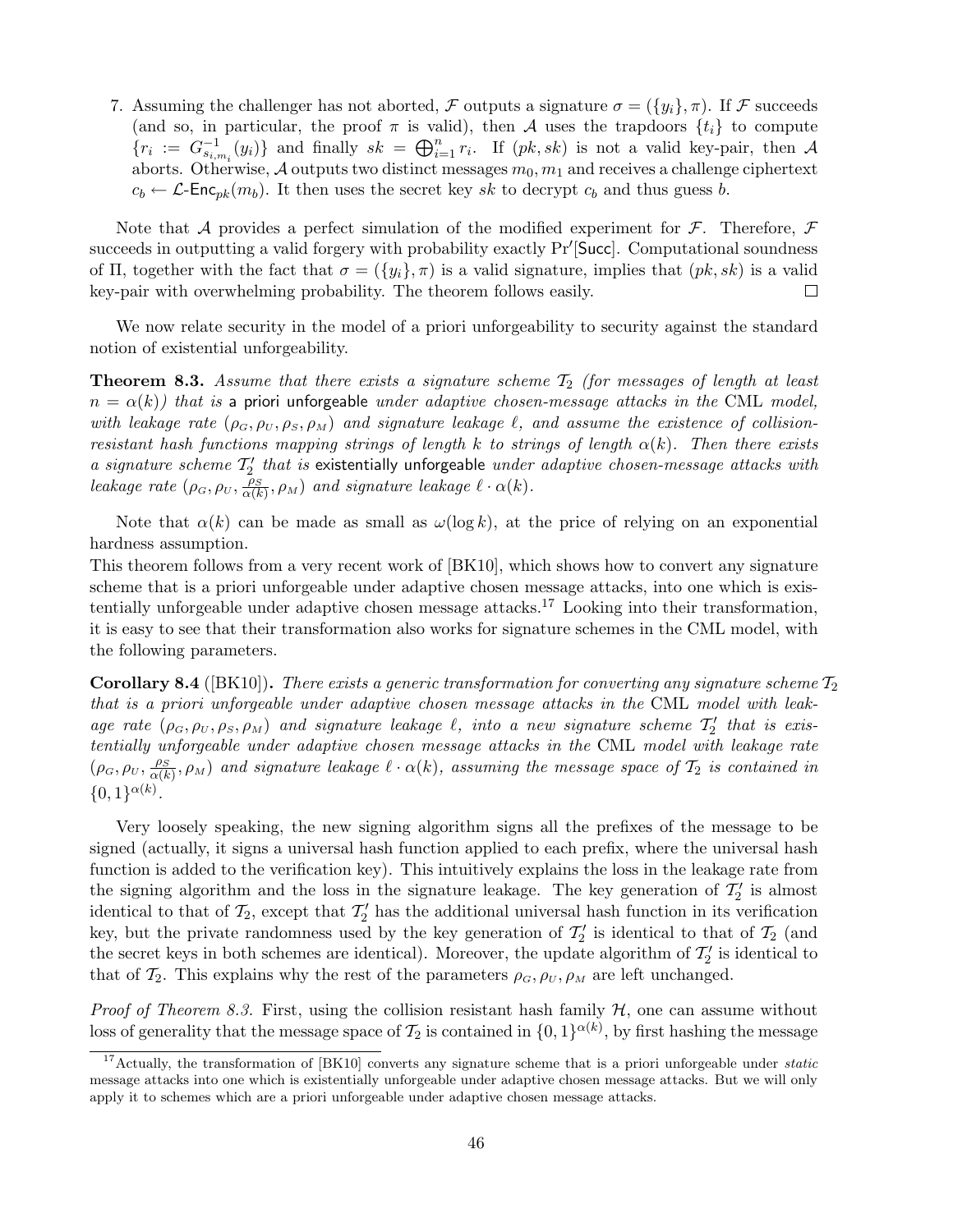7. Assuming the challenger has not aborted, F outputs a signature  $\sigma = (\{y_i\}, \pi)$ . If F succeeds (and so, in particular, the proof  $\pi$  is valid), then A uses the trapdoors  $\{t_i\}$  to compute (and so, in particular, the proof *n* is va<br>  ${r_i := G_{s_{i,m_i}}^{-1}(y_i)}$  and finally  $sk = \bigoplus_{i=1}^n$  $\prod_{i=1}^{n} r_i$ . If  $(pk, sk)$  is not a valid key-pair, then A aborts. Otherwise, A outputs two distinct messages  $m_0, m_1$  and receives a challenge ciphertext  $c_b \leftarrow \mathcal{L}\text{-Enc}_{pk}(m_b)$ . It then uses the secret key sk to decrypt  $c_b$  and thus guess b.

Note that A provides a perfect simulation of the modified experiment for  $\mathcal F$ . Therefore,  $\mathcal F$ succeeds in outputting a valid forgery with probability exactly Pr'[Succ]. Computational soundness of Π, together with the fact that  $\sigma = (\{y_i\}, \pi)$  is a valid signature, implies that  $(pk, sk)$  is a valid key-pair with overwhelming probability. The theorem follows easily.  $\Box$ 

We now relate security in the model of a priori unforgeability to security against the standard notion of existential unforgeability.

**Theorem 8.3.** Assume that there exists a signature scheme  $T_2$  (for messages of length at least  $n = \alpha(k)$ ) that is a priori unforgeable under adaptive chosen-message attacks in the CML model, with leakage rate  $(\rho_G, \rho_U, \rho_S, \rho_M)$  and signature leakage  $\ell$ , and assume the existence of collisionresistant hash functions mapping strings of length k to strings of length  $\alpha(k)$ . Then there exists a signature scheme  $T_2'$  that is existentially unforgeable under adaptive chosen-message attacks with leakage rate  $(\rho_G, \rho_U, \frac{\overline{\rho_S}}{\alpha(k)}, \rho_M)$  and signature leakage  $\ell \cdot \alpha(k)$ .

Note that  $\alpha(k)$  can be made as small as  $\omega(\log k)$ , at the price of relying on an exponential hardness assumption.

This theorem follows from a very recent work of [BK10], which shows how to convert any signature scheme that is a priori unforgeable under adaptive chosen message attacks, into one which is existentially unforgeable under adaptive chosen message attacks.<sup>17</sup> Looking into their transformation, it is easy to see that their transformation also works for signature schemes in the CML model, with the following parameters.

**Corollary 8.4** ([BK10]). There exists a generic transformation for converting any signature scheme  $T_2$ that is a priori unforgeable under adaptive chosen message attacks in the CML model with leakage rate  $(\rho_G, \rho_U, \rho_S, \rho_M)$  and signature leakage  $\ell$ , into a new signature scheme  $\mathcal{T}'_2$  that is existentially unforgeable under adaptive chosen message attacks in the CML model with leakage rate  $(\rho_G, \rho_U, \frac{\rho_S}{\alpha(k)}, \rho_M)$  and signature leakage  $\ell \cdot \alpha(k)$ , assuming the message space of  $\mathcal{T}_2$  is contained in  $\{0,1\}^{\alpha(k)}$ .

Very loosely speaking, the new signing algorithm signs all the prefixes of the message to be signed (actually, it signs a universal hash function applied to each prefix, where the universal hash function is added to the verification key). This intuitively explains the loss in the leakage rate from the signing algorithm and the loss in the signature leakage. The key generation of  $\mathcal{T}'_2$  is almost identical to that of  $\mathcal{T}_2$ , except that  $\mathcal{T}'_2$  has the additional universal hash function in its verification key, but the private randomness used by the key generation of  $\mathcal{T}'_2$  is identical to that of  $\mathcal{T}_2$  (and the secret keys in both schemes are identical). Moreover, the update algorithm of  $\mathcal{T}'_2$  is identical to that of  $\mathcal{T}_2$ . This explains why the rest of the parameters  $\rho_G$ ,  $\rho_U$ ,  $\rho_M$  are left unchanged.

*Proof of Theorem 8.3.* First, using the collision resistant hash family  $H$ , one can assume without loss of generality that the message space of  $\mathcal{T}_2$  is contained in  $\{0,1\}^{\alpha(k)}$ , by first hashing the message

<sup>&</sup>lt;sup>17</sup>Actually, the transformation of  $[BK10]$  converts any signature scheme that is a priori unforgeable under *static* message attacks into one which is existentially unforgeable under adaptive chosen message attacks. But we will only apply it to schemes which are a priori unforgeable under adaptive chosen message attacks.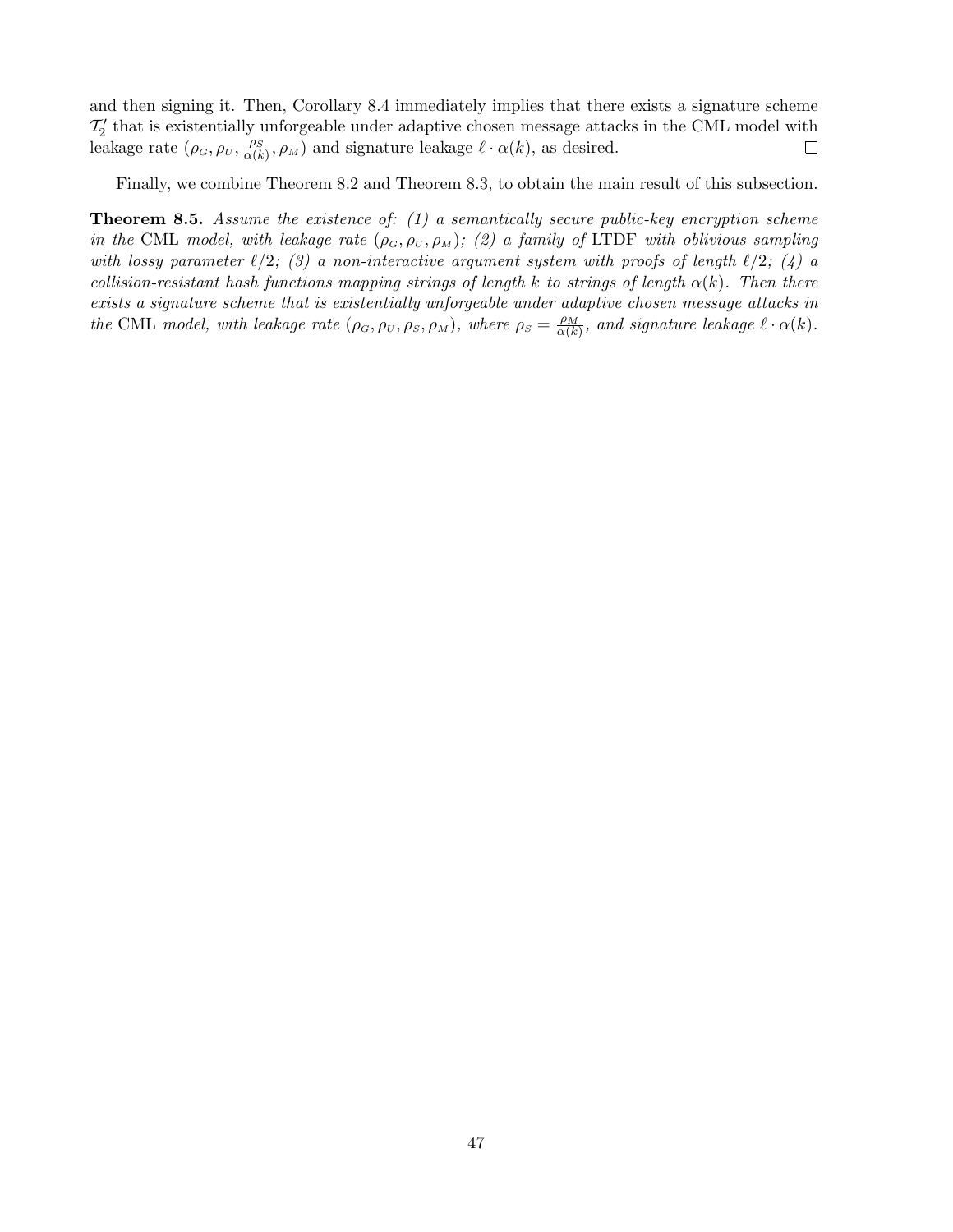and then signing it. Then, Corollary 8.4 immediately implies that there exists a signature scheme  $\mathcal{T}'_2$  that is existentially unforgeable under adaptive chosen message attacks in the CML model with leakage rate  $(\rho_G, \rho_U, \frac{\rho_S}{\alpha(k)}, \rho_M)$  and signature leakage  $\ell \cdot \alpha(k)$ , as desired.  $\Box$ 

Finally, we combine Theorem 8.2 and Theorem 8.3, to obtain the main result of this subsection.

**Theorem 8.5.** Assume the existence of:  $(1)$  a semantically secure public-key encryption scheme in the CML model, with leakage rate  $(\rho_G, \rho_U, \rho_M)$ ; (2) a family of LTDF with oblivious sampling with lossy parameter  $\ell/2$ ; (3) a non-interactive argument system with proofs of length  $\ell/2$ ; (4) a collision-resistant hash functions mapping strings of length k to strings of length  $\alpha(k)$ . Then there exists a signature scheme that is existentially unforgeable under adaptive chosen message attacks in the CML model, with leakage rate  $(\rho_G, \rho_U, \rho_S, \rho_M)$ , where  $\rho_S = \frac{\rho_M}{\alpha(k)}$ , and signature leakage  $\ell \cdot \alpha(k)$ .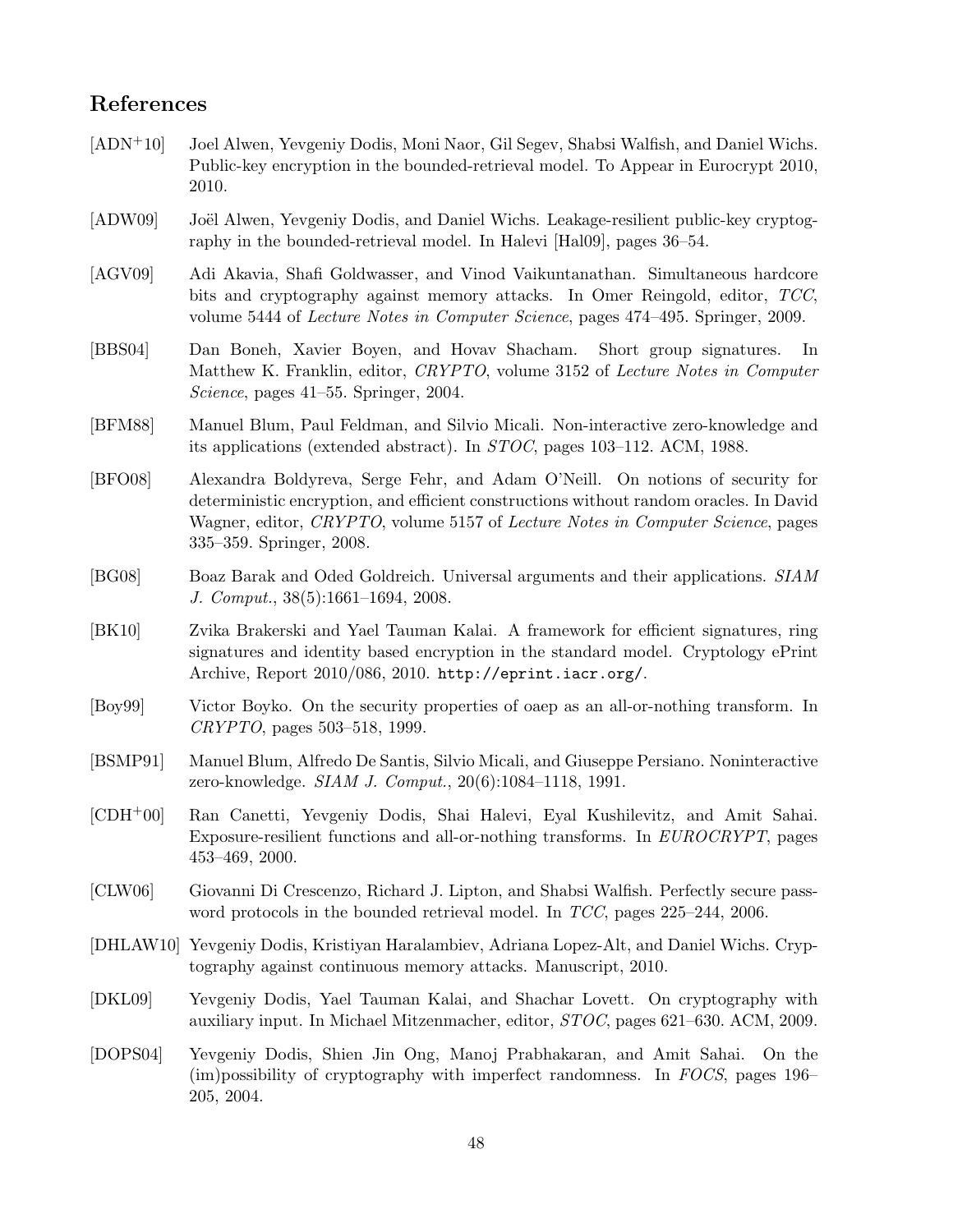# References

- [ADN+10] Joel Alwen, Yevgeniy Dodis, Moni Naor, Gil Segev, Shabsi Walfish, and Daniel Wichs. Public-key encryption in the bounded-retrieval model. To Appear in Eurocrypt 2010, 2010.
- [ADW09] Joël Alwen, Yevgeniy Dodis, and Daniel Wichs. Leakage-resilient public-key cryptography in the bounded-retrieval model. In Halevi [Hal09], pages 36–54.
- [AGV09] Adi Akavia, Shafi Goldwasser, and Vinod Vaikuntanathan. Simultaneous hardcore bits and cryptography against memory attacks. In Omer Reingold, editor, TCC, volume 5444 of Lecture Notes in Computer Science, pages 474–495. Springer, 2009.
- [BBS04] Dan Boneh, Xavier Boyen, and Hovav Shacham. Short group signatures. In Matthew K. Franklin, editor, CRYPTO, volume 3152 of Lecture Notes in Computer Science, pages 41–55. Springer, 2004.
- [BFM88] Manuel Blum, Paul Feldman, and Silvio Micali. Non-interactive zero-knowledge and its applications (extended abstract). In STOC, pages 103–112. ACM, 1988.
- [BFO08] Alexandra Boldyreva, Serge Fehr, and Adam O'Neill. On notions of security for deterministic encryption, and efficient constructions without random oracles. In David Wagner, editor, CRYPTO, volume 5157 of Lecture Notes in Computer Science, pages 335–359. Springer, 2008.
- [BG08] Boaz Barak and Oded Goldreich. Universal arguments and their applications. SIAM J. Comput., 38(5):1661–1694, 2008.
- [BK10] Zvika Brakerski and Yael Tauman Kalai. A framework for efficient signatures, ring signatures and identity based encryption in the standard model. Cryptology ePrint Archive, Report 2010/086, 2010. http://eprint.iacr.org/.
- [Boy99] Victor Boyko. On the security properties of oaep as an all-or-nothing transform. In CRYPTO, pages 503–518, 1999.
- [BSMP91] Manuel Blum, Alfredo De Santis, Silvio Micali, and Giuseppe Persiano. Noninteractive zero-knowledge. SIAM J. Comput., 20(6):1084–1118, 1991.
- [CDH+00] Ran Canetti, Yevgeniy Dodis, Shai Halevi, Eyal Kushilevitz, and Amit Sahai. Exposure-resilient functions and all-or-nothing transforms. In EUROCRYPT, pages 453–469, 2000.
- [CLW06] Giovanni Di Crescenzo, Richard J. Lipton, and Shabsi Walfish. Perfectly secure password protocols in the bounded retrieval model. In TCC, pages 225–244, 2006.
- [DHLAW10] Yevgeniy Dodis, Kristiyan Haralambiev, Adriana Lopez-Alt, and Daniel Wichs. Cryptography against continuous memory attacks. Manuscript, 2010.
- [DKL09] Yevgeniy Dodis, Yael Tauman Kalai, and Shachar Lovett. On cryptography with auxiliary input. In Michael Mitzenmacher, editor, STOC, pages 621–630. ACM, 2009.
- [DOPS04] Yevgeniy Dodis, Shien Jin Ong, Manoj Prabhakaran, and Amit Sahai. On the (im)possibility of cryptography with imperfect randomness. In FOCS, pages 196– 205, 2004.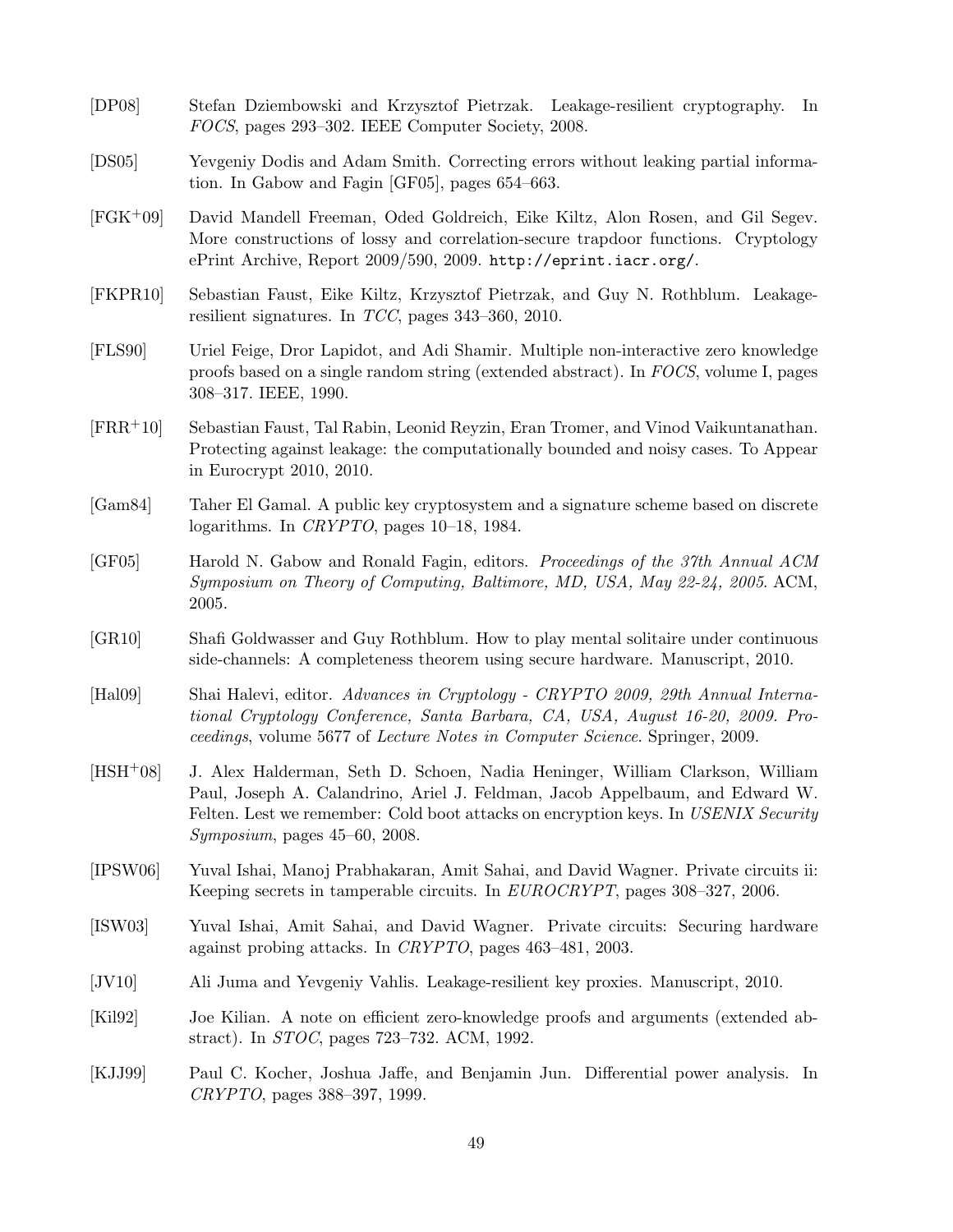- [DP08] Stefan Dziembowski and Krzysztof Pietrzak. Leakage-resilient cryptography. In FOCS, pages 293–302. IEEE Computer Society, 2008.
- [DS05] Yevgeniy Dodis and Adam Smith. Correcting errors without leaking partial information. In Gabow and Fagin [GF05], pages 654–663.
- [FGK+09] David Mandell Freeman, Oded Goldreich, Eike Kiltz, Alon Rosen, and Gil Segev. More constructions of lossy and correlation-secure trapdoor functions. Cryptology ePrint Archive, Report 2009/590, 2009. http://eprint.iacr.org/.
- [FKPR10] Sebastian Faust, Eike Kiltz, Krzysztof Pietrzak, and Guy N. Rothblum. Leakageresilient signatures. In TCC, pages 343–360, 2010.
- [FLS90] Uriel Feige, Dror Lapidot, and Adi Shamir. Multiple non-interactive zero knowledge proofs based on a single random string (extended abstract). In FOCS, volume I, pages 308–317. IEEE, 1990.
- [FRR+10] Sebastian Faust, Tal Rabin, Leonid Reyzin, Eran Tromer, and Vinod Vaikuntanathan. Protecting against leakage: the computationally bounded and noisy cases. To Appear in Eurocrypt 2010, 2010.
- [Gam84] Taher El Gamal. A public key cryptosystem and a signature scheme based on discrete logarithms. In CRYPTO, pages 10–18, 1984.
- [GF05] Harold N. Gabow and Ronald Fagin, editors. Proceedings of the 37th Annual ACM Symposium on Theory of Computing, Baltimore, MD, USA, May 22-24, 2005. ACM, 2005.
- [GR10] Shafi Goldwasser and Guy Rothblum. How to play mental solitaire under continuous side-channels: A completeness theorem using secure hardware. Manuscript, 2010.
- [Hal09] Shai Halevi, editor. Advances in Cryptology CRYPTO 2009, 29th Annual International Cryptology Conference, Santa Barbara, CA, USA, August 16-20, 2009. Proceedings, volume 5677 of Lecture Notes in Computer Science. Springer, 2009.
- [HSH+08] J. Alex Halderman, Seth D. Schoen, Nadia Heninger, William Clarkson, William Paul, Joseph A. Calandrino, Ariel J. Feldman, Jacob Appelbaum, and Edward W. Felten. Lest we remember: Cold boot attacks on encryption keys. In USENIX Security Symposium, pages 45–60, 2008.
- [IPSW06] Yuval Ishai, Manoj Prabhakaran, Amit Sahai, and David Wagner. Private circuits ii: Keeping secrets in tamperable circuits. In EUROCRYPT, pages 308–327, 2006.
- [ISW03] Yuval Ishai, Amit Sahai, and David Wagner. Private circuits: Securing hardware against probing attacks. In CRYPTO, pages 463–481, 2003.
- [JV10] Ali Juma and Yevgeniy Vahlis. Leakage-resilient key proxies. Manuscript, 2010.
- [Kil92] Joe Kilian. A note on efficient zero-knowledge proofs and arguments (extended abstract). In STOC, pages 723–732. ACM, 1992.
- [KJJ99] Paul C. Kocher, Joshua Jaffe, and Benjamin Jun. Differential power analysis. In CRYPTO, pages 388–397, 1999.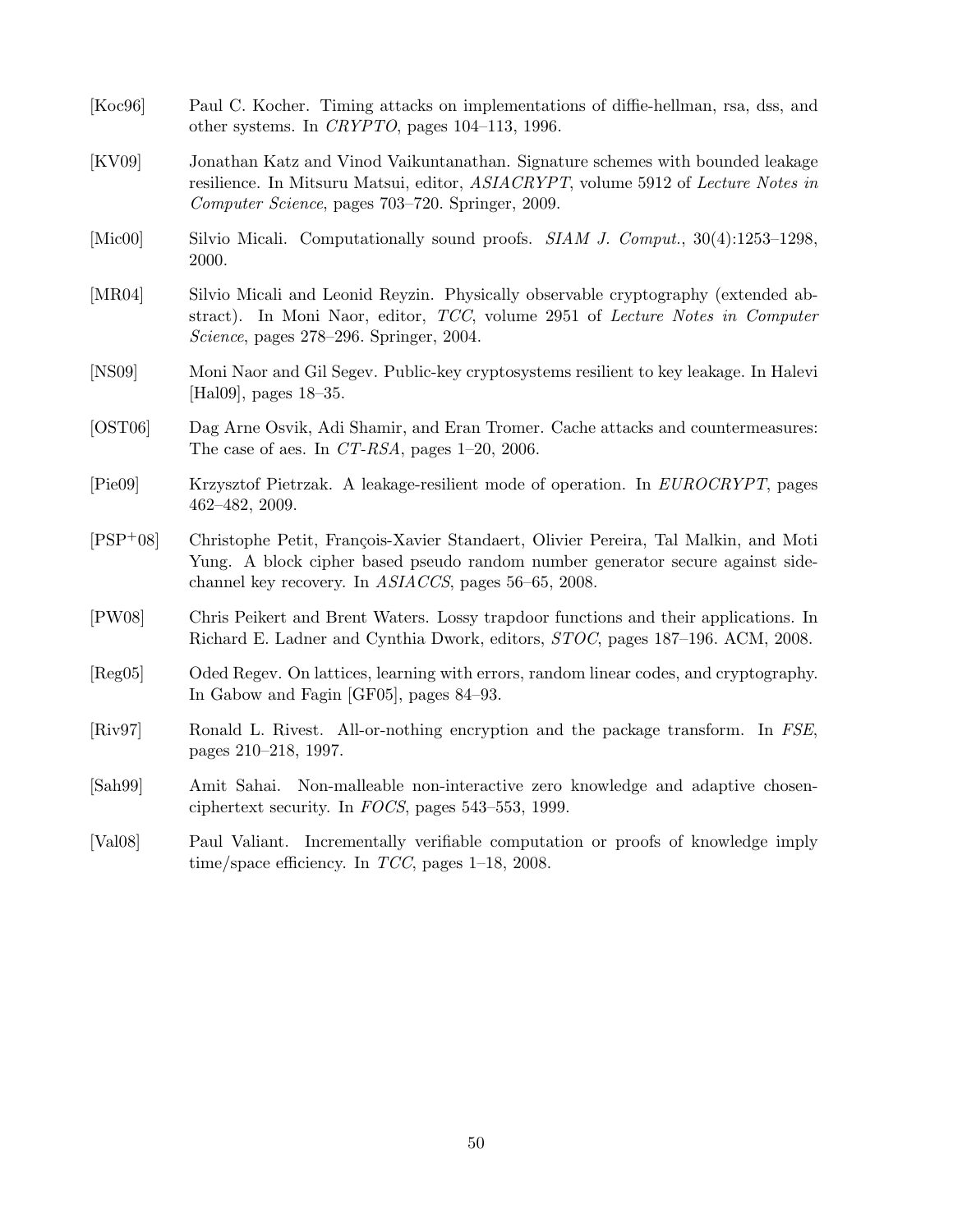| [Koc96]                       | Paul C. Kocher. Timing attacks on implementations of diffie-hellman, rsa, dss, and<br>other systems. In CRYPTO, pages $104-113$ , 1996.                                                                                      |
|-------------------------------|------------------------------------------------------------------------------------------------------------------------------------------------------------------------------------------------------------------------------|
| [KV09]                        | Jonathan Katz and Vinod Vaikuntanathan. Signature schemes with bounded leakage<br>resilience. In Mitsuru Matsui, editor, ASIACRYPT, volume 5912 of Lecture Notes in<br>Computer Science, pages 703–720. Springer, 2009.      |
| [Mic00]                       | Silvio Micali. Computationally sound proofs. <i>SIAM J. Comput.</i> , 30(4):1253–1298,<br>2000.                                                                                                                              |
| [MR04]                        | Silvio Micali and Leonid Reyzin. Physically observable cryptography (extended ab-<br>stract). In Moni Naor, editor, TCC, volume 2951 of Lecture Notes in Computer<br><i>Science</i> , pages 278–296. Springer, 2004.         |
| [NS09]                        | Moni Naor and Gil Segev. Public-key cryptosystems resilient to key leakage. In Halevi<br>[Hal09], pages $18-35$ .                                                                                                            |
| [OST06]                       | Dag Arne Osvik, Adi Shamir, and Eran Tromer. Cache attacks and countermeasures:<br>The case of aes. In CT-RSA, pages $1-20$ , 2006.                                                                                          |
| [Pie09]                       | Krzysztof Pietrzak. A leakage-resilient mode of operation. In EUROCRYPT, pages<br>$462 - 482$ , 2009.                                                                                                                        |
| $[PSP+08]$                    | Christophe Petit, François-Xavier Standaert, Olivier Pereira, Tal Malkin, and Moti<br>Yung. A block cipher based pseudo random number generator secure against side-<br>channel key recovery. In ASIACCS, pages 56–65, 2008. |
| [PW08]                        | Chris Peikert and Brent Waters. Lossy trapdoor functions and their applications. In<br>Richard E. Ladner and Cynthia Dwork, editors, STOC, pages 187-196. ACM, 2008.                                                         |
| [Reg05]                       | Oded Regev. On lattices, learning with errors, random linear codes, and cryptography.<br>In Gabow and Fagin [GF05], pages 84–93.                                                                                             |
| $\left[\mathrm{Riv}97\right]$ | Ronald L. Rivest. All-or-nothing encryption and the package transform. In FSE,<br>pages 210-218, 1997.                                                                                                                       |
| [Sab99]                       | Non-malleable non-interactive zero knowledge and adaptive chosen-<br>Amit Sahai.<br>ciphertext security. In FOCS, pages $543-553$ , 1999.                                                                                    |
| [Val08]                       | Paul Valiant. Incrementally verifiable computation or proofs of knowledge imply<br>time/space efficiency. In $TCC$ , pages 1-18, 2008.                                                                                       |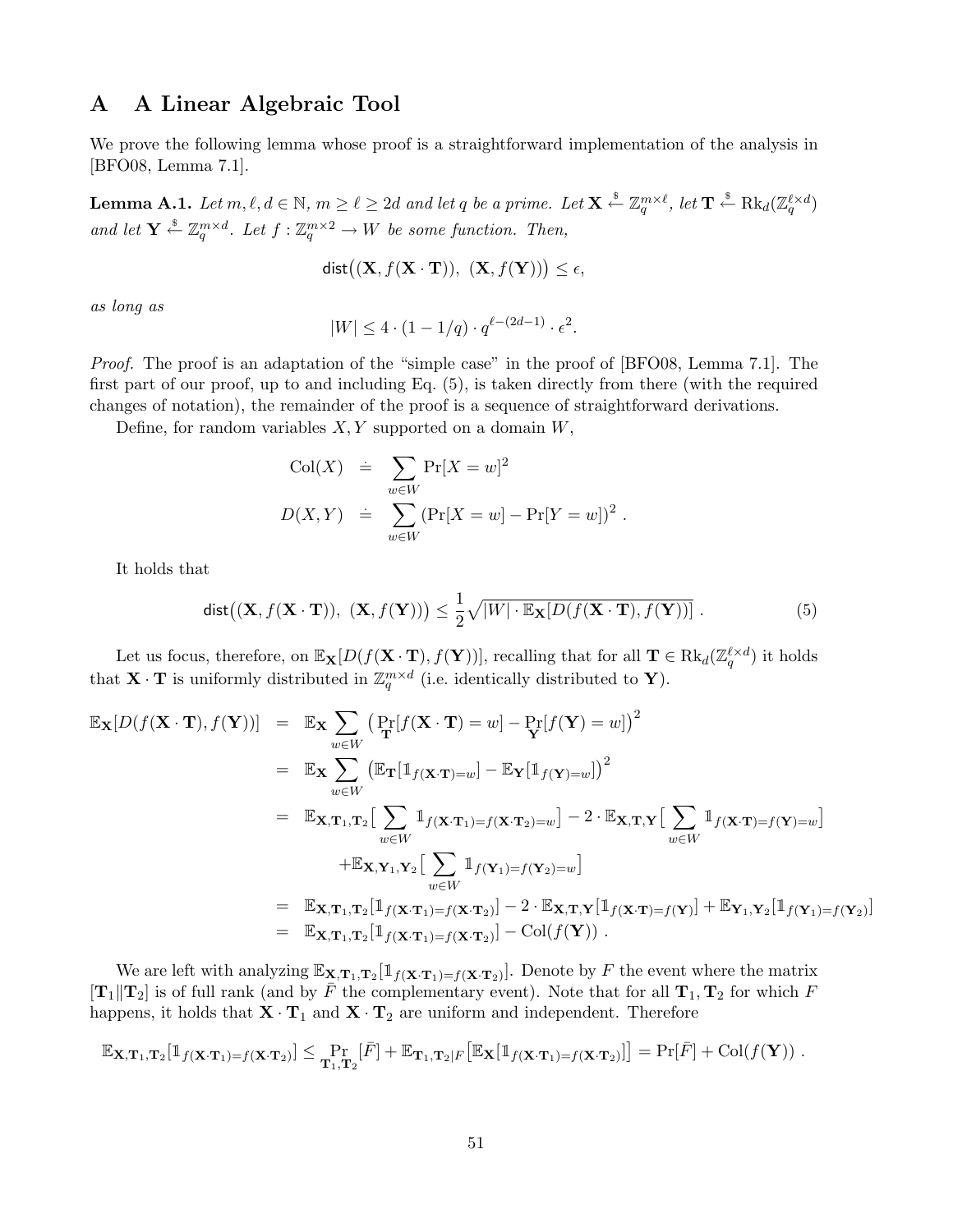# A A Linear Algebraic Tool

We prove the following lemma whose proof is a straightforward implementation of the analysis in [BFO08, Lemma 7.1].

**Lemma A.1.** Let  $m, \ell, d \in \mathbb{N}$ ,  $m \geq \ell \geq 2d$  and let  $q$  be a prime. Let  $\mathbf{X} \stackrel{\$}{\leftarrow} \mathbb{Z}_q^{m \times \ell}$ , let  $\mathbf{T} \stackrel{\$}{\leftarrow} \text{Rk}_d(\mathbb{Z}_q^{\ell \times d})$ and let  $\mathbf{Y} \stackrel{\text{s}}{\leftarrow} \mathbb{Z}_q^{m \times d}$ . Let  $f : \mathbb{Z}_q^{m \times 2} \to W$  be some function. Then,

$$
\mathsf{dist}\big((\mathbf{X}, f(\mathbf{X} \cdot \mathbf{T})), (\mathbf{X}, f(\mathbf{Y}))\big) \le \epsilon,
$$

as long as

$$
|W| \le 4\cdot (1-1/q)\cdot q^{\ell-(2d-1)}\cdot \epsilon^2.
$$

Proof. The proof is an adaptation of the "simple case" in the proof of [BFO08, Lemma 7.1]. The first part of our proof, up to and including Eq. (5), is taken directly from there (with the required changes of notation), the remainder of the proof is a sequence of straightforward derivations.

Define, for random variables  $X, Y$  supported on a domain  $W$ ,

$$
Col(X) = \sum_{w \in W} Pr[X = w]^2
$$
  

$$
D(X,Y) = \sum_{w \in W} (Pr[X = w] - Pr[Y = w])^2.
$$

It holds that

$$
\text{dist}\big((\mathbf{X}, f(\mathbf{X} \cdot \mathbf{T})), (\mathbf{X}, f(\mathbf{Y}))\big) \le \frac{1}{2} \sqrt{|W| \cdot \mathbb{E}_{\mathbf{X}}[D(f(\mathbf{X} \cdot \mathbf{T}), f(\mathbf{Y}))]}.
$$
 (5)

Let us focus, therefore, on  $\mathbb{E}_{\mathbf{X}}[D(f(\mathbf{X}\cdot\mathbf{T}), f(\mathbf{Y}))]$ , recalling that for all  $\mathbf{T} \in \text{Rk}_d(\mathbb{Z}_q^{\ell \times d})$  it holds that **X**  $\cdot$  **T** is uniformly distributed in  $\mathbb{Z}_q^{m \times d}$  (i.e. identically distributed to **Y**).

$$
\mathbb{E}_{\mathbf{X}}[D(f(\mathbf{X}\cdot\mathbf{T}),f(\mathbf{Y}))] = \mathbb{E}_{\mathbf{X}}\sum_{w\in W}\left(\Pr[f(\mathbf{X}\cdot\mathbf{T})=w]-\Pr[f(\mathbf{Y})=w]\right)^{2}
$$
\n
$$
= \mathbb{E}_{\mathbf{X}}\sum_{w\in W}\left(\mathbb{E}_{\mathbf{T}}[\mathbb{1}_{f(\mathbf{X}\cdot\mathbf{T})=w}]-\mathbb{E}_{\mathbf{Y}}[\mathbb{1}_{f(\mathbf{Y})=w}]\right)^{2}
$$
\n
$$
= \mathbb{E}_{\mathbf{X},\mathbf{T}_{1},\mathbf{T}_{2}}\left[\sum_{w\in W}\mathbb{1}_{f(\mathbf{X}\cdot\mathbf{T}_{1})=f(\mathbf{X}\cdot\mathbf{T}_{2})=w}\right]-2\cdot\mathbb{E}_{\mathbf{X},\mathbf{T},\mathbf{Y}}\left[\sum_{w\in W}\mathbb{1}_{f(\mathbf{X}\cdot\mathbf{T})=f(\mathbf{Y})=w}\right]
$$
\n
$$
+ \mathbb{E}_{\mathbf{X},\mathbf{Y}_{1},\mathbf{Y}_{2}}\left[\sum_{w\in W}\mathbb{1}_{f(\mathbf{Y}_{1})=f(\mathbf{Y}_{2})=w}\right]
$$
\n
$$
= \mathbb{E}_{\mathbf{X},\mathbf{T}_{1},\mathbf{T}_{2}}[\mathbb{1}_{f(\mathbf{X}\cdot\mathbf{T}_{1})=f(\mathbf{X}\cdot\mathbf{T}_{2})}] - 2\cdot\mathbb{E}_{\mathbf{X},\mathbf{T},\mathbf{Y}}[\mathbb{1}_{f(\mathbf{X}\cdot\mathbf{T})=f(\mathbf{Y})}] + \mathbb{E}_{\mathbf{Y}_{1},\mathbf{Y}_{2}}[\mathbb{1}_{f(\mathbf{Y}_{1})=f(\mathbf{Y}_{2})}]
$$
\n
$$
= \mathbb{E}_{\mathbf{X},\mathbf{T}_{1},\mathbf{T}_{2}}[\mathbb{1}_{f(\mathbf{X}\cdot\mathbf{T}_{1})=f(\mathbf{X}\cdot\mathbf{T}_{2})}] - \text{Col}(f(\mathbf{Y})) .
$$

We are left with analyzing  $\mathbb{E}_{\mathbf{X},\mathbf{T}_1,\mathbf{T}_2}[\mathbb{1}_{f(\mathbf{X}\cdot\mathbf{T}_1)=f(\mathbf{X}\cdot\mathbf{T}_2)}]$ . Denote by F the event where the matrix  $[\mathbf{T}_1||\mathbf{T}_2]$  is of full rank (and by  $\overline{F}$  the complementary event). Note that for all  $\mathbf{T}_1, \mathbf{T}_2$  for which F happens, it holds that  $\mathbf{X}\cdot\mathbf{T}_1$  and  $\mathbf{X}\cdot\mathbf{T}_2$  are uniform and independent. Therefore

$$
\mathbb{E}_{\mathbf{X},\mathbf{T}_1,\mathbf{T}_2}[\mathbb{1}_{f(\mathbf{X}\cdot\mathbf{T}_1)=f(\mathbf{X}\cdot\mathbf{T}_2)}] \leq \Pr_{\mathbf{T}_1,\mathbf{T}_2}[\bar{F}] + \mathbb{E}_{\mathbf{T}_1,\mathbf{T}_2|F}[\mathbb{E}_{\mathbf{X}}[\mathbb{1}_{f(\mathbf{X}\cdot\mathbf{T}_1)=f(\mathbf{X}\cdot\mathbf{T}_2)}]] = \Pr[\bar{F}] + \text{Col}(f(\mathbf{Y})) .
$$